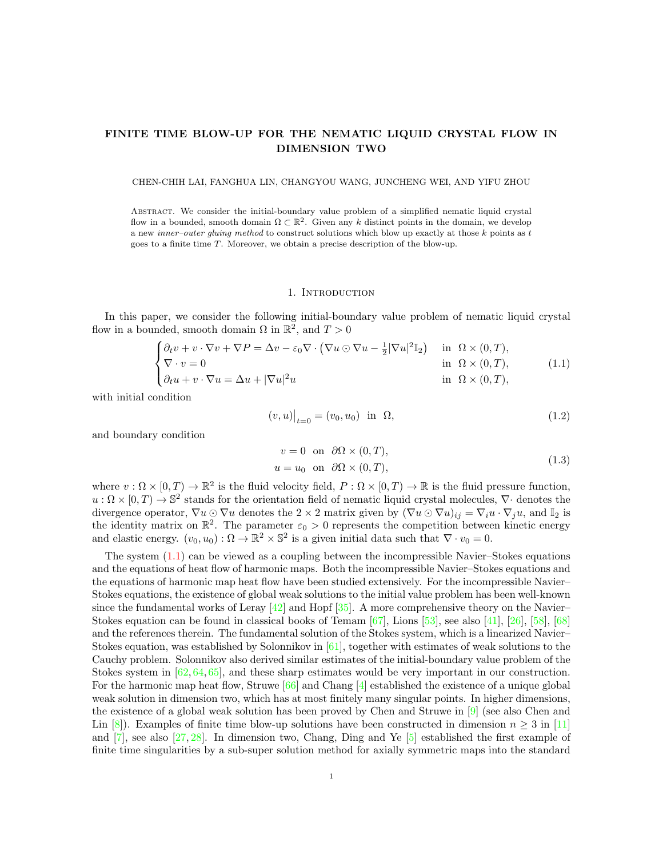# FINITE TIME BLOW-UP FOR THE NEMATIC LIQUID CRYSTAL FLOW IN DIMENSION TWO

#### CHEN-CHIH LAI, FANGHUA LIN, CHANGYOU WANG, JUNCHENG WEI, AND YIFU ZHOU

Abstract. We consider the initial-boundary value problem of a simplified nematic liquid crystal flow in a bounded, smooth domain  $\Omega \subset \mathbb{R}^2$ . Given any k distinct points in the domain, we develop a new *inner-outer gluing method* to construct solutions which blow up exactly at those  $k$  points as  $t$ goes to a finite time T. Moreover, we obtain a precise description of the blow-up.

## 1. INTRODUCTION

In this paper, we consider the following initial-boundary value problem of nematic liquid crystal flow in a bounded, smooth domain  $\Omega$  in  $\mathbb{R}^2$ , and  $T > 0$ 

<span id="page-0-0"></span>
$$
\begin{cases} \partial_t v + v \cdot \nabla v + \nabla P = \Delta v - \varepsilon_0 \nabla \cdot (\nabla u \odot \nabla u - \frac{1}{2} |\nabla u|^2 \mathbb{I}_2) & \text{in } \Omega \times (0, T), \\ \nabla \cdot v = 0 & \text{in } \Omega \times (0, T), \\ \partial_t u + v \cdot \nabla u = \Delta u + |\nabla u|^2 u & \text{in } \Omega \times (0, T), \end{cases}
$$
(1.1)

with initial condition

$$
(v, u)|_{t=0} = (v_0, u_0) \text{ in } \Omega,
$$
\n(1.2)

<span id="page-0-1"></span>and boundary condition

$$
v = 0 \text{ on } \partial\Omega \times (0, T),
$$
  
 
$$
u = u_0 \text{ on } \partial\Omega \times (0, T),
$$
 (1.3)

where  $v : \Omega \times [0, T) \to \mathbb{R}^2$  is the fluid velocity field,  $P : \Omega \times [0, T) \to \mathbb{R}$  is the fluid pressure function,  $u:\Omega\times[0,T)\to\mathbb{S}^2$  stands for the orientation field of nematic liquid crystal molecules,  $\nabla\cdot$  denotes the divergence operator,  $\nabla u \odot \nabla u$  denotes the 2 × 2 matrix given by  $(\nabla u \odot \nabla u)_{ij} = \nabla_i u \cdot \nabla_j u$ , and  $\mathbb{I}_2$  is the identity matrix on  $\mathbb{R}^2$ . The parameter  $\varepsilon_0 > 0$  represents the competition between kinetic energy and elastic energy.  $(v_0, u_0) : \Omega \to \mathbb{R}^2 \times \mathbb{S}^2$  is a given initial data such that  $\nabla \cdot v_0 = 0$ .

The system  $(1.1)$  can be viewed as a coupling between the incompressible Navier–Stokes equations and the equations of heat flow of harmonic maps. Both the incompressible Navier–Stokes equations and the equations of harmonic map heat flow have been studied extensively. For the incompressible Navier– Stokes equations, the existence of global weak solutions to the initial value problem has been well-known since the fundamental works of Leray  $[42]$  and Hopf  $[35]$ . A more comprehensive theory on the Navier– Stokes equation can be found in classical books of Temam [\[67\]](#page-48-0), Lions [\[53\]](#page-48-1), see also [\[41\]](#page-47-2), [\[26\]](#page-47-3), [\[58\]](#page-48-2), [\[68\]](#page-48-3) and the references therein. The fundamental solution of the Stokes system, which is a linearized Navier– Stokes equation, was established by Solonnikov in  $[61]$ , together with estimates of weak solutions to the Cauchy problem. Solonnikov also derived similar estimates of the initial-boundary value problem of the Stokes system in  $[62, 64, 65]$  $[62, 64, 65]$  $[62, 64, 65]$  $[62, 64, 65]$ , and these sharp estimates would be very important in our construction. For the harmonic map heat flow, Struwe [\[66\]](#page-48-8) and Chang [\[4\]](#page-46-0) established the existence of a unique global weak solution in dimension two, which has at most finitely many singular points. In higher dimensions, the existence of a global weak solution has been proved by Chen and Struwe in [\[9\]](#page-46-1) (see also Chen and Lin [\[8\]](#page-46-2)). Examples of finite time blow-up solutions have been constructed in dimension  $n \geq 3$  in [\[11\]](#page-46-3) and [\[7\]](#page-46-4), see also [\[27,](#page-47-4) [28\]](#page-47-5). In dimension two, Chang, Ding and Ye [\[5\]](#page-46-5) established the first example of finite time singularities by a sub-super solution method for axially symmetric maps into the standard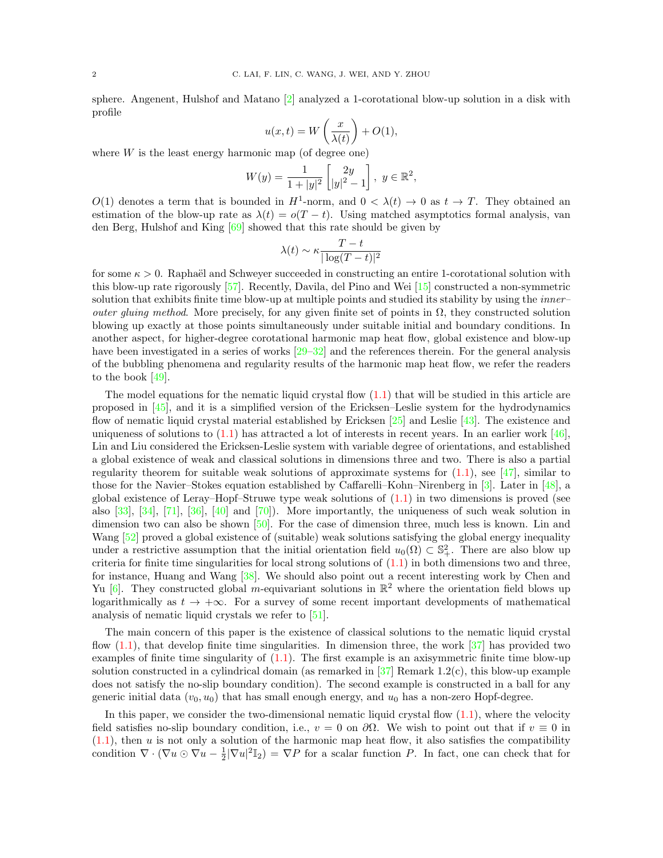sphere. Angenent, Hulshof and Matano [\[2\]](#page-46-6) analyzed a 1-corotational blow-up solution in a disk with profile

$$
u(x,t) = W\left(\frac{x}{\lambda(t)}\right) + O(1),
$$

where  $W$  is the least energy harmonic map (of degree one)

$$
W(y) = \frac{1}{1+|y|^2} \begin{bmatrix} 2y \\ |y|^2 - 1 \end{bmatrix}, \ y \in \mathbb{R}^2,
$$

 $O(1)$  denotes a term that is bounded in  $H^1$ -norm, and  $0 < \lambda(t) \to 0$  as  $t \to T$ . They obtained an estimation of the blow-up rate as  $\lambda(t) = o(T - t)$ . Using matched asymptotics formal analysis, van den Berg, Hulshof and King [\[69\]](#page-48-9) showed that this rate should be given by

$$
\lambda(t) \sim \kappa \frac{T - t}{|\log(T - t)|^2}
$$

for some  $\kappa > 0$ . Raphaël and Schweyer succeeded in constructing an entire 1-corotational solution with this blow-up rate rigorously [\[57\]](#page-48-10). Recently, Davila, del Pino and Wei [\[15\]](#page-46-7) constructed a non-symmetric solution that exhibits finite time blow-up at multiple points and studied its stability by using the *inner– outer gluing method.* More precisely, for any given finite set of points in  $\Omega$ , they constructed solution blowing up exactly at those points simultaneously under suitable initial and boundary conditions. In another aspect, for higher-degree corotational harmonic map heat flow, global existence and blow-up have been investigated in a series of works  $[29-32]$  $[29-32]$  and the references therein. For the general analysis of the bubbling phenomena and regularity results of the harmonic map heat flow, we refer the readers to the book [\[49\]](#page-48-11).

The model equations for the nematic liquid crystal flow  $(1.1)$  that will be studied in this article are proposed in [\[45\]](#page-47-8), and it is a simplified version of the Ericksen–Leslie system for the hydrodynamics flow of nematic liquid crystal material established by Ericksen [\[25\]](#page-47-9) and Leslie [\[43\]](#page-47-10). The existence and uniqueness of solutions to  $(1.1)$  has attracted a lot of interests in recent years. In an earlier work [\[46\]](#page-47-11), Lin and Liu considered the Ericksen-Leslie system with variable degree of orientations, and established a global existence of weak and classical solutions in dimensions three and two. There is also a partial regularity theorem for suitable weak solutions of approximate systems for  $(1.1)$ , see [\[47\]](#page-47-12), similar to those for the Navier–Stokes equation established by Caffarelli–Kohn–Nirenberg in [\[3\]](#page-46-8). Later in [\[48\]](#page-48-12), a global existence of Leray–Hopf–Struwe type weak solutions of [\(1.1\)](#page-0-0) in two dimensions is proved (see also [\[33\]](#page-47-13), [\[34\]](#page-47-14), [\[71\]](#page-48-13), [\[36\]](#page-47-15), [\[40\]](#page-47-16) and [\[70\]](#page-48-14)). More importantly, the uniqueness of such weak solution in dimension two can also be shown  $[50]$ . For the case of dimension three, much less is known. Lin and Wang [\[52\]](#page-48-16) proved a global existence of (suitable) weak solutions satisfying the global energy inequality under a restrictive assumption that the initial orientation field  $u_0(\Omega) \subset \mathbb{S}^2_+$ . There are also blow up criteria for finite time singularities for local strong solutions of  $(1.1)$  in both dimensions two and three, for instance, Huang and Wang [\[38\]](#page-47-17). We should also point out a recent interesting work by Chen and Yu [\[6\]](#page-46-9). They constructed global m-equivariant solutions in  $\mathbb{R}^2$  where the orientation field blows up logarithmically as  $t \to +\infty$ . For a survey of some recent important developments of mathematical analysis of nematic liquid crystals we refer to [\[51\]](#page-48-17).

The main concern of this paper is the existence of classical solutions to the nematic liquid crystal flow  $(1.1)$ , that develop finite time singularities. In dimension three, the work  $[37]$  has provided two examples of finite time singularity of [\(1.1\)](#page-0-0). The first example is an axisymmetric finite time blow-up solution constructed in a cylindrical domain (as remarked in  $[37]$  Remark 1.2(c), this blow-up example does not satisfy the no-slip boundary condition). The second example is constructed in a ball for any generic initial data  $(v_0, u_0)$  that has small enough energy, and  $u_0$  has a non-zero Hopf-degree.

In this paper, we consider the two-dimensional nematic liquid crystal flow  $(1.1)$ , where the velocity field satisfies no-slip boundary condition, i.e.,  $v = 0$  on  $\partial\Omega$ . We wish to point out that if  $v \equiv 0$  in  $(1.1)$ , then u is not only a solution of the harmonic map heat flow, it also satisfies the compatibility condition  $\nabla \cdot (\nabla u \odot \nabla u - \frac{1}{2} |\nabla u|^2 \mathbb{I}_2) = \nabla P$  for a scalar function P. In fact, one can check that for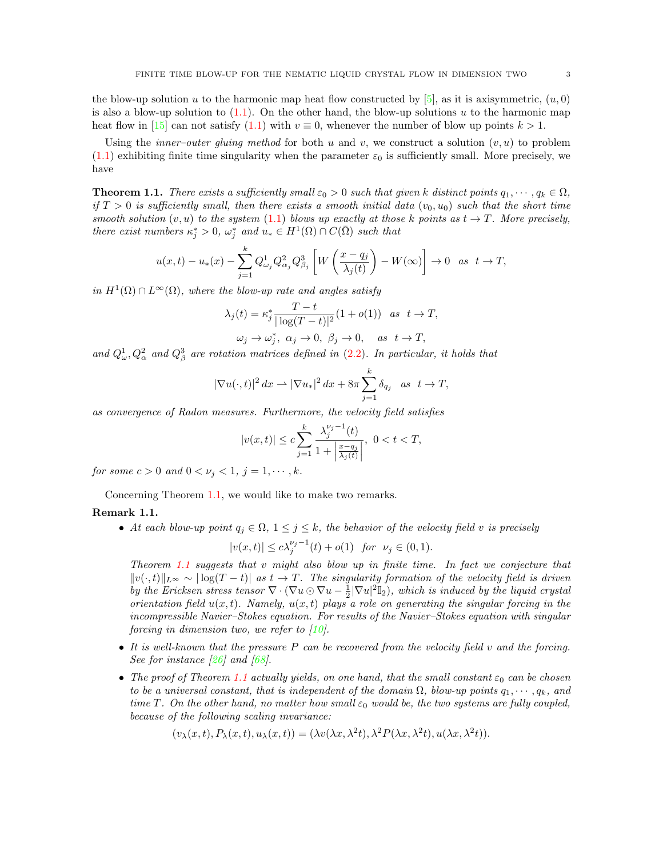the blow-up solution u to the harmonic map heat flow constructed by  $[5]$ , as it is axisymmetric,  $(u, 0)$ is also a blow-up solution to  $(1.1)$ . On the other hand, the blow-up solutions u to the harmonic map heat flow in [\[15\]](#page-46-7) can not satisfy [\(1.1\)](#page-0-0) with  $v \equiv 0$ , whenever the number of blow up points  $k > 1$ .

Using the *inner-outer gluing method* for both u and v, we construct a solution  $(v, u)$  to problem  $(1.1)$  exhibiting finite time singularity when the parameter  $\varepsilon_0$  is sufficiently small. More precisely, we have

<span id="page-2-0"></span>**Theorem 1.1.** There exists a sufficiently small  $\varepsilon_0 > 0$  such that given k distinct points  $q_1, \dots, q_k \in \Omega$ , if  $T > 0$  is sufficiently small, then there exists a smooth initial data  $(v_0, u_0)$  such that the short time smooth solution  $(v, u)$  to the system [\(1.1\)](#page-0-0) blows up exactly at those k points as  $t \to T$ . More precisely, there exist numbers  $\kappa_j^* > 0$ ,  $\omega_j^*$  and  $u_* \in H^1(\Omega) \cap C(\overline{\Omega})$  such that

$$
u(x,t) - u_*(x) - \sum_{j=1}^k Q_{\omega_j}^1 Q_{\alpha_j}^2 Q_{\beta_j}^3 \left[ W\left(\frac{x - q_j}{\lambda_j(t)}\right) - W(\infty) \right] \to 0 \text{ as } t \to T,
$$

in  $H^1(\Omega) \cap L^{\infty}(\Omega)$ , where the blow-up rate and angles satisfy

$$
\lambda_j(t) = \kappa_j^* \frac{T - t}{|\log(T - t)|^2} (1 + o(1)) \quad \text{as} \quad t \to T,
$$
  

$$
\omega_j \to \omega_j^*, \quad \alpha_j \to 0, \quad \beta_j \to 0, \quad \text{as} \quad t \to T,
$$

and  $Q^1_\omega, Q^2_\alpha$  and  $Q^3_\beta$  are rotation matrices defined in [\(2.2\)](#page-6-0). In particular, it holds that

$$
|\nabla u(\cdot,t)|^2 dx \rightharpoonup |\nabla u_*|^2 dx + 8\pi \sum_{j=1}^k \delta_{q_j} \quad as \quad t \to T,
$$

as convergence of Radon measures. Furthermore, the velocity field satisfies

$$
|v(x,t)|\leq c\sum_{j=1}^k\frac{\lambda_j^{\nu_j-1}(t)}{1+\left|\frac{x-q_j}{\lambda_j(t)}\right|},\ 0
$$

for some  $c > 0$  and  $0 < \nu_j < 1$ ,  $j = 1, \dots, k$ .

Concerning Theorem [1.1,](#page-2-0) we would like to make two remarks.

## Remark 1.1.

• At each blow-up point  $q_j \in \Omega$ ,  $1 \leq j \leq k$ , the behavior of the velocity field v is precisely

$$
|v(x,t)| \le c\lambda_j^{\nu_j - 1}(t) + o(1) \text{ for } \nu_j \in (0,1).
$$

Theorem [1.1](#page-2-0) suggests that v might also blow up in finite time. In fact we conjecture that  $||v(\cdot, t)||_{L^{\infty}} \sim |\log(T - t)|$  as  $t \to T$ . The singularity formation of the velocity field is driven by the Ericksen stress tensor  $\nabla \cdot (\nabla u \odot \nabla u - \frac{1}{2} |\nabla u|^2 \mathbb{I}_2)$ , which is induced by the liquid crystal orientation field  $u(x, t)$ . Namely,  $u(x, t)$  plays a role on generating the singular forcing in the incompressible Navier–Stokes equation. For results of the Navier–Stokes equation with singular forcing in dimension two, we refer to  $[10]$ .

- It is well-known that the pressure P can be recovered from the velocity field v and the forcing. See for instance  $\lceil 26 \rceil$  and  $\lceil 68 \rceil$ .
- The proof of Theorem [1.1](#page-2-0) actually yields, on one hand, that the small constant  $\varepsilon_0$  can be chosen to be a universal constant, that is independent of the domain  $\Omega$ , blow-up points  $q_1, \dots, q_k$ , and time T. On the other hand, no matter how small  $\varepsilon_0$  would be, the two systems are fully coupled, because of the following scaling invariance:

$$
(v_{\lambda}(x,t), P_{\lambda}(x,t), u_{\lambda}(x,t)) = (\lambda v(\lambda x, \lambda^{2}t), \lambda^{2} P(\lambda x, \lambda^{2}t), u(\lambda x, \lambda^{2}t)).
$$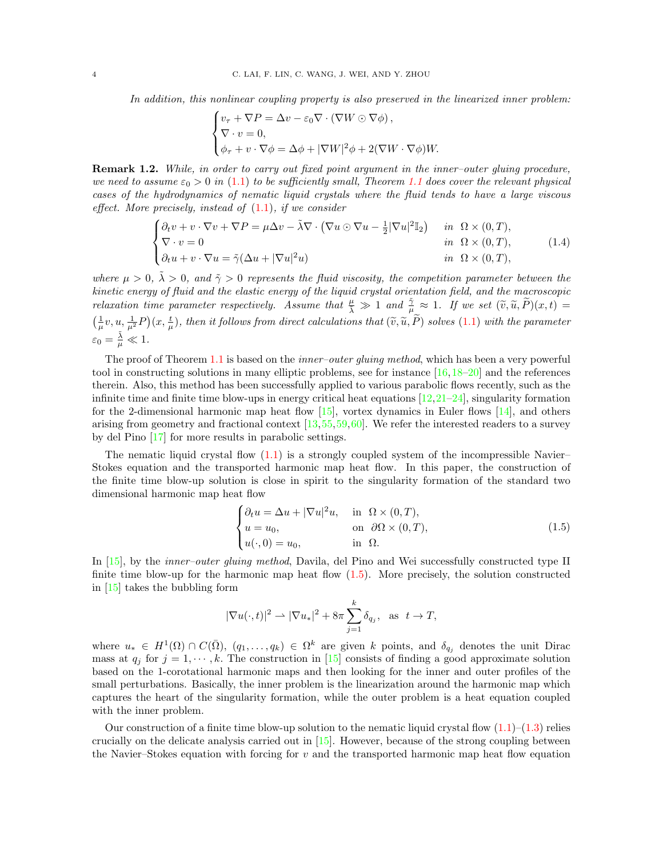In addition, this nonlinear coupling property is also preserved in the linearized inner problem:

$$
\begin{cases}\nv_{\tau} + \nabla P = \Delta v - \varepsilon_0 \nabla \cdot (\nabla W \odot \nabla \phi), \\
\nabla \cdot v = 0, \\
\phi_{\tau} + v \cdot \nabla \phi = \Delta \phi + |\nabla W|^2 \phi + 2(\nabla W \cdot \nabla \phi)W.\n\end{cases}
$$

Remark 1.2. While, in order to carry out fixed point argument in the inner-outer gluing procedure, we need to assume  $\varepsilon_0 > 0$  in [\(1.1\)](#page-0-0) to be sufficiently small, Theorem [1.1](#page-2-0) does cover the relevant physical cases of the hydrodynamics of nematic liquid crystals where the fluid tends to have a large viscous effect. More precisely, instead of  $(1.1)$ , if we consider

$$
\begin{cases} \partial_t v + v \cdot \nabla v + \nabla P = \mu \Delta v - \tilde{\lambda} \nabla \cdot (\nabla u \odot \nabla u - \frac{1}{2} |\nabla u|^2 \mathbb{I}_2) & \text{in } \Omega \times (0, T), \\ \nabla \cdot v = 0 & \text{in } \Omega \times (0, T), \\ \partial_t u + v \cdot \nabla u = \tilde{\gamma} (\Delta u + |\nabla u|^2 u) & \text{in } \Omega \times (0, T), \end{cases}
$$
(1.4)

where  $\mu > 0$ ,  $\tilde{\lambda} > 0$ , and  $\tilde{\gamma} > 0$  represents the fluid viscosity, the competition parameter between the kinetic energy of fluid and the elastic energy of the liquid crystal orientation field, and the macroscopic relaxation time parameter respectively. Assume that  $\frac{\mu}{\lambda} \gg 1$  and  $\frac{\tilde{\gamma}}{\lambda} \approx 1$ . If we set  $(\tilde{v}, \tilde{u}, \tilde{P})(x, t) =$  $\left(\frac{1}{\mu}v, u, \frac{1}{\mu^2}P\right)(x, \frac{t}{\mu})$ , then it follows from direct calculations that  $(\widetilde{v}, \widetilde{u}, \widetilde{P})$  solves  $(1.1)$  with the parameter  $\varepsilon_0 = \frac{\tilde{\lambda}}{\mu} \ll 1.$ 

The proof of Theorem [1.1](#page-2-0) is based on the *inner-outer gluing method*, which has been a very powerful tool in constructing solutions in many elliptic problems, see for instance  $[16,18-20]$  $[16,18-20]$  $[16,18-20]$  and the references therein. Also, this method has been successfully applied to various parabolic flows recently, such as the infinite time and finite time blow-ups in energy critical heat equations  $[12,21-24]$  $[12,21-24]$ , singularity formation for the 2-dimensional harmonic map heat flow  $[15]$ , vortex dynamics in Euler flows  $[14]$ , and others arising from geometry and fractional context [\[13,](#page-46-13)[55,](#page-48-18)[59,](#page-48-19)[60\]](#page-48-20). We refer the interested readers to a survey by del Pino [\[17\]](#page-47-24) for more results in parabolic settings.

The nematic liquid crystal flow  $(1.1)$  is a strongly coupled system of the incompressible Navier– Stokes equation and the transported harmonic map heat flow. In this paper, the construction of the finite time blow-up solution is close in spirit to the singularity formation of the standard two dimensional harmonic map heat flow

<span id="page-3-0"></span>
$$
\begin{cases}\n\partial_t u = \Delta u + |\nabla u|^2 u, & \text{in } \Omega \times (0, T), \\
u = u_0, & \text{on } \partial \Omega \times (0, T), \\
u(\cdot, 0) = u_0, & \text{in } \Omega.\n\end{cases}
$$
\n(1.5)

In [\[15\]](#page-46-7), by the *inner–outer gluing method*, Davila, del Pino and Wei successfully constructed type II finite time blow-up for the harmonic map heat flow  $(1.5)$ . More precisely, the solution constructed in [\[15\]](#page-46-7) takes the bubbling form

$$
|\nabla u(\cdot,t)|^2 \rightharpoonup |\nabla u_*|^2 + 8\pi \sum_{j=1}^k \delta_{q_j}, \ \ \text{as} \ \ t\to T,
$$

where  $u_* \in H^1(\Omega) \cap C(\overline{\Omega})$ ,  $(q_1, \ldots, q_k) \in \Omega^k$  are given k points, and  $\delta_{q_i}$  denotes the unit Dirac mass at  $q_j$  for  $j = 1, \dots, k$ . The construction in [\[15\]](#page-46-7) consists of finding a good approximate solution based on the 1-corotational harmonic maps and then looking for the inner and outer profiles of the small perturbations. Basically, the inner problem is the linearization around the harmonic map which captures the heart of the singularity formation, while the outer problem is a heat equation coupled with the inner problem.

Our construction of a finite time blow-up solution to the nematic liquid crystal flow  $(1.1)$ – $(1.3)$  relies crucially on the delicate analysis carried out in [\[15\]](#page-46-7). However, because of the strong coupling between the Navier–Stokes equation with forcing for  $v$  and the transported harmonic map heat flow equation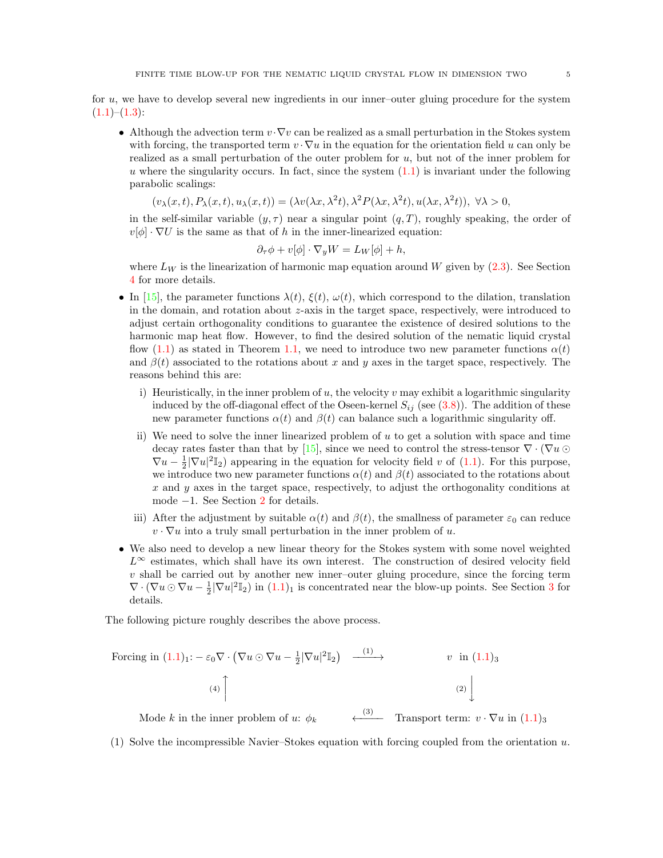for u, we have to develop several new ingredients in our inner–outer gluing procedure for the system  $(1.1)–(1.3):$  $(1.1)–(1.3):$  $(1.1)–(1.3):$  $(1.1)–(1.3):$ 

• Although the advection term  $v \cdot \nabla v$  can be realized as a small perturbation in the Stokes system with forcing, the transported term  $v \cdot \nabla u$  in the equation for the orientation field u can only be realized as a small perturbation of the outer problem for  $u$ , but not of the inner problem for u where the singularity occurs. In fact, since the system  $(1.1)$  is invariant under the following parabolic scalings:

$$
(v_{\lambda}(x,t), P_{\lambda}(x,t), u_{\lambda}(x,t)) = (\lambda v(\lambda x, \lambda^{2}t), \lambda^{2} P(\lambda x, \lambda^{2}t), u(\lambda x, \lambda^{2}t)), \forall \lambda > 0,
$$

in the self-similar variable  $(y, \tau)$  near a singular point  $(q, T)$ , roughly speaking, the order of  $v[\phi] \cdot \nabla U$  is the same as that of h in the inner-linearized equation:

$$
\partial_{\tau}\phi + v[\phi] \cdot \nabla_y W = L_W[\phi] + h,
$$

where  $L_W$  is the linearization of harmonic map equation around W given by [\(2.3\)](#page-6-1). See Section [4](#page-36-0) for more details.

- In [\[15\]](#page-46-7), the parameter functions  $\lambda(t)$ ,  $\xi(t)$ ,  $\omega(t)$ , which correspond to the dilation, translation in the domain, and rotation about z-axis in the target space, respectively, were introduced to adjust certain orthogonality conditions to guarantee the existence of desired solutions to the harmonic map heat flow. However, to find the desired solution of the nematic liquid crystal flow [\(1.1\)](#page-0-0) as stated in Theorem [1.1,](#page-2-0) we need to introduce two new parameter functions  $\alpha(t)$ and  $\beta(t)$  associated to the rotations about x and y axes in the target space, respectively. The reasons behind this are:
	- i) Heuristically, in the inner problem of  $u$ , the velocity  $v$  may exhibit a logarithmic singularity induced by the off-diagonal effect of the Oseen-kernel  $S_{ij}$  (see [\(3.8\)](#page-29-0)). The addition of these new parameter functions  $\alpha(t)$  and  $\beta(t)$  can balance such a logarithmic singularity off.
	- ii) We need to solve the inner linearized problem of u to get a solution with space and time decay rates faster than that by [\[15\]](#page-46-7), since we need to control the stress-tensor  $\nabla \cdot (\nabla u \odot$  $\nabla u - \frac{1}{2} |\nabla u|^2 \mathbb{I}_2$  appearing in the equation for velocity field v of [\(1.1\)](#page-0-0). For this purpose, we introduce two new parameter functions  $\alpha(t)$  and  $\beta(t)$  associated to the rotations about x and y axes in the target space, respectively, to adjust the orthogonality conditions at mode −1. See Section [2](#page-5-0) for details.
	- iii) After the adjustment by suitable  $\alpha(t)$  and  $\beta(t)$ , the smallness of parameter  $\varepsilon_0$  can reduce  $v \cdot \nabla u$  into a truly small perturbation in the inner problem of u.
- We also need to develop a new linear theory for the Stokes system with some novel weighted  $L^{\infty}$  estimates, which shall have its own interest. The construction of desired velocity field  $v$  shall be carried out by another new inner-outer gluing procedure, since the forcing term  $\nabla \cdot (\nabla u \odot \nabla u - \frac{1}{2} |\nabla u|^2 \mathbb{I}_2)$  in  $(1.1)_1$  is concentrated near the blow-up points. See Section [3](#page-27-0) for details.

The following picture roughly describes the above process.

Forcing in 
$$
(1.1)_1
$$
:  $-\varepsilon_0 \nabla \cdot (\nabla u \odot \nabla u - \frac{1}{2} |\nabla u|^2 \mathbb{I}_2)$   $\xrightarrow{(1)}$   $v$  in  $(1.1)_3$   
\n(4)  $\Bigg[$   
\nMode *k* in the inner problem of *u*:  $\phi_k$   $\xrightarrow{(3)}$  Transport term:  $v \cdot \nabla u$  in  $(1.1)_3$ 

(1) Solve the incompressible Navier–Stokes equation with forcing coupled from the orientation  $u$ .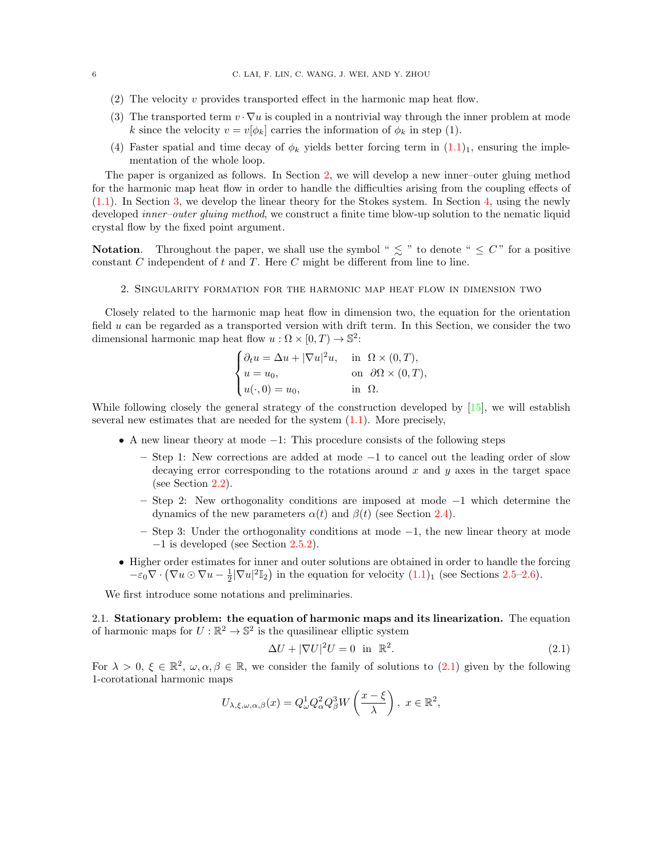- (2) The velocity  $v$  provides transported effect in the harmonic map heat flow.
- (3) The transported term  $v \cdot \nabla u$  is coupled in a nontrivial way through the inner problem at mode k since the velocity  $v = v[\phi_k]$  carries the information of  $\phi_k$  in step (1).
- (4) Faster spatial and time decay of  $\phi_k$  yields better forcing term in  $(1.1)_1$ , ensuring the implementation of the whole loop.

The paper is organized as follows. In Section [2,](#page-5-0) we will develop a new inner–outer gluing method for the harmonic map heat flow in order to handle the difficulties arising from the coupling effects of [\(1.1\)](#page-0-0). In Section [3,](#page-27-0) we develop the linear theory for the Stokes system. In Section [4,](#page-36-0) using the newly developed *inner-outer gluing method*, we construct a finite time blow-up solution to the nematic liquid crystal flow by the fixed point argument.

**Notation.** Throughout the paper, we shall use the symbol "  $\leq$  " to denote "  $\leq C$ " for a positive constant  $C$  independent of  $t$  and  $T$ . Here  $C$  might be different from line to line.

### 2. Singularity formation for the harmonic map heat flow in dimension two

<span id="page-5-0"></span>Closely related to the harmonic map heat flow in dimension two, the equation for the orientation field  $u$  can be regarded as a transported version with drift term. In this Section, we consider the two dimensional harmonic map heat flow  $u : \Omega \times [0, T) \to \mathbb{S}^2$ :

$$
\begin{cases} \partial_t u = \Delta u + |\nabla u|^2 u, & \text{in } \Omega \times (0, T), \\ u = u_0, & \text{on } \partial \Omega \times (0, T), \\ u(\cdot, 0) = u_0, & \text{in } \Omega. \end{cases}
$$

While following closely the general strategy of the construction developed by [\[15\]](#page-46-7), we will establish several new estimates that are needed for the system  $(1.1)$ . More precisely,

- A new linear theory at mode −1: This procedure consists of the following steps
	- Step 1: New corrections are added at mode −1 to cancel out the leading order of slow decaying error corresponding to the rotations around  $x$  and  $y$  axes in the target space (see Section [2.2\)](#page-7-0).
	- Step 2: New orthogonality conditions are imposed at mode −1 which determine the dynamics of the new parameters  $\alpha(t)$  and  $\beta(t)$  (see Section [2.4\)](#page-13-0).
	- Step 3: Under the orthogonality conditions at mode −1, the new linear theory at mode −1 is developed (see Section [2.5.2\)](#page-21-0).
- Higher order estimates for inner and outer solutions are obtained in order to handle the forcing  $-\varepsilon_0 \nabla \cdot (\nabla u \odot \nabla u - \frac{1}{2} |\nabla u|^2 \mathbb{I}_2)$  in the equation for velocity  $(1.1)_1$  (see Sections [2.5–](#page-17-0)[2.6\)](#page-24-0).

We first introduce some notations and preliminaries.

2.1. Stationary problem: the equation of harmonic maps and its linearization. The equation of harmonic maps for  $U:\mathbb{R}^2 \to \mathbb{S}^2$  is the quasilinear elliptic system

<span id="page-5-1"></span>
$$
\Delta U + |\nabla U|^2 U = 0 \quad \text{in} \quad \mathbb{R}^2. \tag{2.1}
$$

For  $\lambda > 0$ ,  $\xi \in \mathbb{R}^2$ ,  $\omega, \alpha, \beta \in \mathbb{R}$ , we consider the family of solutions to  $(2.1)$  given by the following 1-corotational harmonic maps

$$
U_{\lambda,\xi,\omega,\alpha,\beta}(x) = Q_{\omega}^{1} Q_{\alpha}^{2} Q_{\beta}^{3} W\left(\frac{x-\xi}{\lambda}\right), \ x \in \mathbb{R}^{2},
$$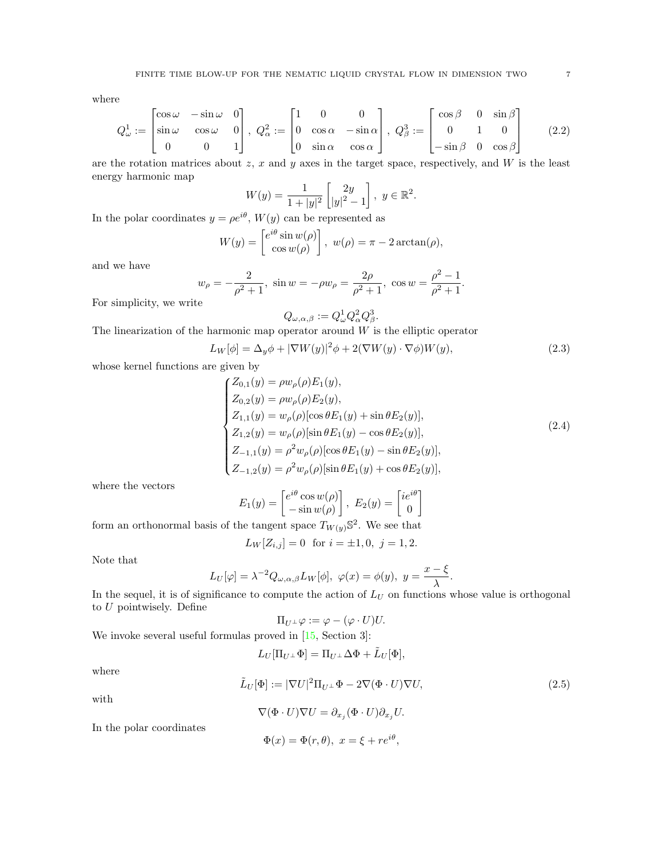where

<span id="page-6-0"></span>
$$
Q_{\omega}^{1} := \begin{bmatrix} \cos \omega & -\sin \omega & 0 \\ \sin \omega & \cos \omega & 0 \\ 0 & 0 & 1 \end{bmatrix}, \ Q_{\alpha}^{2} := \begin{bmatrix} 1 & 0 & 0 \\ 0 & \cos \alpha & -\sin \alpha \\ 0 & \sin \alpha & \cos \alpha \end{bmatrix}, \ Q_{\beta}^{3} := \begin{bmatrix} \cos \beta & 0 & \sin \beta \\ 0 & 1 & 0 \\ -\sin \beta & 0 & \cos \beta \end{bmatrix}
$$
(2.2)

are the rotation matrices about  $z$ ,  $x$  and  $y$  axes in the target space, respectively, and  $W$  is the least energy harmonic map

$$
W(y) = \frac{1}{1+|y|^2} \begin{bmatrix} 2y \\ |y|^2 - 1 \end{bmatrix}, \ y \in \mathbb{R}^2.
$$

In the polar coordinates  $y = \rho e^{i\theta}$ ,  $W(y)$  can be represented as

$$
W(y) = \begin{bmatrix} e^{i\theta} \sin w(\rho) \\ \cos w(\rho) \end{bmatrix}, \ w(\rho) = \pi - 2 \arctan(\rho),
$$

and we have

$$
w_{\rho} = -\frac{2}{\rho^2 + 1}
$$
,  $\sin w = -\rho w_{\rho} = \frac{2\rho}{\rho^2 + 1}$ ,  $\cos w = \frac{\rho^2 - 1}{\rho^2 + 1}$ .

For simplicity, we write

$$
Q_{\omega,\alpha,\beta}:=Q^1_{\omega}Q^2_{\alpha}Q^3_{\beta}.
$$

The linearization of the harmonic map operator around  $W$  is the elliptic operator

<span id="page-6-1"></span>
$$
L_W[\phi] = \Delta_y \phi + |\nabla W(y)|^2 \phi + 2(\nabla W(y) \cdot \nabla \phi) W(y), \tag{2.3}
$$

whose kernel functions are given by

<span id="page-6-3"></span>
$$
\begin{cases}\nZ_{0,1}(y) = \rho w_{\rho}(\rho) E_1(y), \\
Z_{0,2}(y) = \rho w_{\rho}(\rho) E_2(y), \\
Z_{1,1}(y) = w_{\rho}(\rho) [\cos \theta E_1(y) + \sin \theta E_2(y)], \\
Z_{1,2}(y) = w_{\rho}(\rho) [\sin \theta E_1(y) - \cos \theta E_2(y)], \\
Z_{-1,1}(y) = \rho^2 w_{\rho}(\rho) [\cos \theta E_1(y) - \sin \theta E_2(y)], \\
Z_{-1,2}(y) = \rho^2 w_{\rho}(\rho) [\sin \theta E_1(y) + \cos \theta E_2(y)],\n\end{cases}
$$
\n(2.4)

where the vectors

$$
E_1(y) = \begin{bmatrix} e^{i\theta} \cos w(\rho) \\ -\sin w(\rho) \end{bmatrix}, E_2(y) = \begin{bmatrix} ie^{i\theta} \\ 0 \end{bmatrix}
$$

form an orthonormal basis of the tangent space  $T_{W(y)}\mathbb{S}^2$ . We see that

$$
L_W[Z_{i,j}] = 0 \text{ for } i = \pm 1, 0, j = 1, 2.
$$

Note that

$$
L_U[\varphi]=\lambda^{-2}Q_{\omega,\alpha,\beta}L_W[\phi],\ \varphi(x)=\phi(y),\ y=\frac{x-\xi}{\lambda}.
$$

In the sequel, it is of significance to compute the action of  $L_U$  on functions whose value is orthogonal to  ${\cal U}$  pointwisely. Define

$$
\Pi_{U^{\perp}}\varphi:=\varphi-(\varphi\cdot U)U.
$$

We invoke several useful formulas proved in  $[15, Section 3]$ :

$$
L_U[\Pi_{U^\perp} \Phi] = \Pi_{U^\perp} \Delta \Phi + \tilde{L}_U[\Phi],
$$

where

with

<span id="page-6-2"></span>
$$
\tilde{L}_U[\Phi] := |\nabla U|^2 \Pi_{U^\perp} \Phi - 2\nabla (\Phi \cdot U) \nabla U,
$$
\n
$$
\nabla (\Phi \cdot U) \nabla U = \partial_{x_j} (\Phi \cdot U) \partial_{x_j} U.
$$
\n(2.5)

In the polar coordinates

$$
\Phi(x) = \Phi(r, \theta), \ x = \xi + re^{i\theta},
$$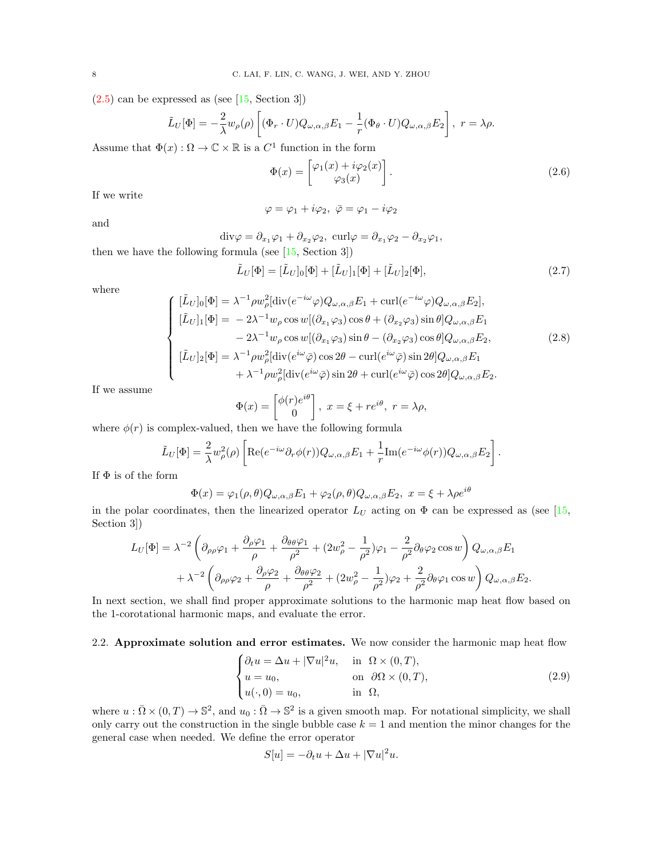$(2.5)$  can be expressed as (see [\[15,](#page-46-7) Section 3])

$$
\tilde{L}_U[\Phi] = -\frac{2}{\lambda} w_\rho(\rho) \left[ (\Phi_r \cdot U) Q_{\omega,\alpha,\beta} E_1 - \frac{1}{r} (\Phi_\theta \cdot U) Q_{\omega,\alpha,\beta} E_2 \right], \ r = \lambda \rho.
$$

Assume that  $\Phi(x): \Omega \to \mathbb{C} \times \mathbb{R}$  is a  $C^1$  function in the form

<span id="page-7-4"></span>
$$
\Phi(x) = \begin{bmatrix} \varphi_1(x) + i\varphi_2(x) \\ \varphi_3(x) \end{bmatrix} .
$$
\n(2.6)

If we write

$$
\varphi = \varphi_1 + i\varphi_2, \ \bar{\varphi} = \varphi_1 - i\varphi_2
$$

and

div $\varphi = \partial_{x_1} \varphi_1 + \partial_{x_2} \varphi_2$ , curl $\varphi = \partial_{x_1} \varphi_2 - \partial_{x_2} \varphi_1$ ,

<span id="page-7-2"></span>then we have the following formula (see [\[15,](#page-46-7) Section 3])

$$
\tilde{L}_U[\Phi] = [\tilde{L}_U]_0[\Phi] + [\tilde{L}_U]_1[\Phi] + [\tilde{L}_U]_2[\Phi],\tag{2.7}
$$

where

<span id="page-7-3"></span>
$$
\begin{cases}\n[\tilde{L}_U]_0[\Phi] = \lambda^{-1} \rho w_\rho^2[\text{div}(e^{-i\omega}\varphi)Q_{\omega,\alpha,\beta}E_1 + \text{curl}(e^{-i\omega}\varphi)Q_{\omega,\alpha,\beta}E_2],\n[\tilde{L}_U]_1[\Phi] = -2\lambda^{-1}w_\rho\cos w[(\partial_{x_1}\varphi_3)\cos\theta + (\partial_{x_2}\varphi_3)\sin\theta]Q_{\omega,\alpha,\beta}E_1\n-2\lambda^{-1}w_\rho\cos w[(\partial_{x_1}\varphi_3)\sin\theta - (\partial_{x_2}\varphi_3)\cos\theta]Q_{\omega,\alpha,\beta}E_2,\n[\tilde{L}_U]_2[\Phi] = \lambda^{-1} \rho w_\rho^2[\text{div}(e^{i\omega}\bar{\varphi})\cos2\theta - \text{curl}(e^{i\omega}\bar{\varphi})\sin2\theta]Q_{\omega,\alpha,\beta}E_1\n+ \lambda^{-1} \rho w_\rho^2[\text{div}(e^{i\omega}\bar{\varphi})\sin2\theta + \text{curl}(e^{i\omega}\bar{\varphi})\cos2\theta]Q_{\omega,\alpha,\beta}E_2.\n\end{cases}
$$
\n(2.8)

If we assume

$$
\Phi(x) = \begin{bmatrix} \phi(r)e^{i\theta} \\ 0 \end{bmatrix}, \ x = \xi + re^{i\theta}, \ r = \lambda \rho,
$$

where  $\phi(r)$  is complex-valued, then we have the following formula

$$
\tilde{L}_U[\Phi] = \frac{2}{\lambda} w_\rho^2(\rho) \left[ \text{Re}(e^{-i\omega} \partial_r \phi(r)) Q_{\omega,\alpha,\beta} E_1 + \frac{1}{r} \text{Im}(e^{-i\omega} \phi(r)) Q_{\omega,\alpha,\beta} E_2 \right].
$$

If  $\Phi$  is of the form

$$
\Phi(x) = \varphi_1(\rho, \theta) Q_{\omega, \alpha, \beta} E_1 + \varphi_2(\rho, \theta) Q_{\omega, \alpha, \beta} E_2, \ x = \xi + \lambda \rho e^{i\theta}
$$

in the polar coordinates, then the linearized operator  $L_U$  acting on  $\Phi$  can be expressed as (see [\[15,](#page-46-7) Section 3])

$$
L_U[\Phi] = \lambda^{-2} \left( \partial_{\rho\rho}\varphi_1 + \frac{\partial_{\rho}\varphi_1}{\rho} + \frac{\partial_{\theta\theta}\varphi_1}{\rho^2} + (2w_{\rho}^2 - \frac{1}{\rho^2})\varphi_1 - \frac{2}{\rho^2} \partial_{\theta}\varphi_2 \cos w \right) Q_{\omega,\alpha,\beta} E_1
$$
  
+  $\lambda^{-2} \left( \partial_{\rho\rho}\varphi_2 + \frac{\partial_{\rho}\varphi_2}{\rho} + \frac{\partial_{\theta\theta}\varphi_2}{\rho^2} + (2w_{\rho}^2 - \frac{1}{\rho^2})\varphi_2 + \frac{2}{\rho^2} \partial_{\theta}\varphi_1 \cos w \right) Q_{\omega,\alpha,\beta} E_2.$ 

In next section, we shall find proper approximate solutions to the harmonic map heat flow based on the 1-corotational harmonic maps, and evaluate the error.

## <span id="page-7-0"></span>2.2. Approximate solution and error estimates. We now consider the harmonic map heat flow

<span id="page-7-1"></span>
$$
\begin{cases} \partial_t u = \Delta u + |\nabla u|^2 u, & \text{in } \Omega \times (0, T), \\ u = u_0, & \text{on } \partial \Omega \times (0, T), \\ u(\cdot, 0) = u_0, & \text{in } \Omega, \end{cases}
$$
 (2.9)

where  $u : \overline{\Omega} \times (0,T) \to \mathbb{S}^2$ , and  $u_0 : \overline{\Omega} \to \mathbb{S}^2$  is a given smooth map. For notational simplicity, we shall only carry out the construction in the single bubble case  $k = 1$  and mention the minor changes for the general case when needed. We define the error operator

$$
S[u] = -\partial_t u + \Delta u + |\nabla u|^2 u.
$$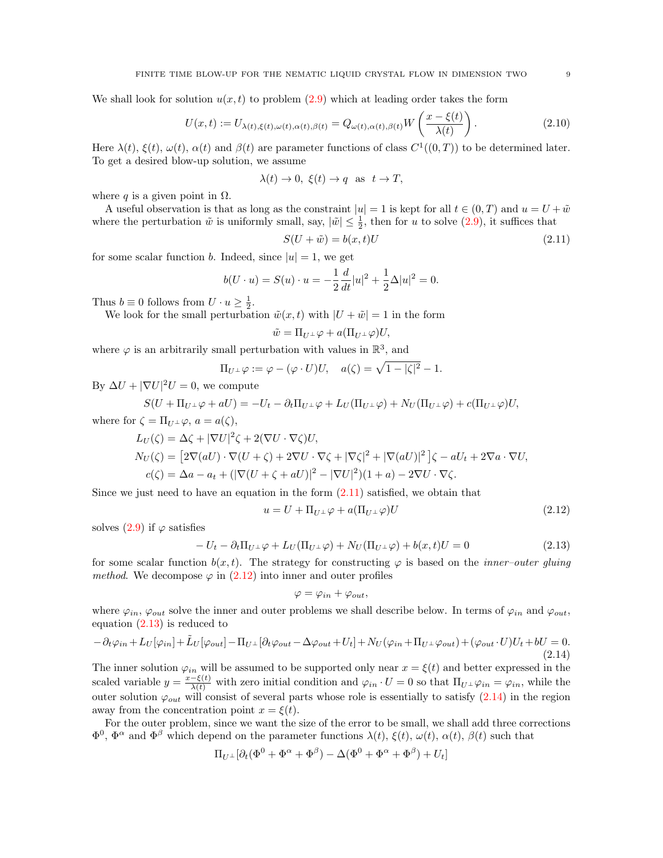We shall look for solution  $u(x, t)$  to problem [\(2.9\)](#page-7-1) which at leading order takes the form

<span id="page-8-4"></span>
$$
U(x,t) := U_{\lambda(t),\xi(t),\omega(t),\alpha(t),\beta(t)} = Q_{\omega(t),\alpha(t),\beta(t)} W\left(\frac{x-\xi(t)}{\lambda(t)}\right).
$$
\n(2.10)

Here  $\lambda(t)$ ,  $\xi(t)$ ,  $\omega(t)$ ,  $\alpha(t)$  and  $\beta(t)$  are parameter functions of class  $C^1((0,T))$  to be determined later. To get a desired blow-up solution, we assume

$$
\lambda(t) \to 0, \ \xi(t) \to q \ \text{ as } t \to T,
$$

where q is a given point in  $\Omega$ .

A useful observation is that as long as the constraint  $|u| = 1$  is kept for all  $t \in (0, T)$  and  $u = U + \tilde{w}$ where the perturbation  $\tilde{w}$  is uniformly small, say,  $|\tilde{w}| \leq \frac{1}{2}$ , then for u to solve  $(2.9)$ , it suffices that

<span id="page-8-0"></span>
$$
S(U + \tilde{w}) = b(x, t)U
$$
\n(2.11)

for some scalar function b. Indeed, since  $|u|=1$ , we get

$$
b(U \cdot u) = S(u) \cdot u = -\frac{1}{2} \frac{d}{dt} |u|^2 + \frac{1}{2} \Delta |u|^2 = 0.
$$

Thus  $b \equiv 0$  follows from  $U \cdot u \ge \frac{1}{2}$ .

We look for the small perturbation  $\tilde{w}(x, t)$  with  $|U + \tilde{w}| = 1$  in the form

$$
\tilde{w} = \Pi_{U^{\perp}} \varphi + a(\Pi_{U^{\perp}} \varphi) U,
$$

where  $\varphi$  is an arbitrarily small perturbation with values in  $\mathbb{R}^3$ , and

$$
\Pi_{U^{\perp}}\varphi := \varphi - (\varphi \cdot U)U, \quad a(\zeta) = \sqrt{1 - |\zeta|^2} - 1.
$$

By  $\Delta U + |\nabla U|^2 U = 0$ , we compute

$$
S(U + \Pi_{U^{\perp}} \varphi + aU) = -U_t - \partial_t \Pi_{U^{\perp}} \varphi + L_U(\Pi_{U^{\perp}} \varphi) + N_U(\Pi_{U^{\perp}} \varphi) + c(\Pi_{U^{\perp}} \varphi)U,
$$

where for  $\zeta = \prod_{U} \varphi$ ,  $a = a(\zeta)$ ,

$$
L_U(\zeta) = \Delta \zeta + |\nabla U|^2 \zeta + 2(\nabla U \cdot \nabla \zeta) U,
$$
  
\n
$$
N_U(\zeta) = [2\nabla (aU) \cdot \nabla (U + \zeta) + 2\nabla U \cdot \nabla \zeta + |\nabla \zeta|^2 + |\nabla (aU)|^2] \zeta - aU_t + 2\nabla a \cdot \nabla U,
$$
  
\n
$$
c(\zeta) = \Delta a - a_t + (|\nabla (U + \zeta + aU)|^2 - |\nabla U|^2)(1 + a) - 2\nabla U \cdot \nabla \zeta.
$$

Since we just need to have an equation in the form  $(2.11)$  satisfied, we obtain that

<span id="page-8-1"></span>
$$
u = U + \Pi_{U^{\perp}}\varphi + a(\Pi_{U^{\perp}}\varphi)U\tag{2.12}
$$

solves  $(2.9)$  if  $\varphi$  satisfies

<span id="page-8-2"></span>
$$
-U_t - \partial_t \Pi_{U^\perp} \varphi + L_U(\Pi_{U^\perp} \varphi) + N_U(\Pi_{U^\perp} \varphi) + b(x, t)U = 0 \tag{2.13}
$$

for some scalar function  $b(x, t)$ . The strategy for constructing  $\varphi$  is based on the *inner–outer gluing method.* We decompose  $\varphi$  in [\(2.12\)](#page-8-1) into inner and outer profiles

$$
\varphi = \varphi_{in} + \varphi_{out},
$$

where  $\varphi_{in}$ ,  $\varphi_{out}$  solve the inner and outer problems we shall describe below. In terms of  $\varphi_{in}$  and  $\varphi_{out}$ , equation [\(2.13\)](#page-8-2) is reduced to

<span id="page-8-3"></span>
$$
-\partial_t \varphi_{in} + L_U[\varphi_{in}] + \tilde{L}_U[\varphi_{out}] - \Pi_{U^\perp}[\partial_t \varphi_{out} - \Delta \varphi_{out} + U_t] + N_U(\varphi_{in} + \Pi_{U^\perp} \varphi_{out}) + (\varphi_{out} \cdot U)U_t + bU = 0.
$$
\n(2.14)

The inner solution  $\varphi_{in}$  will be assumed to be supported only near  $x = \xi(t)$  and better expressed in the scaled variable  $y = \frac{x-\xi(t)}{\lambda(t)}$  with zero initial condition and  $\varphi_{in} \cdot U = 0$  so that  $\Pi_{U^{\perp}} \varphi_{in} = \varphi_{in}$ , while the outer solution  $\varphi_{out}$  will consist of several parts whose role is essentially to satisfy  $(2.14)$  in the region away from the concentration point  $x = \xi(t)$ .

For the outer problem, since we want the size of the error to be small, we shall add three corrections  $\Phi^0$ ,  $\Phi^\alpha$  and  $\Phi^\beta$  which depend on the parameter functions  $\lambda(t)$ ,  $\xi(t)$ ,  $\omega(t)$ ,  $\alpha(t)$ ,  $\beta(t)$  such that

$$
\Pi_{U^{\perp}}[\partial_t(\Phi^0 + \Phi^{\alpha} + \Phi^{\beta}) - \Delta(\Phi^0 + \Phi^{\alpha} + \Phi^{\beta}) + U_t]
$$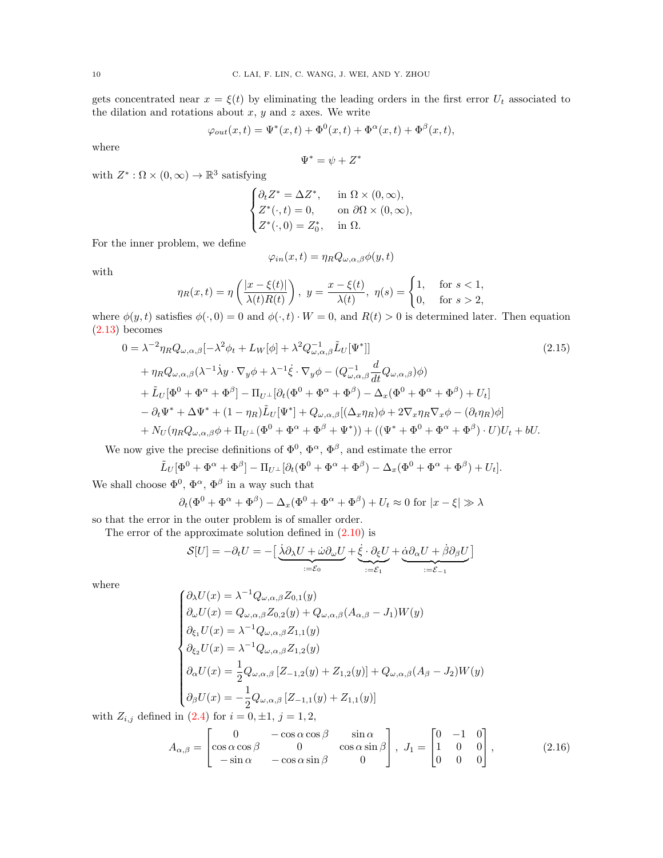gets concentrated near  $x = \xi(t)$  by eliminating the leading orders in the first error  $U_t$  associated to the dilation and rotations about  $x, y$  and  $z$  axes. We write

$$
\varphi_{out}(x,t) = \Psi^*(x,t) + \Phi^0(x,t) + \Phi^\alpha(x,t) + \Phi^\beta(x,t),
$$

where

$$
\Psi^* = \psi + Z^*
$$

with  $Z^* : \Omega \times (0, \infty) \to \mathbb{R}^3$  satisfying

$$
\begin{cases} \partial_t Z^* = \Delta Z^*, & \text{in } \Omega \times (0, \infty), \\ Z^*(\cdot, t) = 0, & \text{on } \partial \Omega \times (0, \infty), \\ Z^*(\cdot, 0) = Z_0^*, & \text{in } \Omega. \end{cases}
$$

For the inner problem, we define

<span id="page-9-0"></span>
$$
\varphi_{in}(x,t) = \eta_R Q_{\omega,\alpha,\beta} \phi(y,t)
$$

with

$$
\eta_R(x,t) = \eta\left(\frac{|x-\xi(t)|}{\lambda(t)R(t)}\right), \ y = \frac{x-\xi(t)}{\lambda(t)}, \ \eta(s) = \begin{cases} 1, & \text{for } s < 1, \\ 0, & \text{for } s > 2, \end{cases}
$$

where  $\phi(y, t)$  satisfies  $\phi(\cdot, 0) = 0$  and  $\phi(\cdot, t) \cdot W = 0$ , and  $R(t) > 0$  is determined later. Then equation [\(2.13\)](#page-8-2) becomes

$$
0 = \lambda^{-2} \eta_R Q_{\omega,\alpha,\beta} [-\lambda^2 \phi_t + L_W[\phi] + \lambda^2 Q_{\omega,\alpha,\beta}^{-1} \tilde{L}_U[\Psi^*]]
$$
\n
$$
+ \eta_R Q_{\omega,\alpha,\beta} (\lambda^{-1} \dot{\lambda} y \cdot \nabla_y \phi + \lambda^{-1} \dot{\xi} \cdot \nabla_y \phi - (Q_{\omega,\alpha,\beta}^{-1} \frac{d}{dt} Q_{\omega,\alpha,\beta}) \phi)
$$
\n
$$
+ \tilde{L}_U[\Phi^0 + \Phi^\alpha + \Phi^\beta] - \Pi_{U^\perp} [\partial_t (\Phi^0 + \Phi^\alpha + \Phi^\beta) - \Delta_x (\Phi^0 + \Phi^\alpha + \Phi^\beta) + U_t]
$$
\n
$$
- \partial_t \Psi^* + \Delta \Psi^* + (1 - \eta_R) \tilde{L}_U[\Psi^*] + Q_{\omega,\alpha,\beta} [(\Delta_x \eta_R) \phi + 2 \nabla_x \eta_R \nabla_x \phi - (\partial_t \eta_R) \phi]
$$
\n
$$
+ N_U (\eta_R Q_{\omega,\alpha,\beta} \phi + \Pi_{U^\perp} (\Phi^0 + \Phi^\alpha + \Phi^\beta + \Psi^*)) + ((\Psi^* + \Phi^0 + \Phi^\alpha + \Phi^\beta) \cdot U) U_t + bU.
$$
\n(2.15)

We now give the precise definitions of  $\Phi^0$ ,  $\Phi^{\alpha}$ ,  $\Phi^{\beta}$ , and estimate the error

$$
\tilde{L}_U[\Phi^0 + \Phi^\alpha + \Phi^\beta] - \Pi_{U^\perp}[\partial_t(\Phi^0 + \Phi^\alpha + \Phi^\beta) - \Delta_x(\Phi^0 + \Phi^\alpha + \Phi^\beta) + U_t].
$$

We shall choose  $\Phi^0$ ,  $\Phi^{\alpha}$ ,  $\Phi^{\beta}$  in a way such that

$$
\partial_t(\Phi^0 + \Phi^\alpha + \Phi^\beta) - \Delta_x(\Phi^0 + \Phi^\alpha + \Phi^\beta) + U_t \approx 0
$$
 for  $|x - \xi| \gg \lambda$ 

so that the error in the outer problem is of smaller order.

The error of the approximate solution defined in  $(2.10)$  is

$$
\mathcal{S}[U] = -\partial_t U = -\Big[\underbrace{\dot{\lambda}\partial_{\lambda}U + \dot{\omega}\partial_{\omega}U}_{:=\mathcal{E}_0} + \underbrace{\dot{\xi}\cdot\partial_{\xi}U}_{:=\mathcal{E}_1} + \underbrace{\dot{\alpha}\partial_{\alpha}U + \dot{\beta}\partial_{\beta}U}_{:=\mathcal{E}_{-1}}\Big]
$$

where

$$
\begin{cases}\n\partial_{\lambda}U(x) = \lambda^{-1}Q_{\omega,\alpha,\beta}Z_{0,1}(y) \\
\partial_{\omega}U(x) = Q_{\omega,\alpha,\beta}Z_{0,2}(y) + Q_{\omega,\alpha,\beta}(A_{\alpha,\beta} - J_1)W(y) \\
\partial_{\xi_1}U(x) = \lambda^{-1}Q_{\omega,\alpha,\beta}Z_{1,1}(y) \\
\partial_{\xi_2}U(x) = \lambda^{-1}Q_{\omega,\alpha,\beta}Z_{1,2}(y) \\
\partial_{\alpha}U(x) = \frac{1}{2}Q_{\omega,\alpha,\beta}[Z_{-1,2}(y) + Z_{1,2}(y)] + Q_{\omega,\alpha,\beta}(A_{\beta} - J_2)W(y) \\
\partial_{\beta}U(x) = -\frac{1}{2}Q_{\omega,\alpha,\beta}[Z_{-1,1}(y) + Z_{1,1}(y)] \\
\text{in (2.4) for } i = 0, +1, i = 1, 2\n\end{cases}
$$

with  $Z_{i,j}$  defined in [\(2.4\)](#page-6-3) for  $i = 0, \pm 1, j = 1, 2,$ 

$$
A_{\alpha,\beta} = \begin{bmatrix} 0 & -\cos\alpha\cos\beta & \sin\alpha \\ \cos\alpha\cos\beta & 0 & \cos\alpha\sin\beta \\ -\sin\alpha & -\cos\alpha\sin\beta & 0 \end{bmatrix}, J_1 = \begin{bmatrix} 0 & -1 & 0 \\ 1 & 0 & 0 \\ 0 & 0 & 0 \end{bmatrix},
$$
(2.16)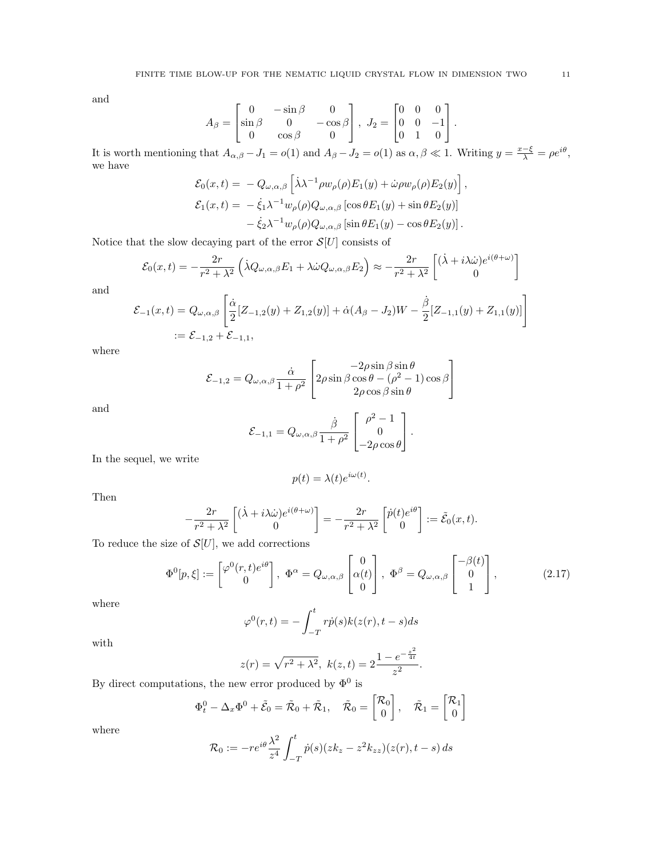and

$$
A_{\beta} = \begin{bmatrix} 0 & -\sin \beta & 0 \\ \sin \beta & 0 & -\cos \beta \\ 0 & \cos \beta & 0 \end{bmatrix}, J_2 = \begin{bmatrix} 0 & 0 & 0 \\ 0 & 0 & -1 \\ 0 & 1 & 0 \end{bmatrix}.
$$

It is worth mentioning that  $A_{\alpha,\beta} - J_1 = o(1)$  and  $A_{\beta} - J_2 = o(1)$  as  $\alpha, \beta \ll 1$ . Writing  $y = \frac{x-\xi}{\lambda} = \rho e^{i\theta}$ , we have

$$
\mathcal{E}_0(x,t) = -Q_{\omega,\alpha,\beta}\left[\lambda\lambda^{-1}\rho w_\rho(\rho)E_1(y) + \dot{\omega}\rho w_\rho(\rho)E_2(y)\right],
$$
  

$$
\mathcal{E}_1(x,t) = -\dot{\xi}_1\lambda^{-1}w_\rho(\rho)Q_{\omega,\alpha,\beta}\left[\cos\theta E_1(y) + \sin\theta E_2(y)\right]
$$
  

$$
-\dot{\xi}_2\lambda^{-1}w_\rho(\rho)Q_{\omega,\alpha,\beta}\left[\sin\theta E_1(y) - \cos\theta E_2(y)\right].
$$

Notice that the slow decaying part of the error  $\mathcal{S}[U]$  consists of

$$
\mathcal{E}_0(x,t) = -\frac{2r}{r^2 + \lambda^2} \left( \lambda Q_{\omega,\alpha,\beta} E_1 + \lambda \dot{\omega} Q_{\omega,\alpha,\beta} E_2 \right) \approx -\frac{2r}{r^2 + \lambda^2} \left[ \begin{pmatrix} \dot{\lambda} + i \lambda \dot{\omega} \right] e^{i(\theta + \omega)} \\ 0 \end{pmatrix}
$$

and

$$
\mathcal{E}_{-1}(x,t) = Q_{\omega,\alpha,\beta} \left[ \frac{\dot{\alpha}}{2} [Z_{-1,2}(y) + Z_{1,2}(y)] + \dot{\alpha}(A_{\beta} - J_2)W - \frac{\dot{\beta}}{2} [Z_{-1,1}(y) + Z_{1,1}(y)] \right]
$$
  
 :=  $\mathcal{E}_{-1,2} + \mathcal{E}_{-1,1}$ ,

where

$$
\mathcal{E}_{-1,2} = Q_{\omega,\alpha,\beta} \frac{\dot{\alpha}}{1+\rho^2} \left[ 2\rho \sin \beta \cos \theta - (\rho^2 - 1) \cos \beta \right]
$$
  
 
$$
2\rho \cos \beta \sin \theta
$$

and

$$
\mathcal{E}_{-1,1} = Q_{\omega,\alpha,\beta} \frac{\dot{\beta}}{1+\rho^2} \begin{bmatrix} \rho^2 - 1 \\ 0 \\ -2\rho\cos\theta \end{bmatrix}.
$$

In the sequel, we write

$$
p(t) = \lambda(t)e^{i\omega(t)}
$$

Then

$$
-\frac{2r}{r^2+\lambda^2}\begin{bmatrix}(\lambda+i\lambda\dot{\omega})e^{i(\theta+\omega)}\\0\end{bmatrix}=-\frac{2r}{r^2+\lambda^2}\begin{bmatrix}\dot{p}(t)e^{i\theta}\\0\end{bmatrix}:=\tilde{\mathcal{E}}_0(x,t).
$$

To reduce the size of  $\mathcal{S}[U]$ , we add corrections

<span id="page-10-0"></span>
$$
\Phi^{0}[p,\xi] := \begin{bmatrix} \varphi^{0}(r,t)e^{i\theta} \\ 0 \end{bmatrix}, \ \Phi^{\alpha} = Q_{\omega,\alpha,\beta} \begin{bmatrix} 0 \\ \alpha(t) \\ 0 \end{bmatrix}, \ \Phi^{\beta} = Q_{\omega,\alpha,\beta} \begin{bmatrix} -\beta(t) \\ 0 \\ 1 \end{bmatrix}, \tag{2.17}
$$

.

where

$$
\varphi^{0}(r,t) = -\int_{-T}^{t} r\dot{p}(s)k(z(r), t - s)ds
$$

with

$$
z(r) = \sqrt{r^2 + \lambda^2}, \ k(z, t) = 2 \frac{1 - e^{-\frac{z^2}{4t}}}{z^2}.
$$

By direct computations, the new error produced by  $\Phi^0$  is

$$
\Phi_t^0 - \Delta_x \Phi^0 + \tilde{\mathcal{E}}_0 = \tilde{\mathcal{R}}_0 + \tilde{\mathcal{R}}_1, \quad \tilde{\mathcal{R}}_0 = \begin{bmatrix} \mathcal{R}_0 \\ 0 \end{bmatrix}, \quad \tilde{\mathcal{R}}_1 = \begin{bmatrix} \mathcal{R}_1 \\ 0 \end{bmatrix}
$$

where

$$
\mathcal{R}_0 := -re^{i\theta} \frac{\lambda^2}{z^4} \int_{-T}^t \dot{p}(s)(z k_z - z^2 k_{zz})(z(r), t - s) ds
$$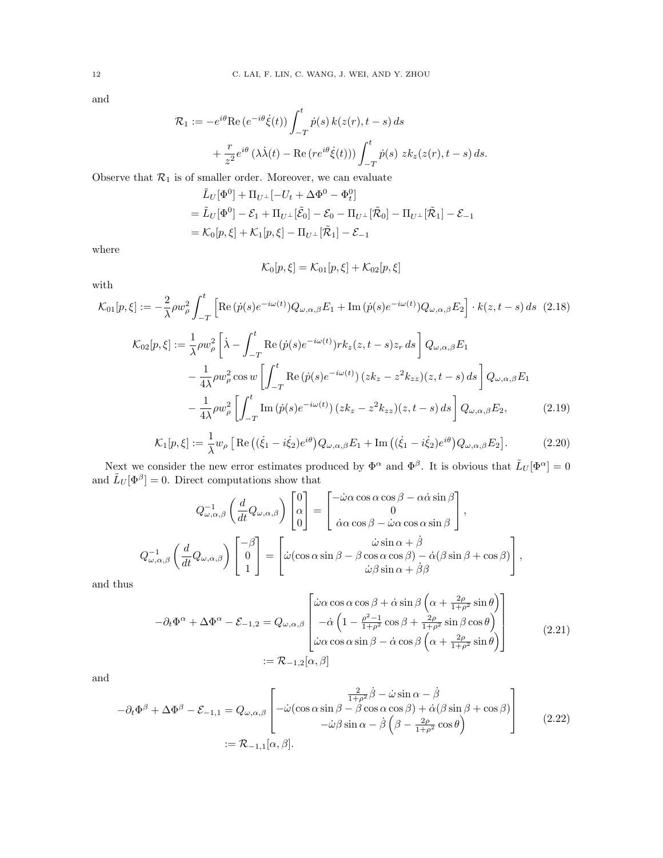and

$$
\mathcal{R}_1 := -e^{i\theta} \text{Re} \left( e^{-i\theta} \dot{\xi}(t) \right) \int_{-T}^t \dot{p}(s) \, k(z(r), t - s) \, ds
$$

$$
+ \frac{r}{z^2} e^{i\theta} \left( \lambda \dot{\lambda}(t) - \text{Re} \left( r e^{i\theta} \dot{\xi}(t) \right) \right) \int_{-T}^t \dot{p}(s) \, z k_z(z(r), t - s) \, ds.
$$

Observe that  $\mathcal{R}_1$  is of smaller order. Moreover, we can evaluate

$$
\tilde{L}_U[\Phi^0] + \Pi_{U^\perp}[-U_t + \Delta \Phi^0 - \Phi_t^0] \n= \tilde{L}_U[\Phi^0] - \mathcal{E}_1 + \Pi_{U^\perp}[\tilde{\mathcal{E}}_0] - \mathcal{E}_0 - \Pi_{U^\perp}[\tilde{\mathcal{R}}_0] - \Pi_{U^\perp}[\tilde{\mathcal{R}}_1] - \mathcal{E}_{-1} \n= \mathcal{K}_0[p, \xi] + \mathcal{K}_1[p, \xi] - \Pi_{U^\perp}[\tilde{\mathcal{R}}_1] - \mathcal{E}_{-1}
$$

where

<span id="page-11-2"></span><span id="page-11-1"></span><span id="page-11-0"></span>
$$
\mathcal{K}_0[p,\xi]=\mathcal{K}_{01}[p,\xi]+\mathcal{K}_{02}[p,\xi]
$$

with

$$
\mathcal{K}_{01}[p,\xi] := -\frac{2}{\lambda}\rho w_{\rho}^{2} \int_{-T}^{t} \left[ \text{Re}\left(\dot{p}(s)e^{-i\omega(t)}\right)Q_{\omega,\alpha,\beta}E_{1} + \text{Im}\left(\dot{p}(s)e^{-i\omega(t)}\right)Q_{\omega,\alpha,\beta}E_{2} \right] \cdot k(z,t-s) \, ds \tag{2.18}
$$
\n
$$
\mathcal{K}_{02}[p,\xi] := \frac{1}{\lambda}\rho w_{\rho}^{2} \left[ \dot{\lambda} - \int_{-T}^{t} \text{Re}\left(\dot{p}(s)e^{-i\omega(t)}\right)rk_{z}(z,t-s)z_{r} \, ds \right] Q_{\omega,\alpha,\beta}E_{1}
$$
\n
$$
- \frac{1}{4\lambda}\rho w_{\rho}^{2} \cos w \left[ \int_{-T}^{t} \text{Re}\left(\dot{p}(s)e^{-i\omega(t)}\right) (zk_{z} - z^{2}k_{zz})(z,t-s) \, ds \right] Q_{\omega,\alpha,\beta}E_{1}
$$
\n
$$
- \frac{1}{4\lambda}\rho w_{\rho}^{2} \left[ \int_{-T}^{t} \text{Im}\left(\dot{p}(s)e^{-i\omega(t)}\right) (zk_{z} - z^{2}k_{zz})(z,t-s) \, ds \right] Q_{\omega,\alpha,\beta}E_{2}, \tag{2.19}
$$

$$
\mathcal{K}_1[p,\xi] := \frac{1}{\lambda} w_\rho \left[ \text{Re} \left( (\dot{\xi}_1 - i\dot{\xi}_2) e^{i\theta} \right) Q_{\omega,\alpha,\beta} E_1 + \text{Im} \left( (\dot{\xi}_1 - i\dot{\xi}_2) e^{i\theta} \right) Q_{\omega,\alpha,\beta} E_2 \right]. \tag{2.20}
$$

Next we consider the new error estimates produced by  $\Phi^{\alpha}$  and  $\Phi^{\beta}$ . It is obvious that  $\tilde{L}_U[\Phi^{\alpha}] = 0$ and  $\tilde{L}_U[\Phi^{\beta}] = 0$ . Direct computations show that

$$
Q_{\omega,\alpha,\beta}^{-1}\left(\frac{d}{dt}Q_{\omega,\alpha,\beta}\right)\begin{bmatrix}0\\ \alpha\\ 0\end{bmatrix} = \begin{bmatrix} -\dot{\omega}\alpha\cos\alpha\cos\beta - \alpha\dot{\alpha}\sin\beta\\ 0\\ \dot{\alpha}\alpha\cos\beta - \dot{\omega}\alpha\cos\alpha\sin\beta \end{bmatrix},
$$
  

$$
Q_{\omega,\alpha,\beta}^{-1}\left(\frac{d}{dt}Q_{\omega,\alpha,\beta}\right)\begin{bmatrix} -\beta\\ 0\\ 1\end{bmatrix} = \begin{bmatrix} \dot{\omega}\sin\alpha + \dot{\beta} \\ \dot{\omega}(\cos\alpha\sin\beta - \beta\cos\alpha\cos\beta) - \dot{\alpha}(\beta\sin\beta + \cos\beta) \\ \dot{\omega}\beta\sin\alpha + \dot{\beta}\beta \end{bmatrix},
$$

<span id="page-11-4"></span>and thus

$$
-\partial_t \Phi^{\alpha} + \Delta \Phi^{\alpha} - \mathcal{E}_{-1,2} = Q_{\omega,\alpha,\beta} \begin{bmatrix} \dot{\omega} \alpha \cos \alpha \cos \beta + \dot{\alpha} \sin \beta \left( \alpha + \frac{2\rho}{1+\rho^2} \sin \theta \right) \\ -\dot{\alpha} \left( 1 - \frac{\rho^2 - 1}{1+\rho^2} \cos \beta + \frac{2\rho}{1+\rho^2} \sin \beta \cos \theta \right) \\ \dot{\omega} \alpha \cos \alpha \sin \beta - \dot{\alpha} \cos \beta \left( \alpha + \frac{2\rho}{1+\rho^2} \sin \theta \right) \end{bmatrix}
$$
(2.21)  
 :=  $\mathcal{R}_{-1,2}[\alpha, \beta]$ 

and

<span id="page-11-3"></span>
$$
-\partial_t \Phi^{\beta} + \Delta \Phi^{\beta} - \mathcal{E}_{-1,1} = Q_{\omega,\alpha,\beta} \begin{bmatrix} \frac{2}{1+\rho^2} \dot{\beta} - \dot{\omega} \sin \alpha - \dot{\beta} \\ -\dot{\omega} (\cos \alpha \sin \beta - \beta \cos \alpha \cos \beta) + \dot{\alpha} (\beta \sin \beta + \cos \beta) \\ -\dot{\omega} \beta \sin \alpha - \dot{\beta} \left( \beta - \frac{2\rho}{1+\rho^2} \cos \theta \right) \end{bmatrix}
$$
(2.22)  
:=  $\mathcal{R}_{-1,1}[\alpha, \beta].$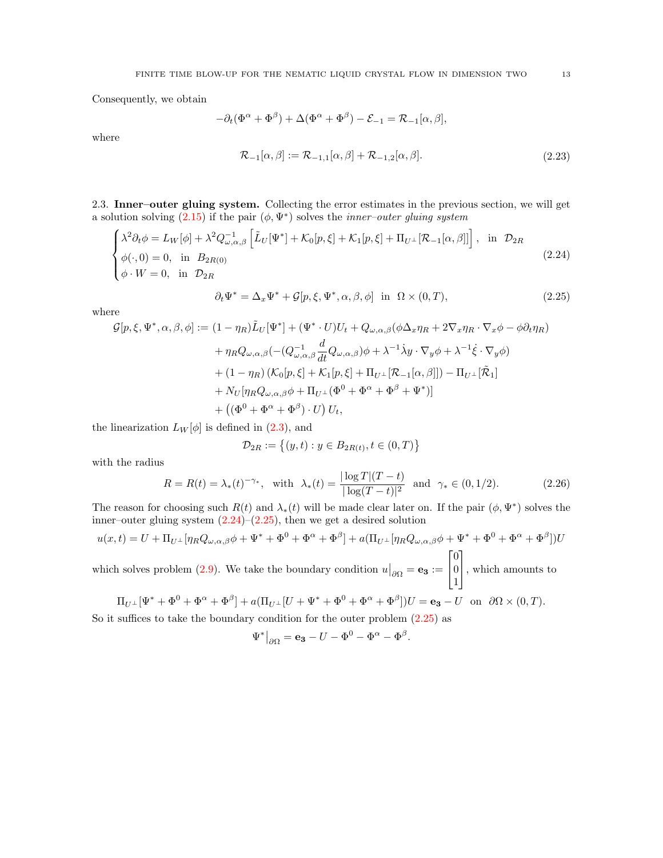Consequently, we obtain

$$
-\partial_t(\Phi^{\alpha} + \Phi^{\beta}) + \Delta(\Phi^{\alpha} + \Phi^{\beta}) - \mathcal{E}_{-1} = \mathcal{R}_{-1}[\alpha, \beta],
$$

<span id="page-12-2"></span>where

$$
\mathcal{R}_{-1}[\alpha,\beta] := \mathcal{R}_{-1,1}[\alpha,\beta] + \mathcal{R}_{-1,2}[\alpha,\beta]. \tag{2.23}
$$

2.3. Inner–outer gluing system. Collecting the error estimates in the previous section, we will get a solution solving  $(2.15)$  if the pair  $(\phi, \Psi^*)$  solves the *inner-outer gluing system* 

<span id="page-12-0"></span>
$$
\begin{cases}\n\lambda^2 \partial_t \phi = L_W[\phi] + \lambda^2 Q_{\omega,\alpha,\beta}^{-1} \left[ \tilde{L}_U[\Psi^*] + \mathcal{K}_0[p,\xi] + \mathcal{K}_1[p,\xi] + \Pi_{U^\perp}[\mathcal{R}_{-1}[\alpha,\beta]] \right], & \text{in } \mathcal{D}_{2R} \\
\phi(\cdot,0) = 0, & \text{in } B_{2R(0)} \\
\phi \cdot W = 0, & \text{in } \mathcal{D}_{2R}\n\end{cases}
$$
\n(2.24)

<span id="page-12-1"></span>
$$
\partial_t \Psi^* = \Delta_x \Psi^* + \mathcal{G}[p, \xi, \Psi^*, \alpha, \beta, \phi] \quad \text{in} \quad \Omega \times (0, T), \tag{2.25}
$$

where

$$
\mathcal{G}[p,\xi,\Psi^*,\alpha,\beta,\phi] := (1 - \eta_R)\tilde{L}_U[\Psi^*] + (\Psi^* \cdot U)U_t + Q_{\omega,\alpha,\beta}(\phi\Delta_x\eta_R + 2\nabla_x\eta_R\cdot\nabla_x\phi - \phi\partial_t\eta_R)
$$
  
+ 
$$
\eta_RQ_{\omega,\alpha,\beta}(-(Q_{\omega,\alpha,\beta}^{-1}\frac{d}{dt}Q_{\omega,\alpha,\beta})\phi + \lambda^{-1}\dot{\lambda}y\cdot\nabla_y\phi + \lambda^{-1}\dot{\xi}\cdot\nabla_y\phi)
$$
  
+ 
$$
(1 - \eta_R)(\mathcal{K}_0[p,\xi] + \mathcal{K}_1[p,\xi] + \Pi_{U^\perp}[\mathcal{R}_{-1}[\alpha,\beta]]) - \Pi_{U^\perp}[\tilde{\mathcal{R}}_1]
$$
  
+ 
$$
N_U[\eta_RQ_{\omega,\alpha,\beta}\phi + \Pi_{U^\perp}(\Phi^0 + \Phi^\alpha + \Phi^\beta + \Psi^*)]
$$
  
+ 
$$
((\Phi^0 + \Phi^\alpha + \Phi^\beta) \cdot U)U_t,
$$

the linearization  $L_W[\phi]$  is defined in [\(2.3\)](#page-6-1), and

$$
\mathcal{D}_{2R} := \{(y, t) : y \in B_{2R(t)}, t \in (0, T)\}
$$

with the radius

<span id="page-12-3"></span>
$$
R = R(t) = \lambda_*(t)^{-\gamma_*}, \text{ with } \lambda_*(t) = \frac{|\log T|(T - t)}{|\log(T - t)|^2} \text{ and } \gamma_* \in (0, 1/2). \tag{2.26}
$$

The reason for choosing such  $R(t)$  and  $\lambda_*(t)$  will be made clear later on. If the pair  $(\phi, \Psi^*)$  solves the inner–outer gluing system  $(2.24)$ – $(2.25)$ , then we get a desired solution

$$
u(x,t) = U + \Pi_{U^{\perp}}[\eta_R Q_{\omega,\alpha,\beta}\phi + \Psi^* + \Phi^0 + \Phi^{\alpha} + \Phi^{\beta}] + a(\Pi_{U^{\perp}}[\eta_R Q_{\omega,\alpha,\beta}\phi + \Psi^* + \Phi^0 + \Phi^{\alpha} + \Phi^{\beta}])U
$$
  
[0]

which solves problem [\(2.9\)](#page-7-1). We take the boundary condition  $u|_{\partial\Omega} = \mathbf{e_3} :=$  $\overline{1}$ 0 1 , which amounts to

$$
\Pi_{U^{\perp}}[\Psi^* + \Phi^0 + \Phi^{\alpha} + \Phi^{\beta}] + a(\Pi_{U^{\perp}}[U + \Psi^* + \Phi^0 + \Phi^{\alpha} + \Phi^{\beta}])U = \mathbf{e}_3 - U \text{ on } \partial\Omega \times (0, T).
$$

So it suffices to take the boundary condition for the outer problem [\(2.25\)](#page-12-1) as

$$
\Psi^*|_{\partial\Omega} = \mathbf{e_3} - U - \Phi^0 - \Phi^\alpha - \Phi^\beta.
$$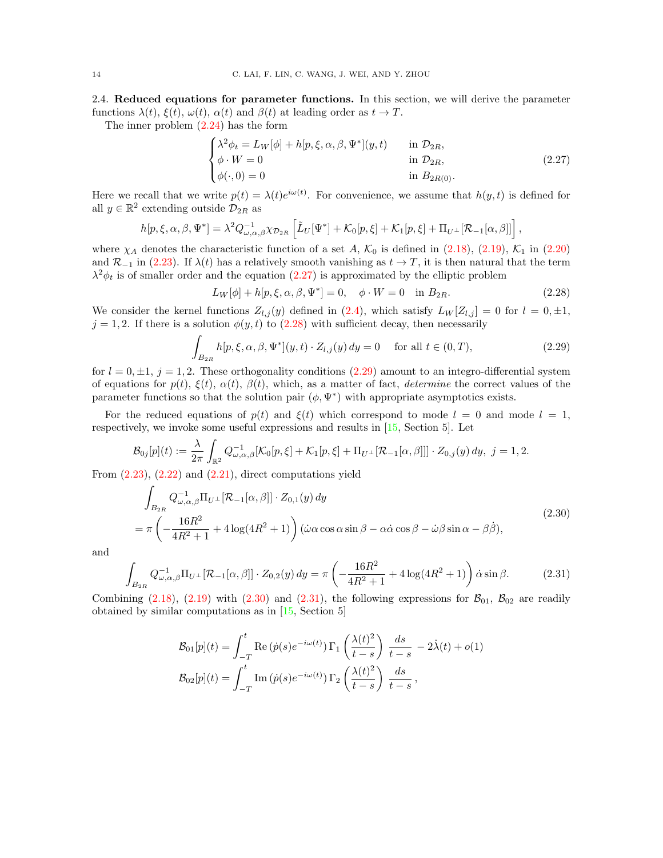<span id="page-13-0"></span>2.4. Reduced equations for parameter functions. In this section, we will derive the parameter functions  $\lambda(t)$ ,  $\xi(t)$ ,  $\omega(t)$ ,  $\alpha(t)$  and  $\beta(t)$  at leading order as  $t \to T$ .

The inner problem [\(2.24\)](#page-12-0) has the form

<span id="page-13-1"></span>
$$
\begin{cases}\n\lambda^2 \phi_t = L_W[\phi] + h[p, \xi, \alpha, \beta, \Psi^*](y, t) & \text{in } \mathcal{D}_{2R}, \\
\phi \cdot W = 0 & \text{in } \mathcal{D}_{2R}, \\
\phi(\cdot, 0) = 0 & \text{in } B_{2R(0)}.\n\end{cases}
$$
\n(2.27)

Here we recall that we write  $p(t) = \lambda(t)e^{i\omega(t)}$ . For convenience, we assume that  $h(y, t)$  is defined for all  $y \in \mathbb{R}^2$  extending outside  $\mathcal{D}_{2R}$  as

$$
h[p,\xi,\alpha,\beta,\Psi^*] = \lambda^2 Q_{\omega,\alpha,\beta}^{-1} \chi_{\mathcal{D}_{2R}} \left[ \tilde{L}_U[\Psi^*] + \mathcal{K}_0[p,\xi] + \mathcal{K}_1[p,\xi] + \Pi_{U^{\perp}}[\mathcal{R}_{-1}[\alpha,\beta]] \right],
$$

where  $\chi_A$  denotes the characteristic function of a set A,  $\mathcal{K}_0$  is defined in [\(2.18\)](#page-11-0), [\(2.19\)](#page-11-1),  $\mathcal{K}_1$  in [\(2.20\)](#page-11-2) and  $\mathcal{R}_{-1}$  in [\(2.23\)](#page-12-2). If  $\lambda(t)$  has a relatively smooth vanishing as  $t \to T$ , it is then natural that the term  $\lambda^2 \phi_t$  is of smaller order and the equation [\(2.27\)](#page-13-1) is approximated by the elliptic problem

<span id="page-13-2"></span>
$$
L_W[\phi] + h[p, \xi, \alpha, \beta, \Psi^*] = 0, \quad \phi \cdot W = 0 \quad \text{in } B_{2R}.
$$
 (2.28)

We consider the kernel functions  $Z_{l,j}(y)$  defined in [\(2.4\)](#page-6-3), which satisfy  $L_W[Z_{l,j}] = 0$  for  $l = 0, \pm 1$ ,  $j = 1, 2$ . If there is a solution  $\phi(y, t)$  to  $(2.28)$  with sufficient decay, then necessarily

<span id="page-13-3"></span>
$$
\int_{B_{2R}} h[p,\xi,\alpha,\beta,\Psi^*](y,t) \cdot Z_{l,j}(y) \, dy = 0 \quad \text{ for all } t \in (0,T), \tag{2.29}
$$

for  $l = 0, \pm 1, j = 1, 2$ . These orthogonality conditions [\(2.29\)](#page-13-3) amount to an integro-differential system of equations for  $p(t)$ ,  $\xi(t)$ ,  $\alpha(t)$ ,  $\beta(t)$ , which, as a matter of fact, *determine* the correct values of the parameter functions so that the solution pair  $(\phi, \Psi^*)$  with appropriate asymptotics exists.

For the reduced equations of  $p(t)$  and  $\xi(t)$  which correspond to mode  $l = 0$  and mode  $l = 1$ , respectively, we invoke some useful expressions and results in [\[15,](#page-46-7) Section 5]. Let

$$
\mathcal{B}_{0j}[p](t) := \frac{\lambda}{2\pi} \int_{\mathbb{R}^2} Q_{\omega,\alpha,\beta}^{-1} [\mathcal{K}_0[p,\xi] + \mathcal{K}_1[p,\xi] + \Pi_{U^\perp} [\mathcal{R}_{-1}[\alpha,\beta]]] \cdot Z_{0,j}(y) dy, \ j = 1, 2.
$$

<span id="page-13-4"></span>From  $(2.23)$ ,  $(2.22)$  and  $(2.21)$ , direct computations yield

$$
\int_{B_{2R}} Q_{\omega,\alpha,\beta}^{-1} \Pi_{U^{\perp}} [\mathcal{R}_{-1}[\alpha,\beta]] \cdot Z_{0,1}(y) dy
$$
\n
$$
= \pi \left( -\frac{16R^2}{4R^2 + 1} + 4\log(4R^2 + 1) \right) (\dot{\omega}\alpha\cos\alpha\sin\beta - \alpha\dot{\alpha}\cos\beta - \dot{\omega}\beta\sin\alpha - \beta\dot{\beta}), \tag{2.30}
$$

<span id="page-13-5"></span>and

$$
\int_{B_{2R}} Q_{\omega,\alpha,\beta}^{-1} \Pi_{U^{\perp}} [\mathcal{R}_{-1}[\alpha,\beta]] \cdot Z_{0,2}(y) \, dy = \pi \left( -\frac{16R^2}{4R^2 + 1} + 4\log(4R^2 + 1) \right) \dot{\alpha} \sin \beta. \tag{2.31}
$$

Combining  $(2.18)$ ,  $(2.19)$  with  $(2.30)$  and  $(2.31)$ , the following expressions for  $\mathcal{B}_{01}$ ,  $\mathcal{B}_{02}$  are readily obtained by similar computations as in [\[15,](#page-46-7) Section 5]

$$
\mathcal{B}_{01}[p](t) = \int_{-T}^{t} \text{Re}(\dot{p}(s)e^{-i\omega(t)}) \Gamma_1\left(\frac{\lambda(t)^2}{t-s}\right) \frac{ds}{t-s} - 2\dot{\lambda}(t) + o(1)
$$

$$
\mathcal{B}_{02}[p](t) = \int_{-T}^{t} \text{Im}(\dot{p}(s)e^{-i\omega(t)}) \Gamma_2\left(\frac{\lambda(t)^2}{t-s}\right) \frac{ds}{t-s},
$$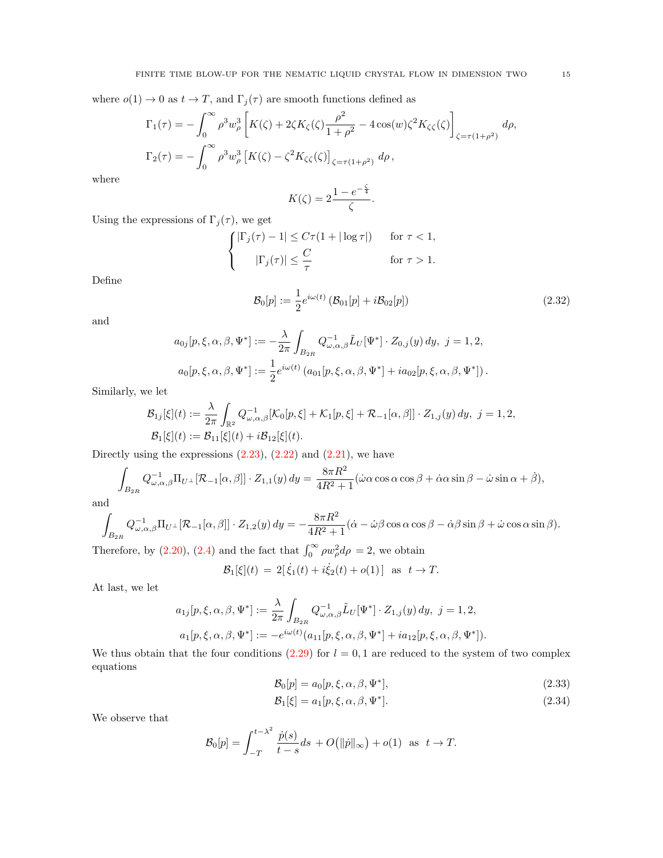where  $o(1) \to 0$  as  $t \to T$ , and  $\Gamma_j(\tau)$  are smooth functions defined as

$$
\Gamma_1(\tau) = -\int_0^\infty \rho^3 w_\rho^3 \left[ K(\zeta) + 2\zeta K_\zeta(\zeta) \frac{\rho^2}{1+\rho^2} - 4\cos(w)\zeta^2 K_{\zeta\zeta}(\zeta) \right]_{\zeta = \tau(1+\rho^2)} d\rho,
$$
  

$$
\Gamma_2(\tau) = -\int_0^\infty \rho^3 w_\rho^3 \left[ K(\zeta) - \zeta^2 K_{\zeta\zeta}(\zeta) \right]_{\zeta = \tau(1+\rho^2)} d\rho,
$$

where

$$
K(\zeta) = 2\frac{1 - e^{-\frac{\zeta}{4}}}{\zeta}.
$$

Using the expressions of  $\Gamma_j(\tau)$ , we get

<span id="page-14-2"></span>
$$
\begin{cases} |\Gamma_j(\tau)-1| \leq C\tau(1+|\log \tau|) & \text{for } \tau < 1, \\ \qquad |\Gamma_j(\tau)| \leq \frac{C}{\tau} & \text{for } \tau > 1. \end{cases}
$$

Define

$$
\mathcal{B}_0[p] := \frac{1}{2} e^{i\omega(t)} \left( \mathcal{B}_{01}[p] + i \mathcal{B}_{02}[p] \right) \tag{2.32}
$$

and

$$
a_{0j}[p,\xi,\alpha,\beta,\Psi^*] := -\frac{\lambda}{2\pi} \int_{B_{2R}} Q_{\omega,\alpha,\beta}^{-1} \tilde{L}_U[\Psi^*] \cdot Z_{0,j}(y) dy, \ j = 1,2,
$$
  

$$
a_0[p,\xi,\alpha,\beta,\Psi^*] := \frac{1}{2} e^{i\omega(t)} (a_{01}[p,\xi,\alpha,\beta,\Psi^*] + i a_{02}[p,\xi,\alpha,\beta,\Psi^*]).
$$

Similarly, we let

$$
\mathcal{B}_{1j}[\xi](t) := \frac{\lambda}{2\pi} \int_{\mathbb{R}^2} Q_{\omega,\alpha,\beta}^{-1} [\mathcal{K}_0[p,\xi] + \mathcal{K}_1[p,\xi] + \mathcal{R}_{-1}[\alpha,\beta]] \cdot Z_{1,j}(y) \, dy, \ j = 1,2,
$$
  

$$
\mathcal{B}_1[\xi](t) := \mathcal{B}_{11}[\xi](t) + i\mathcal{B}_{12}[\xi](t).
$$

Directly using the expressions  $(2.23)$ ,  $(2.22)$  and  $(2.21)$ , we have

$$
\int_{B_{2R}} Q_{\omega,\alpha,\beta}^{-1} \Pi_{U^{\perp}} [\mathcal{R}_{-1}[\alpha,\beta]] \cdot Z_{1,1}(y) \, dy = \frac{8\pi R^2}{4R^2 + 1} (\dot{\omega}\alpha\cos\alpha\cos\beta + \dot{\alpha}\alpha\sin\beta - \dot{\omega}\sin\alpha + \dot{\beta}),
$$

and

$$
\int_{B_{2R}} Q_{\omega,\alpha,\beta}^{-1} \Pi_{U^{\perp}} [\mathcal{R}_{-1}[\alpha,\beta]] \cdot Z_{1,2}(y) \, dy = -\frac{8\pi R^2}{4R^2 + 1} (\dot{\alpha} - \dot{\omega}\beta\cos\alpha\cos\beta - \dot{\alpha}\beta\sin\beta + \dot{\omega}\cos\alpha\sin\beta).
$$

Therefore, by [\(2.20\)](#page-11-2), [\(2.4\)](#page-6-3) and the fact that  $\int_0^\infty \rho w_\rho^2 d\rho = 2$ , we obtain

$$
\mathcal{B}_1[\xi](t) = 2[\dot{\xi}_1(t) + i\dot{\xi}_2(t) + o(1)] \text{ as } t \to T.
$$

At last, we let

$$
a_{1j}[p,\xi,\alpha,\beta,\Psi^*] := \frac{\lambda}{2\pi} \int_{B_{2R}} Q_{\omega,\alpha,\beta}^{-1} \tilde{L}_U[\Psi^*] \cdot Z_{1,j}(y) dy, \ j = 1,2,
$$
  

$$
a_1[p,\xi,\alpha,\beta,\Psi^*] := -e^{i\omega(t)} (a_{11}[p,\xi,\alpha,\beta,\Psi^*] + ia_{12}[p,\xi,\alpha,\beta,\Psi^*]).
$$

We thus obtain that the four conditions  $(2.29)$  for  $l = 0, 1$  are reduced to the system of two complex equations

<span id="page-14-0"></span>
$$
\mathcal{B}_0[p] = a_0[p, \xi, \alpha, \beta, \Psi^*],\tag{2.33}
$$

<span id="page-14-1"></span>
$$
\mathcal{B}_1[\xi] = a_1[p, \xi, \alpha, \beta, \Psi^*].
$$
\n(2.34)

We observe that

$$
\mathcal{B}_0[p] = \int_{-T}^{t - \lambda^2} \frac{\dot{p}(s)}{t - s} ds + O(|\|\dot{p}\|_{\infty}) + o(1) \text{ as } t \to T.
$$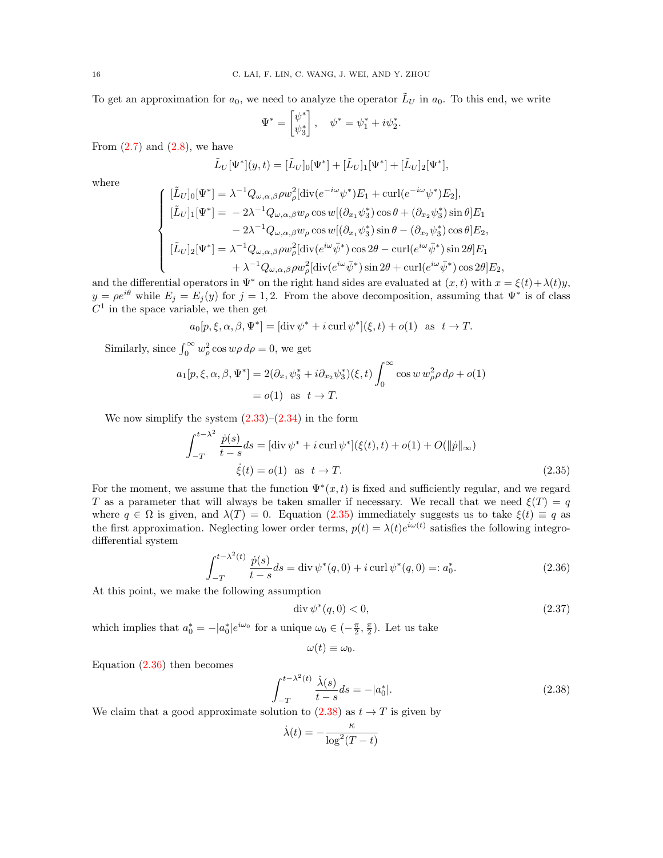To get an approximation for  $a_0$ , we need to analyze the operator  $\tilde{L}_U$  in  $a_0$ . To this end, we write

$$
\Psi^* = \begin{bmatrix} \psi^* \\ \psi_3^* \end{bmatrix}, \quad \psi^* = \psi_1^* + i \psi_2^*.
$$

From  $(2.7)$  and  $(2.8)$ , we have

$$
\tilde{L}_U[\Psi^*](y,t) = [\tilde{L}_U]_0[\Psi^*] + [\tilde{L}_U]_1[\Psi^*] + [\tilde{L}_U]_2[\Psi^*],
$$

where

$$
\begin{cases}\n[\tilde{L}_U]_0[\Psi^*] = \lambda^{-1} Q_{\omega,\alpha,\beta} \rho w_\rho^2[\text{div}(e^{-i\omega}\psi^*)E_1 + \text{curl}(e^{-i\omega}\psi^*)E_2],\\ \n[\tilde{L}_U]_1[\Psi^*] = -2\lambda^{-1} Q_{\omega,\alpha,\beta} w_\rho \cos w[(\partial_{x_1}\psi_3^*) \cos \theta + (\partial_{x_2}\psi_3^*) \sin \theta] E_1\\ \n-2\lambda^{-1} Q_{\omega,\alpha,\beta} w_\rho \cos w[(\partial_{x_1}\psi_3^*) \sin \theta - (\partial_{x_2}\psi_3^*) \cos \theta] E_2,\\ \n[\tilde{L}_U]_2[\Psi^*] = \lambda^{-1} Q_{\omega,\alpha,\beta} \rho w_\rho^2[\text{div}(e^{i\omega}\bar{\psi}^*) \cos 2\theta - \text{curl}(e^{i\omega}\bar{\psi}^*) \sin 2\theta] E_1\\ \n+ \lambda^{-1} Q_{\omega,\alpha,\beta} \rho w_\rho^2[\text{div}(e^{i\omega}\bar{\psi}^*) \sin 2\theta + \text{curl}(e^{i\omega}\bar{\psi}^*) \cos 2\theta] E_2,\n\end{cases}
$$

and the differential operators in  $\Psi^*$  on the right hand sides are evaluated at  $(x, t)$  with  $x = \xi(t) + \lambda(t)y$ ,  $y = \rho e^{i\theta}$  while  $E_j = E_j(y)$  for  $j = 1, 2$ . From the above decomposition, assuming that  $\Psi^*$  is of class  $C<sup>1</sup>$  in the space variable, we then get

$$
a_0[p,\xi,\alpha,\beta,\Psi^*] = [\operatorname{div} \psi^* + i \operatorname{curl} \psi^*](\xi,t) + o(1) \text{ as } t \to T.
$$

Similarly, since  $\int_0^\infty w_\rho^2 \cos w\rho \, d\rho = 0$ , we get

$$
a_1[p, \xi, \alpha, \beta, \Psi^*] = 2(\partial_{x_1}\psi_3^* + i \partial_{x_2}\psi_3^*)(\xi, t) \int_0^\infty \cos w \, w_\rho^2 \rho \, d\rho + o(1) = o(1) \text{ as } t \to T.
$$

We now simplify the system  $(2.33)$ – $(2.34)$  in the form

$$
\int_{-T}^{t - \lambda^2} \frac{\dot{p}(s)}{t - s} ds = [\text{div} \ \psi^* + i \ \text{curl} \ \psi^*](\xi(t), t) + o(1) + O(\|\dot{p}\|_{\infty})
$$
  

$$
\dot{\xi}(t) = o(1) \quad \text{as} \quad t \to T.
$$
 (2.35)

For the moment, we assume that the function  $\Psi^*(x,t)$  is fixed and sufficiently regular, and we regard T as a parameter that will always be taken smaller if necessary. We recall that we need  $\xi(T) = q$ where  $q \in \Omega$  is given, and  $\lambda(T) = 0$ . Equation [\(2.35\)](#page-15-0) immediately suggests us to take  $\xi(t) \equiv q$  as the first approximation. Neglecting lower order terms,  $p(t) = \lambda(t)e^{i\omega(t)}$  satisfies the following integrodifferential system

$$
\int_{-T}^{t - \lambda^2(t)} \frac{\dot{p}(s)}{t - s} ds = \text{div}\,\psi^*(q, 0) + i \, \text{curl}\,\psi^*(q, 0) =: a_0^*.
$$
 (2.36)

At this point, we make the following assumption

<span id="page-15-1"></span><span id="page-15-0"></span>
$$
\operatorname{div}\psi^*(q,0) < 0,\tag{2.37}
$$

which implies that  $a_0^* = -|a_0^*|e^{i\omega_0}$  for a unique  $\omega_0 \in \left(-\frac{\pi}{2}, \frac{\pi}{2}\right)$ . Let us take

<span id="page-15-3"></span>
$$
\omega(t)\equiv\omega_0.
$$

Equation [\(2.36\)](#page-15-1) then becomes

<span id="page-15-2"></span>
$$
\int_{-T}^{t - \lambda^2(t)} \frac{\dot{\lambda}(s)}{t - s} ds = -|a_0^*|.
$$
\n(2.38)

We claim that a good approximate solution to  $(2.38)$  as  $t \to T$  is given by

$$
\dot{\lambda}(t) = -\frac{\kappa}{\log^2(T - t)}
$$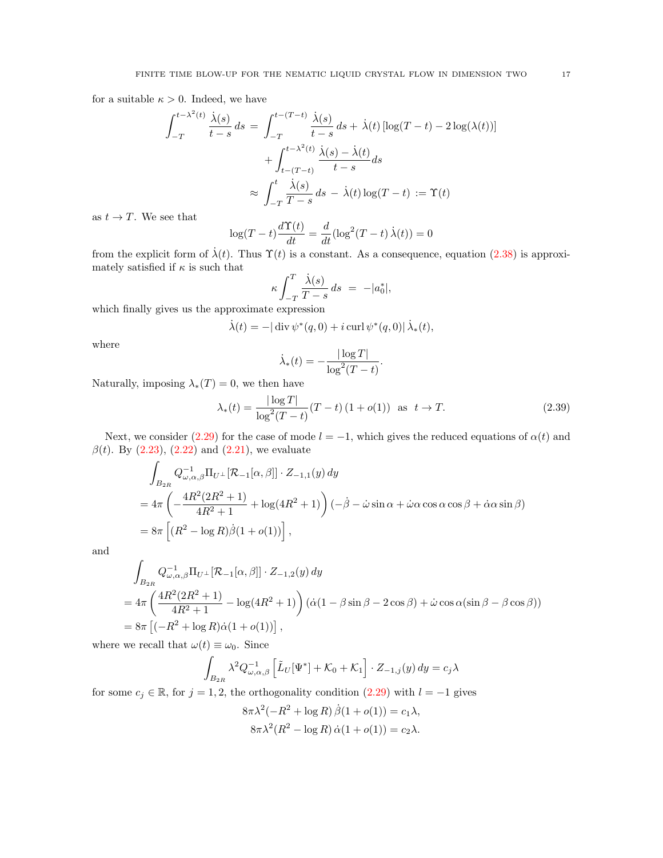for a suitable  $\kappa > 0$ . Indeed, we have

$$
\int_{-T}^{t-\lambda^2(t)} \frac{\dot{\lambda}(s)}{t-s} ds = \int_{-T}^{t-(T-t)} \frac{\dot{\lambda}(s)}{t-s} ds + \dot{\lambda}(t) \left[ \log(T-t) - 2 \log(\lambda(t)) \right]
$$

$$
+ \int_{t-(T-t)}^{t-\lambda^2(t)} \frac{\dot{\lambda}(s) - \dot{\lambda}(t)}{t-s} ds
$$

$$
\approx \int_{-T}^{t} \frac{\dot{\lambda}(s)}{T-s} ds - \dot{\lambda}(t) \log(T-t) := \Upsilon(t)
$$

as  $t \to T$ . We see that

$$
\log(T - t) \frac{d\Upsilon(t)}{dt} = \frac{d}{dt} (\log^2(T - t) \dot{\lambda}(t)) = 0
$$

from the explicit form of  $\lambda(t)$ . Thus  $\Upsilon(t)$  is a constant. As a consequence, equation [\(2.38\)](#page-15-2) is approximately satisfied if  $\kappa$  is such that

$$
\kappa \int_{-T}^{T} \frac{\dot{\lambda}(s)}{T-s} ds = -|a_0^*|,
$$

which finally gives us the approximate expression

$$
\dot{\lambda}(t)=-|\operatorname{div}\psi^*(q,0)+i\operatorname{curl}\psi^*(q,0)|\,\dot{\lambda}_*(t),
$$

where

$$
\dot{\lambda}_*(t) = -\frac{|\log T|}{\log^2(T-t)}.
$$

Naturally, imposing  $\lambda_*(T) = 0$ , we then have

<span id="page-16-0"></span>
$$
\lambda_*(t) = \frac{|\log T|}{\log^2(T - t)} (T - t) (1 + o(1)) \text{ as } t \to T. \tag{2.39}
$$

Next, we consider [\(2.29\)](#page-13-3) for the case of mode  $l = -1$ , which gives the reduced equations of  $\alpha(t)$  and  $\beta(t)$ . By [\(2.23\)](#page-12-2), [\(2.22\)](#page-11-3) and [\(2.21\)](#page-11-4), we evaluate

$$
\int_{B_{2R}} Q_{\omega,\alpha,\beta}^{-1} \Pi_{U^{\perp}} [\mathcal{R}_{-1}[\alpha,\beta]] \cdot Z_{-1,1}(y) dy
$$
\n
$$
= 4\pi \left( -\frac{4R^2 (2R^2 + 1)}{4R^2 + 1} + \log(4R^2 + 1) \right) (-\dot{\beta} - \dot{\omega} \sin \alpha + \dot{\omega} \alpha \cos \alpha \cos \beta + \dot{\alpha} \alpha \sin \beta)
$$
\n
$$
= 8\pi \left[ (R^2 - \log R)\dot{\beta}(1 + o(1)) \right],
$$

and

$$
\int_{B_{2R}} Q_{\omega,\alpha,\beta}^{-1} \Pi_{U^{\perp}} [\mathcal{R}_{-1}[\alpha,\beta]] \cdot Z_{-1,2}(y) dy
$$
\n
$$
= 4\pi \left( \frac{4R^2(2R^2 + 1)}{4R^2 + 1} - \log(4R^2 + 1) \right) (\dot{\alpha}(1 - \beta \sin \beta - 2 \cos \beta) + \dot{\omega} \cos \alpha (\sin \beta - \beta \cos \beta))
$$
\n
$$
= 8\pi \left[ (-R^2 + \log R) \dot{\alpha}(1 + o(1)) \right],
$$

where we recall that  $\omega(t) \equiv \omega_0$ . Since

$$
\int_{B_{2R}} \lambda^2 Q_{\omega,\alpha,\beta}^{-1} \left[ \tilde{L}_U[\Psi^*] + \mathcal{K}_0 + \mathcal{K}_1 \right] \cdot Z_{-1,j}(y) \, dy = c_j \lambda
$$

for some  $c_j \in \mathbb{R}$ , for  $j = 1, 2$ , the orthogonality condition  $(2.29)$  with  $l = -1$  gives

$$
8\pi\lambda^2(-R^2 + \log R)\dot{\beta}(1 + o(1)) = c_1\lambda,
$$
  

$$
8\pi\lambda^2(R^2 - \log R)\dot{\alpha}(1 + o(1)) = c_2\lambda.
$$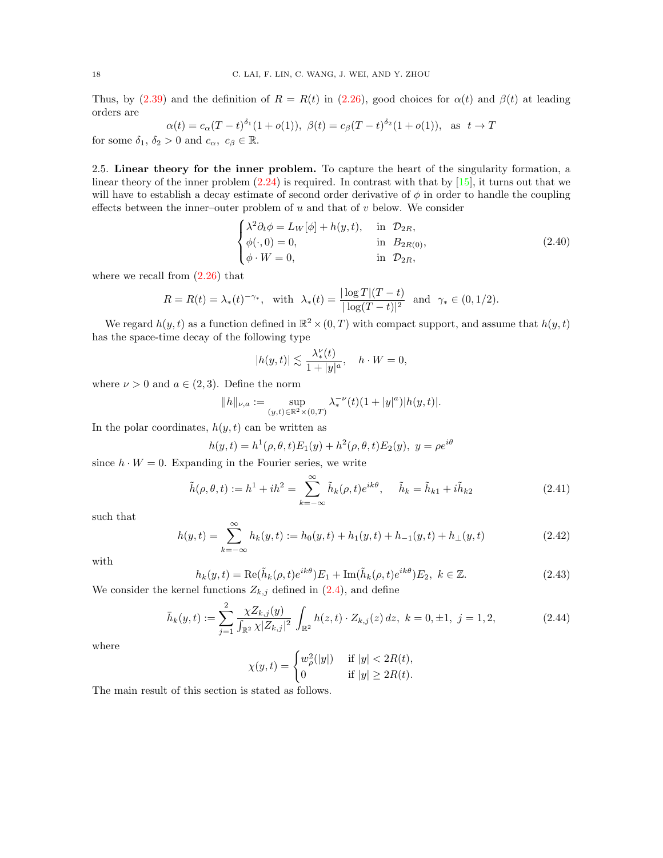Thus, by [\(2.39\)](#page-16-0) and the definition of  $R = R(t)$  in [\(2.26\)](#page-12-3), good choices for  $\alpha(t)$  and  $\beta(t)$  at leading orders are

$$
\alpha(t) = c_{\alpha}(T-t)^{\delta_1}(1+o(1)), \ \beta(t) = c_{\beta}(T-t)^{\delta_2}(1+o(1)), \text{ as } t \to T
$$
  
for some  $\delta_1$ ,  $\delta_2 > 0$  and  $c_{\alpha}$ ,  $c_{\beta} \in \mathbb{R}$ .

<span id="page-17-0"></span>2.5. Linear theory for the inner problem. To capture the heart of the singularity formation, a linear theory of the inner problem  $(2.24)$  is required. In contrast with that by  $[15]$ , it turns out that we will have to establish a decay estimate of second order derivative of  $\phi$  in order to handle the coupling effects between the inner–outer problem of  $u$  and that of  $v$  below. We consider

<span id="page-17-1"></span>
$$
\begin{cases}\n\lambda^2 \partial_t \phi = L_W[\phi] + h(y, t), & \text{in } \mathcal{D}_{2R}, \\
\phi(\cdot, 0) = 0, & \text{in } \mathcal{B}_{2R(0)}, \\
\phi \cdot W = 0, & \text{in } \mathcal{D}_{2R},\n\end{cases}
$$
\n(2.40)

where we recall from  $(2.26)$  that

$$
R = R(t) = \lambda_*(t)^{-\gamma_*}, \text{ with } \lambda_*(t) = \frac{|\log T|(T-t)}{|\log(T-t)|^2} \text{ and } \gamma_* \in (0,1/2).
$$

We regard  $h(y, t)$  as a function defined in  $\mathbb{R}^2 \times (0, T)$  with compact support, and assume that  $h(y, t)$ has the space-time decay of the following type

$$
|h(y,t)| \lesssim \frac{\lambda_*^{\nu}(t)}{1+|y|^a}, \quad h \cdot W = 0,
$$

where  $\nu > 0$  and  $a \in (2,3)$ . Define the norm

$$
\|h\|_{\nu,a}:=\sup_{(y,t)\in\mathbb{R}^2\times(0,T)}\lambda_*^{-\nu}(t)(1+|y|^a)|h(y,t)|.
$$

In the polar coordinates,  $h(y, t)$  can be written as

$$
h(y, t) = h^{1}(\rho, \theta, t)E_{1}(y) + h^{2}(\rho, \theta, t)E_{2}(y), y = \rho e^{i\theta}
$$

since  $h \cdot W = 0$ . Expanding in the Fourier series, we write

<span id="page-17-3"></span>
$$
\tilde{h}(\rho, \theta, t) := h^1 + ih^2 = \sum_{k=-\infty}^{\infty} \tilde{h}_k(\rho, t) e^{ik\theta}, \quad \tilde{h}_k = \tilde{h}_{k1} + i\tilde{h}_{k2}
$$
\n(2.41)

such that

$$
h(y,t) = \sum_{k=-\infty}^{\infty} h_k(y,t) := h_0(y,t) + h_1(y,t) + h_{-1}(y,t) + h_{\perp}(y,t)
$$
\n(2.42)

with

<span id="page-17-4"></span>
$$
h_k(y,t) = \text{Re}(\tilde{h}_k(\rho, t)e^{ik\theta})E_1 + \text{Im}(\tilde{h}_k(\rho, t)e^{ik\theta})E_2, \ k \in \mathbb{Z}.
$$
\n(2.43)

We consider the kernel functions  $Z_{k,j}$  defined in  $(2.4)$ , and define

<span id="page-17-2"></span>
$$
\bar{h}_k(y,t) := \sum_{j=1}^2 \frac{\chi Z_{k,j}(y)}{\int_{\mathbb{R}^2} \chi |Z_{k,j}|^2} \int_{\mathbb{R}^2} h(z,t) \cdot Z_{k,j}(z) \, dz, \ k = 0, \pm 1, \ j = 1, 2,
$$
\n(2.44)

where

$$
\chi(y, t) = \begin{cases} w_{\rho}^{2}(|y|) & \text{if } |y| < 2R(t), \\ 0 & \text{if } |y| \ge 2R(t). \end{cases}
$$

The main result of this section is stated as follows.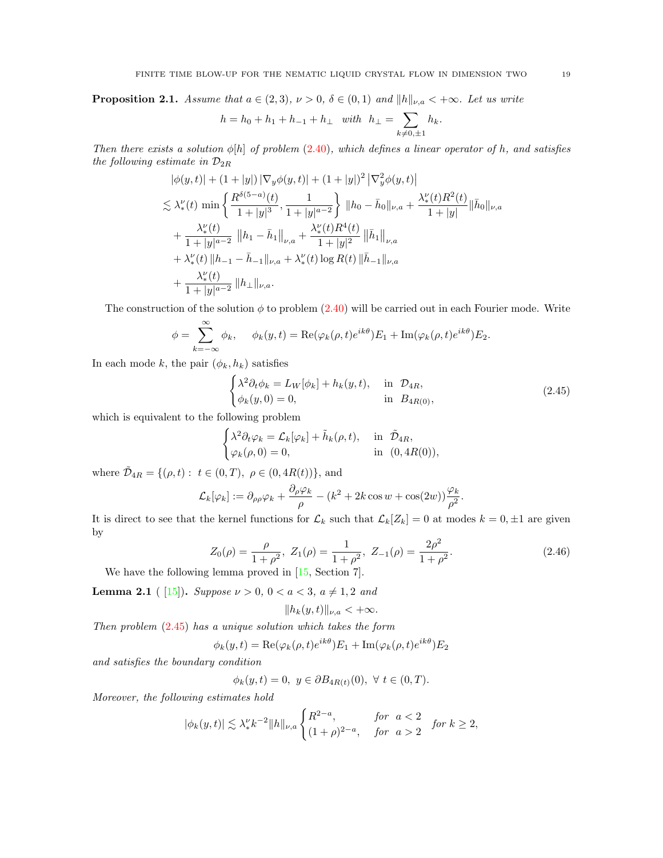<span id="page-18-3"></span>**Proposition 2.1.** Assume that  $a \in (2,3)$ ,  $\nu > 0$ ,  $\delta \in (0,1)$  and  $||h||_{\nu,a} < +\infty$ . Let us write

$$
h = h_0 + h_1 + h_{-1} + h_{\perp} \quad with \quad h_{\perp} = \sum_{k \neq 0, \pm 1} h_k.
$$

Then there exists a solution  $\phi[h]$  of problem [\(2.40\)](#page-17-1), which defines a linear operator of h, and satisfies the following estimate in  $\mathcal{D}_{2R}$ 

$$
|\phi(y,t)| + (1+|y|) |\nabla_y \phi(y,t)| + (1+|y|)^2 |\nabla_y^2 \phi(y,t)|
$$
  
\n
$$
\lesssim \lambda_*^{\nu}(t) \min \left\{ \frac{R^{\delta(5-a)}(t)}{1+|y|^3}, \frac{1}{1+|y|^{a-2}} \right\} ||h_0 - \bar{h}_0||_{\nu,a} + \frac{\lambda_*^{\nu}(t)R^2(t)}{1+|y|} ||\bar{h}_0||_{\nu,a} + \frac{\lambda_*^{\nu}(t)}{1+|y|^{a-2}} ||h_1 - \bar{h}_1||_{\nu,a} + \frac{\lambda_*^{\nu}(t)R^4(t)}{1+|y|^2} ||\bar{h}_1||_{\nu,a} + \lambda_*^{\nu}(t) ||h_{-1} - \bar{h}_{-1}||_{\nu,a} + \lambda_*^{\nu}(t) \log R(t) ||\bar{h}_{-1}||_{\nu,a} + \frac{\lambda_*^{\nu}(t)}{1+|y|^{a-2}} ||h_{\perp}||_{\nu,a} .
$$

The construction of the solution  $\phi$  to problem [\(2.40\)](#page-17-1) will be carried out in each Fourier mode. Write

$$
\phi = \sum_{k=-\infty}^{\infty} \phi_k, \quad \phi_k(y,t) = \text{Re}(\varphi_k(\rho,t)e^{ik\theta})E_1 + \text{Im}(\varphi_k(\rho,t)e^{ik\theta})E_2.
$$

In each mode k, the pair  $(\phi_k, h_k)$  satisfies

 $\sim$ 

<span id="page-18-0"></span>
$$
\begin{cases}\n\lambda^2 \partial_t \phi_k = L_W[\phi_k] + h_k(y, t), & \text{in } \mathcal{D}_{4R}, \\
\phi_k(y, 0) = 0, & \text{in } B_{4R(0)},\n\end{cases}
$$
\n(2.45)

which is equivalent to the following problem

$$
\begin{cases} \lambda^2 \partial_t \varphi_k = \mathcal{L}_k[\varphi_k] + \tilde{h}_k(\rho, t), & \text{in } \tilde{\mathcal{D}}_{4R}, \\ \varphi_k(\rho, 0) = 0, & \text{in } (0, 4R(0)), \end{cases}
$$

where  $\tilde{\mathcal{D}}_{4R} = \{(\rho, t): t \in (0, T), \rho \in (0, 4R(t))\},\$ and

$$
\mathcal{L}_k[\varphi_k] := \partial_{\rho\rho}\varphi_k + \frac{\partial_{\rho}\varphi_k}{\rho} - (k^2 + 2k\cos w + \cos(2w))\frac{\varphi_k}{\rho^2}.
$$

It is direct to see that the kernel functions for  $\mathcal{L}_k$  such that  $\mathcal{L}_k[Z_k] = 0$  at modes  $k = 0, \pm 1$  are given by

<span id="page-18-2"></span>
$$
Z_0(\rho) = \frac{\rho}{1 + \rho^2}, \ Z_1(\rho) = \frac{1}{1 + \rho^2}, \ Z_{-1}(\rho) = \frac{2\rho^2}{1 + \rho^2}.
$$
 (2.46)

We have the following lemma proved in  $[15, Section 7]$ .

<span id="page-18-1"></span>**Lemma 2.1** ( [\[15\]](#page-46-7)). Suppose  $\nu > 0$ ,  $0 < a < 3$ ,  $a \neq 1, 2$  and

$$
||h_k(y,t)||_{\nu,a} < +\infty.
$$

Then problem  $(2.45)$  has a unique solution which takes the form

$$
\phi_k(y,t) = \text{Re}(\varphi_k(\rho,t)e^{ik\theta})E_1 + \text{Im}(\varphi_k(\rho,t)e^{ik\theta})E_2
$$

and satisfies the boundary condition

$$
\phi_k(y,t) = 0, \ y \in \partial B_{4R(t)}(0), \ \forall \ t \in (0,T).
$$

Moreover, the following estimates hold

$$
|\phi_k(y,t)|\lesssim \lambda_*^{\nu}k^{-2}\|h\|_{\nu,a}\begin{cases} R^{2-a},&\text{for}\;\;a<2\\ (1+\rho)^{2-a},&\text{for}\;\;a>2 \end{cases}\;\text{for}\;k\geq 2,
$$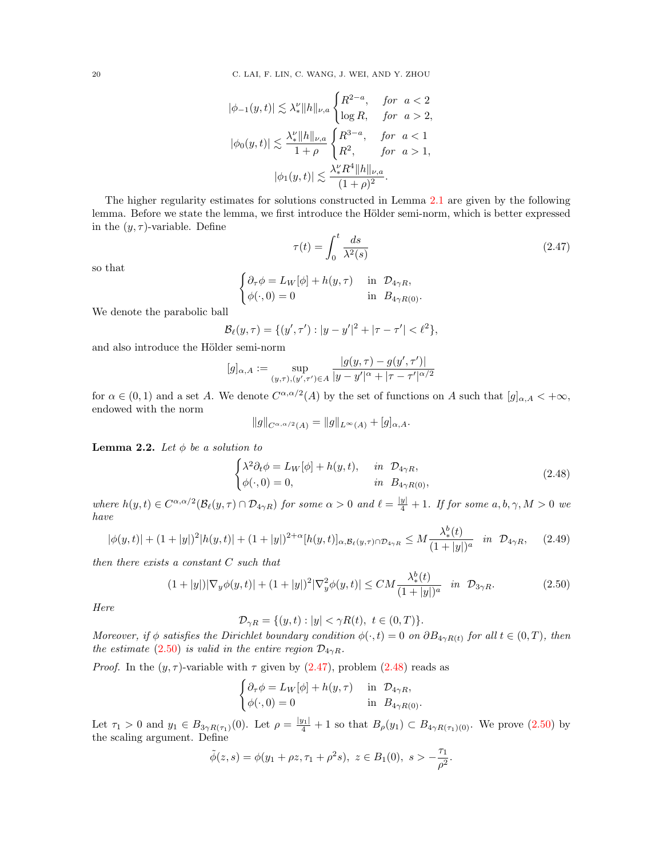$$
|\phi_{-1}(y,t)| \lesssim \lambda_*^{\nu} ||h||_{\nu,a} \begin{cases} R^{2-a}, & \text{for } a < 2 \\ \log R, & \text{for } a > 2, \end{cases}
$$

$$
|\phi_0(y,t)| \lesssim \frac{\lambda_*^{\nu} ||h||_{\nu,a}}{1+\rho} \begin{cases} R^{3-a}, & \text{for } a < 1 \\ R^2, & \text{for } a > 1, \end{cases}
$$

$$
|\phi_1(y,t)| \lesssim \frac{\lambda_*^{\nu} R^4 ||h||_{\nu,a}}{(1+\rho)^2}.
$$

The higher regularity estimates for solutions constructed in Lemma [2.1](#page-18-1) are given by the following lemma. Before we state the lemma, we first introduce the Hölder semi-norm, which is better expressed in the  $(y, \tau)$ -variable. Define

<span id="page-19-1"></span>
$$
\tau(t) = \int_0^t \frac{ds}{\lambda^2(s)}\tag{2.47}
$$

so that

$$
\begin{cases} \partial_{\tau} \phi = L_W[\phi] + h(y, \tau) & \text{in } \mathcal{D}_{4\gamma R}, \\ \phi(\cdot, 0) = 0 & \text{in } B_{4\gamma R(0)}. \end{cases}
$$

We denote the parabolic ball

$$
\mathcal{B}_{\ell}(y,\tau) = \{ (y',\tau') : |y-y'|^2 + |\tau - \tau'| < \ell^2 \},\
$$

and also introduce the Hölder semi-norm

$$
[g]_{\alpha,A}:=\sup_{(y,\tau),(y',\tau')\in A}\frac{|g(y,\tau)-g(y',\tau')|}{|y-y'|^{\alpha}+|\tau-\tau'|^{\alpha/2}}
$$

for  $\alpha \in (0,1)$  and a set A. We denote  $C^{\alpha,\alpha/2}(A)$  by the set of functions on A such that  $[g]_{\alpha,A} < +\infty$ , endowed with the norm

$$
||g||_{C^{\alpha,\alpha/2}(A)} = ||g||_{L^{\infty}(A)} + [g]_{\alpha,A}.
$$

<span id="page-19-4"></span>**Lemma 2.2.** Let  $\phi$  be a solution to

<span id="page-19-2"></span>
$$
\begin{cases}\n\lambda^2 \partial_t \phi = L_W[\phi] + h(y, t), & \text{in } \mathcal{D}_{4\gamma R}, \\
\phi(\cdot, 0) = 0, & \text{in } B_{4\gamma R(0)},\n\end{cases}
$$
\n(2.48)

where  $h(y,t) \in C^{\alpha,\alpha/2}(\mathcal{B}_{\ell}(y,\tau) \cap \mathcal{D}_{4\gamma R})$  for some  $\alpha > 0$  and  $\ell = \frac{|y|}{4} + 1$ . If for some  $a, b, \gamma, M > 0$  we have

<span id="page-19-3"></span>
$$
|\phi(y,t)| + (1+|y|)^2 |h(y,t)| + (1+|y|)^{2+\alpha} [h(y,t)]_{\alpha,\mathcal{B}_{\ell}(y,\tau)\cap\mathcal{D}_{4\gamma R}} \le M \frac{\lambda_*^b(t)}{(1+|y|)^a} \quad \text{in} \quad \mathcal{D}_{4\gamma R}, \tag{2.49}
$$

then there exists a constant C such that

<span id="page-19-0"></span>
$$
(1+|y|)|\nabla_y \phi(y,t)| + (1+|y|)^2 |\nabla_y^2 \phi(y,t)| \le CM \frac{\lambda_*^b(t)}{(1+|y|)^a} \quad \text{in} \quad \mathcal{D}_{3\gamma R}.\tag{2.50}
$$

Here

 $\mathcal{D}_{\gamma R} = \{(y, t) : |y| < \gamma R(t), \ t \in (0, T)\}.$ 

Moreover, if  $\phi$  satisfies the Dirichlet boundary condition  $\phi(\cdot,t)=0$  on  $\partial B_{4\gamma R(t)}$  for all  $t \in (0,T)$ , then the estimate [\(2.50\)](#page-19-0) is valid in the entire region  $\mathcal{D}_{4\gamma R}$ .

*Proof.* In the  $(y, \tau)$ -variable with  $\tau$  given by  $(2.47)$ , problem  $(2.48)$  reads as

$$
\begin{cases} \partial_{\tau} \phi = L_W[\phi] + h(y, \tau) & \text{in } \mathcal{D}_{4\gamma R}, \\ \phi(\cdot, 0) = 0 & \text{in } B_{4\gamma R(0)}. \end{cases}
$$

Let  $\tau_1 > 0$  and  $y_1 \in B_{3\gamma R(\tau_1)}(0)$ . Let  $\rho = \frac{|y_1|}{4} + 1$  so that  $B_{\rho}(y_1) \subset B_{4\gamma R(\tau_1)(0)}$ . We prove  $(2.50)$  by the scaling argument. Define

$$
\tilde{\phi}(z,s) = \phi(y_1 + \rho z, \tau_1 + \rho^2 s), \ z \in B_1(0), \ s > -\frac{\tau_1}{\rho^2}.
$$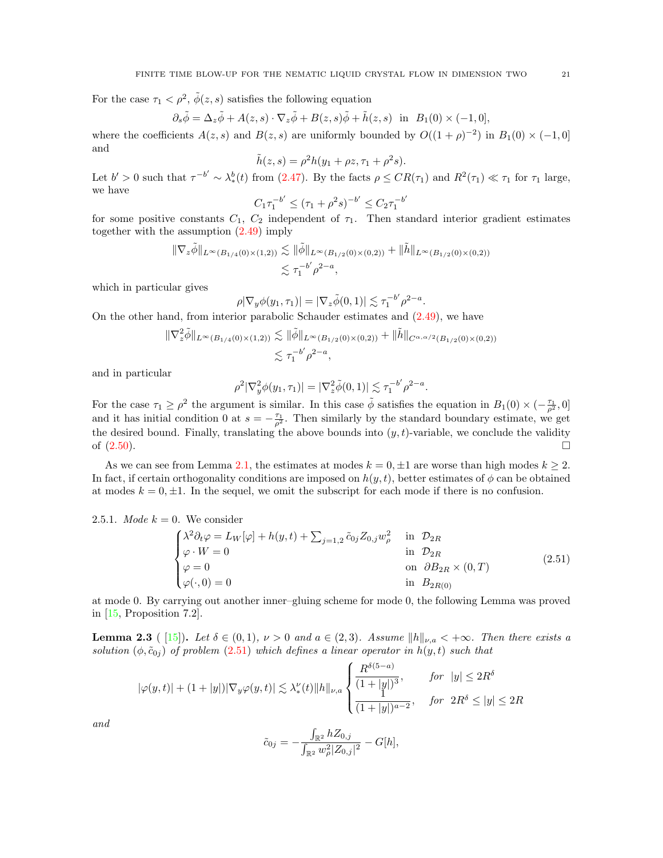For the case  $\tau_1 < \rho^2$ ,  $\tilde{\phi}(z, s)$  satisfies the following equation

$$
\partial_s \tilde{\phi} = \Delta_z \tilde{\phi} + A(z, s) \cdot \nabla_z \tilde{\phi} + B(z, s) \tilde{\phi} + \tilde{h}(z, s) \text{ in } B_1(0) \times (-1, 0],
$$

where the coefficients  $A(z, s)$  and  $B(z, s)$  are uniformly bounded by  $O((1 + \rho)^{-2})$  in  $B_1(0) \times (-1, 0]$ and

$$
\tilde{h}(z, s) = \rho^2 h(y_1 + \rho z, \tau_1 + \rho^2 s).
$$

Let  $b' > 0$  such that  $\tau^{-b'} \sim \lambda_*^b(t)$  from [\(2.47\)](#page-19-1). By the facts  $\rho \leq CR(\tau_1)$  and  $R^2(\tau_1) \ll \tau_1$  for  $\tau_1$  large, we have  $\overline{a}$ 

$$
C_1 \tau_1^{-b'} \le (\tau_1 + \rho^2 s)^{-b'} \le C_2 \tau_1^{-b}
$$

for some positive constants  $C_1$ ,  $C_2$  independent of  $\tau_1$ . Then standard interior gradient estimates together with the assumption [\(2.49\)](#page-19-3) imply

$$
\|\nabla_z \tilde{\phi}\|_{L^{\infty}(B_{1/4}(0)\times(1,2))} \lesssim \|\tilde{\phi}\|_{L^{\infty}(B_{1/2}(0)\times(0,2))} + \|\tilde{h}\|_{L^{\infty}(B_{1/2}(0)\times(0,2))}
$$
  

$$
\lesssim \tau_1^{-b'} \rho^{2-a},
$$

which in particular gives

$$
\rho |\nabla_y \phi(y_1, \tau_1)| = |\nabla_z \tilde{\phi}(0, 1)| \lesssim \tau_1^{-b'} \rho^{2-a}.
$$

On the other hand, from interior parabolic Schauder estimates and [\(2.49\)](#page-19-3), we have

$$
\|\nabla_z^2 \tilde{\phi}\|_{L^{\infty}(B_{1/4}(0)\times(1,2))} \lesssim \|\tilde{\phi}\|_{L^{\infty}(B_{1/2}(0)\times(0,2))} + \|\tilde{h}\|_{C^{\alpha,\alpha/2}(B_{1/2}(0)\times(0,2))}
$$
  

$$
\lesssim \tau_1^{-b'} \rho^{2-a},
$$

and in particular

$$
\rho^2 |\nabla_y^2 \phi(y_1, \tau_1)| = |\nabla_z^2 \tilde{\phi}(0, 1)| \lesssim \tau_1^{-b'} \rho^{2-a}.
$$

For the case  $\tau_1 \ge \rho^2$  the argument is similar. In this case  $\tilde{\phi}$  satisfies the equation in  $B_1(0) \times (-\frac{\tau_1}{\rho^2}, 0]$ and it has initial condition 0 at  $s = -\frac{\tau_1}{\rho^2}$ . Then similarly by the standard boundary estimate, we get the desired bound. Finally, translating the above bounds into  $(y, t)$ -variable, we conclude the validity of  $(2.50)$ .

As we can see from Lemma [2.1,](#page-18-1) the estimates at modes  $k = 0, \pm 1$  are worse than high modes  $k \geq 2$ . In fact, if certain orthogonality conditions are imposed on  $h(y, t)$ , better estimates of  $\phi$  can be obtained at modes  $k = 0, \pm 1$ . In the sequel, we omit the subscript for each mode if there is no confusion.

2.5.1. *Mode* 
$$
k = 0
$$
. We consider

<span id="page-20-0"></span>

| $\int \lambda^2 \partial_t \varphi = L_W[\varphi] + h(y, t) + \sum_{j=1,2} \tilde{c}_{0j} Z_{0,j} w_\rho^2 \quad \text{in} \quad \mathcal{D}_{2R}$ |                                   |        |
|----------------------------------------------------------------------------------------------------------------------------------------------------|-----------------------------------|--------|
|                                                                                                                                                    | in $\mathcal{D}_{2R}$             |        |
| $\begin{cases} \varphi \cdot W = 0 \\ \varphi = 0 \end{cases}$                                                                                     | on $\partial B_{2R} \times (0,T)$ | (2.51) |
| $\phi(\cdot,0)=0$                                                                                                                                  | in $B_{2R(0)}$                    |        |

at mode 0. By carrying out another inner–gluing scheme for mode 0, the following Lemma was proved in [\[15,](#page-46-7) Proposition 7.2].

<span id="page-20-1"></span>**Lemma 2.3** ( [\[15\]](#page-46-7)). Let  $\delta \in (0,1)$ ,  $\nu > 0$  and  $a \in (2,3)$ . Assume  $||h||_{\nu,a} < +\infty$ . Then there exists a solution  $(\phi, \tilde{c}_{0j})$  of problem  $(2.51)$  which defines a linear operator in  $h(y, t)$  such that

$$
|\varphi(y,t)| + (1+|y|) |\nabla_y \varphi(y,t)| \lesssim \lambda_*^{\nu}(t) \|h\|_{\nu,a} \begin{cases} \frac{R^{\delta(5-a)}}{(1+|y|)^3}, & \text{for } |y| \le 2R^{\delta} \\ \frac{1}{(1+|y|)^{a-2}}, & \text{for } 2R^{\delta} \le |y| \le 2R \end{cases}
$$

and

$$
\tilde{c}_{0j} = -\frac{\int_{\mathbb{R}^2} hZ_{0,j}}{\int_{\mathbb{R}^2} w_\rho^2 |Z_{0,j}|^2} - G[h],
$$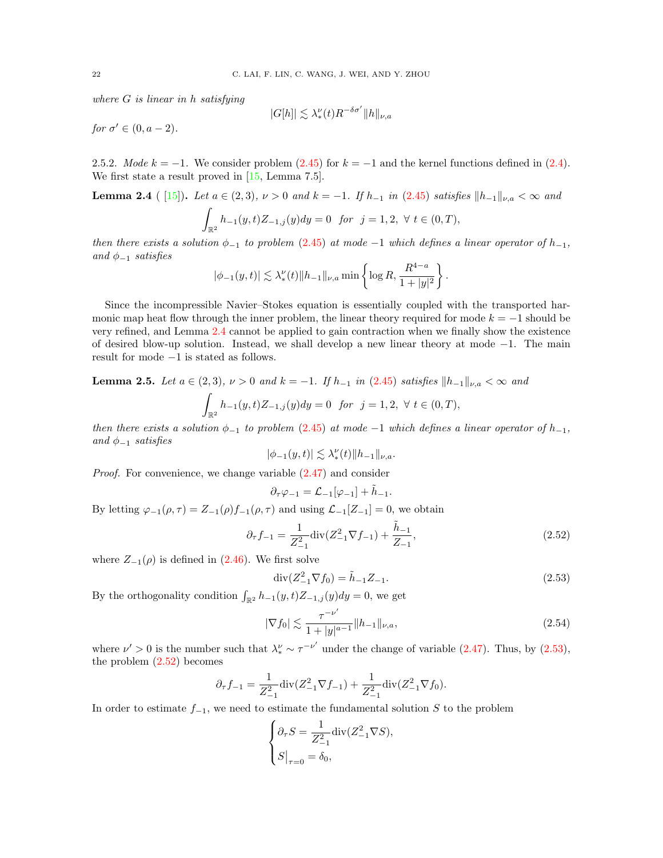where  $G$  is linear in h satisfying

$$
|G[h]| \lesssim \lambda_*^{\nu}(t) R^{-\delta \sigma'} \|h\|_{\nu,a}
$$

for  $\sigma' \in (0, a-2)$ .

<span id="page-21-0"></span>2.5.2. Mode  $k = -1$ . We consider problem [\(2.45\)](#page-18-0) for  $k = -1$  and the kernel functions defined in [\(2.4\)](#page-6-3). We first state a result proved in [\[15,](#page-46-7) Lemma 7.5].

<span id="page-21-1"></span>Lemma 2.4 ( [\[15\]](#page-46-7)). Let  $a \in (2,3)$ ,  $\nu > 0$  and  $k = -1$ . If  $h_{-1}$  in [\(2.45\)](#page-18-0) satisfies  $||h_{-1}||_{\nu,a} < \infty$  and

$$
\int_{\mathbb{R}^2} h_{-1}(y,t)Z_{-1,j}(y)dy = 0 \text{ for } j = 1,2, \forall t \in (0,T),
$$

then there exists a solution  $\phi_{-1}$  to problem [\(2.45\)](#page-18-0) at mode -1 which defines a linear operator of  $h_{-1}$ , and  $\phi_{-1}$  satisfies

$$
|\phi_{-1}(y,t)| \lesssim \lambda_*^{\nu}(t) \|h_{-1}\|_{\nu,a} \min\left\{\log R, \frac{R^{4-a}}{1+|y|^2}\right\}.
$$

Since the incompressible Navier–Stokes equation is essentially coupled with the transported harmonic map heat flow through the inner problem, the linear theory required for mode  $k = -1$  should be very refined, and Lemma [2.4](#page-21-1) cannot be applied to gain contraction when we finally show the existence of desired blow-up solution. Instead, we shall develop a new linear theory at mode −1. The main result for mode −1 is stated as follows.

<span id="page-21-5"></span>**Lemma 2.5.** Let  $a \in (2,3)$ ,  $\nu > 0$  and  $k = -1$ . If  $h_{-1}$  in [\(2.45\)](#page-18-0) satisfies  $||h_{-1}||_{\nu,a} < ∞$  and

$$
\int_{\mathbb{R}^2} h_{-1}(y,t)Z_{-1,j}(y)dy = 0 \text{ for } j = 1,2, \forall t \in (0,T),
$$

then there exists a solution  $\phi_{-1}$  to problem [\(2.45\)](#page-18-0) at mode -1 which defines a linear operator of  $h_{-1}$ , and  $\phi_{-1}$  satisfies

$$
|\phi_{-1}(y,t)|\lesssim \lambda_*^\nu(t)\|h_{-1}\|_{\nu,a}.
$$

Proof. For convenience, we change variable [\(2.47\)](#page-19-1) and consider

$$
\partial_{\tau}\varphi_{-1}=\mathcal{L}_{-1}[\varphi_{-1}]+\tilde{h}_{-1}.
$$

By letting  $\varphi_{-1}(\rho, \tau) = Z_{-1}(\rho) f_{-1}(\rho, \tau)$  and using  $\mathcal{L}_{-1}[Z_{-1}] = 0$ , we obtain

<span id="page-21-3"></span>
$$
\partial_{\tau} f_{-1} = \frac{1}{Z_{-1}^2} \text{div}(Z_{-1}^2 \nabla f_{-1}) + \frac{\tilde{h}_{-1}}{Z_{-1}},\tag{2.52}
$$

where  $Z_{-1}(\rho)$  is defined in [\(2.46\)](#page-18-2). We first solve

<span id="page-21-2"></span>
$$
\operatorname{div}(Z_{-1}^2 \nabla f_0) = \tilde{h}_{-1} Z_{-1}.
$$
\n(2.53)

By the orthogonality condition  $\int_{\mathbb{R}^2} h_{-1}(y, t) Z_{-1,j}(y) dy = 0$ , we get

<span id="page-21-4"></span>
$$
|\nabla f_0| \lesssim \frac{\tau^{-\nu'}}{1+|y|^{a-1}} \|h_{-1}\|_{\nu,a},\tag{2.54}
$$

where  $\nu' > 0$  is the number such that  $\lambda_*^{\nu} \sim \tau^{-\nu'}$  under the change of variable [\(2.47\)](#page-19-1). Thus, by [\(2.53\)](#page-21-2), the problem  $(2.52)$  becomes

$$
\partial_{\tau} f_{-1} = \frac{1}{Z_{-1}^2} \operatorname{div} (Z_{-1}^2 \nabla f_{-1}) + \frac{1}{Z_{-1}^2} \operatorname{div} (Z_{-1}^2 \nabla f_0).
$$

In order to estimate  $f_{-1}$ , we need to estimate the fundamental solution S to the problem

$$
\begin{cases} \partial_{\tau} S = \frac{1}{Z_{-1}^2} \text{div}(Z_{-1}^2 \nabla S), \\ S\big|_{\tau=0} = \delta_0, \end{cases}
$$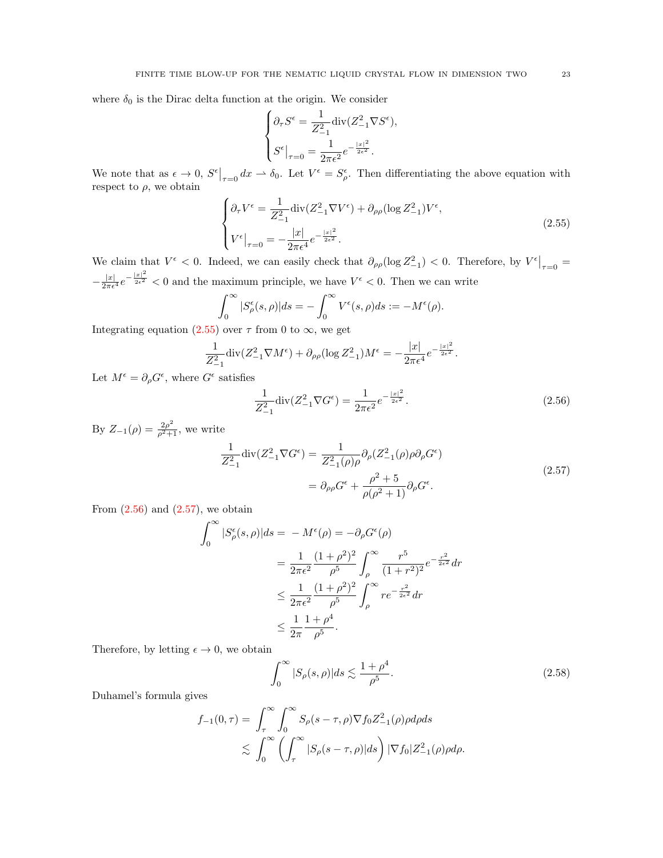where  $\delta_0$  is the Dirac delta function at the origin. We consider

$$
\begin{cases} \partial_{\tau} S^{\epsilon} = \frac{1}{Z_{-1}^2} \text{div}(Z_{-1}^2 \nabla S^{\epsilon}), \\ S^{\epsilon}|_{\tau=0} = \frac{1}{2\pi \epsilon^2} e^{-\frac{|x|^2}{2\epsilon^2}}. \end{cases}
$$

We note that as  $\epsilon \to 0$ ,  $S^{\epsilon}|_{\tau=0} dx \to \delta_0$ . Let  $V^{\epsilon} = S^{\epsilon}_{\rho}$ . Then differentiating the above equation with respect to  $\rho$ , we obtain

<span id="page-22-0"></span>
$$
\begin{cases} \partial_{\tau} V^{\epsilon} = \frac{1}{Z_{-1}^{2}} \text{div}(Z_{-1}^{2} \nabla V^{\epsilon}) + \partial_{\rho \rho} (\log Z_{-1}^{2}) V^{\epsilon}, \\ V^{\epsilon}|_{\tau=0} = -\frac{|x|}{2\pi \epsilon^{4}} e^{-\frac{|x|^{2}}{2\epsilon^{2}}} . \end{cases}
$$
(2.55)

We claim that  $V^{\epsilon} < 0$ . Indeed, we can easily check that  $\partial_{\rho\rho}(\log Z_{-1}^2) < 0$ . Therefore, by  $V^{\epsilon}|_{\tau=0} =$  $-\frac{|x|}{2\pi\epsilon^4}e^{-\frac{|x|^2}{2\epsilon^2}} < 0$  and the maximum principle, we have  $V^{\epsilon} < 0$ . Then we can write

$$
\int_0^\infty |S_\rho^\epsilon(s,\rho)|ds = -\int_0^\infty V^\epsilon(s,\rho)ds := -M^\epsilon(\rho).
$$

Integrating equation [\(2.55\)](#page-22-0) over  $\tau$  from 0 to  $\infty$ , we get

$$
\frac{1}{Z_{-1}^2} \operatorname{div} (Z_{-1}^2 \nabla M^{\epsilon}) + \partial_{\rho \rho} (\log Z_{-1}^2) M^{\epsilon} = -\frac{|x|}{2\pi \epsilon^4} e^{-\frac{|x|^2}{2\epsilon^2}}.
$$

Let  $M^{\epsilon} = \partial_{\rho} G^{\epsilon}$ , where  $G^{\epsilon}$  satisfies

<span id="page-22-1"></span>
$$
\frac{1}{Z_{-1}^2} \operatorname{div} (Z_{-1}^2 \nabla G^{\epsilon}) = \frac{1}{2\pi \epsilon^2} e^{-\frac{|x|^2}{2\epsilon^2}}.
$$
 (2.56)

By 
$$
Z_{-1}(\rho) = \frac{2\rho^2}{\rho^2 + 1}
$$
, we write  
\n
$$
\frac{1}{Z_{-1}^2} \text{div}(Z_{-1}^2 \nabla G^{\epsilon}) = \frac{1}{Z_{-1}^2(\rho)\rho} \partial_{\rho} (Z_{-1}^2(\rho)\rho \partial_{\rho} G^{\epsilon})
$$
\n
$$
= \partial_{\rho\rho} G^{\epsilon} + \frac{\rho^2 + 5}{\rho(\rho^2 + 1)} \partial_{\rho} G^{\epsilon}.
$$
\n(2.57)

From  $(2.56)$  and  $(2.57)$ , we obtain

<span id="page-22-2"></span>
$$
\int_0^{\infty} |S^{\epsilon}_{\rho}(s,\rho)| ds = -M^{\epsilon}(\rho) = -\partial_{\rho}G^{\epsilon}(\rho)
$$
  
=  $\frac{1}{2\pi\epsilon^2} \frac{(1+\rho^2)^2}{\rho^5} \int_{\rho}^{\infty} \frac{r^5}{(1+r^2)^2} e^{-\frac{r^2}{2\epsilon^2}} dr$   
 $\leq \frac{1}{2\pi\epsilon^2} \frac{(1+\rho^2)^2}{\rho^5} \int_{\rho}^{\infty} r e^{-\frac{r^2}{2\epsilon^2}} dr$   
 $\leq \frac{1}{2\pi} \frac{1+\rho^4}{\rho^5}.$ 

Therefore, by letting  $\epsilon \to 0$ , we obtain

<span id="page-22-3"></span>
$$
\int_0^\infty |S_\rho(s,\rho)|ds \lesssim \frac{1+\rho^4}{\rho^5}.\tag{2.58}
$$

Duhamel's formula gives

$$
f_{-1}(0,\tau) = \int_{\tau}^{\infty} \int_{0}^{\infty} S_{\rho}(s-\tau,\rho) \nabla f_0 Z_{-1}^2(\rho) \rho d\rho ds
$$
  

$$
\lesssim \int_{0}^{\infty} \left( \int_{\tau}^{\infty} |S_{\rho}(s-\tau,\rho)| ds \right) |\nabla f_0| Z_{-1}^2(\rho) \rho d\rho.
$$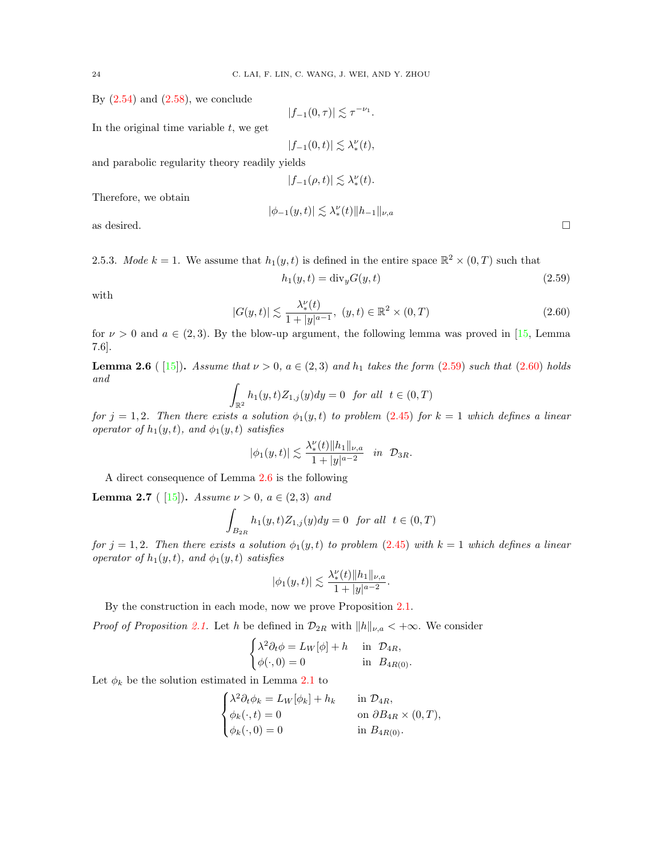By  $(2.54)$  and  $(2.58)$ , we conclude

$$
|f_{-1}(0,\tau)| \lesssim \tau^{-\nu_1}.
$$

In the original time variable  $t$ , we get

$$
|f_{-1}(0,t)| \lesssim \lambda_*^{\nu}(t),
$$

and parabolic regularity theory readily yields

 $|f_{-1}(\rho, t)| \lesssim \lambda_*^{\nu}(t).$ 

Therefore, we obtain

$$
|\phi_{-1}(y,t)|\lesssim \lambda_*^\nu(t)\|h_{-1}\|_{\nu,a}
$$

as desired.  $\Box$ 

2.5.3. Mode  $k = 1$ . We assume that  $h_1(y, t)$  is defined in the entire space  $\mathbb{R}^2 \times (0, T)$  such that

<span id="page-23-0"></span>
$$
h_1(y,t) = \text{div}_y G(y,t) \tag{2.59}
$$

with

<span id="page-23-1"></span>
$$
|G(y,t)| \lesssim \frac{\lambda_*^{\nu}(t)}{1+|y|^{a-1}}, \ (y,t) \in \mathbb{R}^2 \times (0,T)
$$
 (2.60)

for  $\nu > 0$  and  $a \in (2,3)$ . By the blow-up argument, the following lemma was proved in [\[15,](#page-46-7) Lemma 7.6].

<span id="page-23-2"></span>**Lemma 2.6** ([15]). Assume that  $\nu > 0$ ,  $a \in (2, 3)$  and  $h_1$  takes the form [\(2.59\)](#page-23-0) such that [\(2.60\)](#page-23-1) holds and

$$
\int_{\mathbb{R}^2} h_1(y, t) Z_{1,j}(y) dy = 0 \quad \text{for all} \quad t \in (0, T)
$$

for  $j = 1, 2$ . Then there exists a solution  $\phi_1(y, t)$  to problem [\(2.45\)](#page-18-0) for  $k = 1$  which defines a linear operator of  $h_1(y, t)$ , and  $\phi_1(y, t)$  satisfies

$$
|\phi_1(y,t)| \lesssim \frac{\lambda_*^{\nu}(t) \|h_1\|_{\nu,a}}{1+|y|^{a-2}}
$$
 in  $\mathcal{D}_{3R}$ .

A direct consequence of Lemma [2.6](#page-23-2) is the following

**Lemma 2.7** ( [\[15\]](#page-46-7)). Assume  $\nu > 0$ ,  $a \in (2,3)$  and

$$
\int_{B_{2R}} h_1(y, t) Z_{1,j}(y) dy = 0 \text{ for all } t \in (0, T)
$$

for  $j = 1, 2$ . Then there exists a solution  $\phi_1(y, t)$  to problem [\(2.45\)](#page-18-0) with  $k = 1$  which defines a linear operator of  $h_1(y, t)$ , and  $\phi_1(y, t)$  satisfies

$$
|\phi_1(y,t)| \lesssim \frac{\lambda_*^{\nu}(t) \|h_1\|_{\nu,a}}{1+|y|^{a-2}}.
$$

By the construction in each mode, now we prove Proposition [2.1.](#page-18-3)

*Proof of Proposition [2.1.](#page-18-3)* Let h be defined in  $\mathcal{D}_{2R}$  with  $||h||_{\nu,a} < +\infty$ . We consider

$$
\begin{cases} \lambda^2 \partial_t \phi = L_W[\phi] + h & \text{in } \mathcal{D}_{4R}, \\ \phi(\cdot, 0) = 0 & \text{in } B_{4R(0)}. \end{cases}
$$

Let  $\phi_k$  be the solution estimated in Lemma [2.1](#page-18-1) to

$$
\begin{cases} \lambda^2 \partial_t \phi_k = L_W[\phi_k] + h_k & \text{in } \mathcal{D}_{4R}, \\ \phi_k(\cdot, t) = 0 & \text{on } \partial B_{4R} \times (0, T), \\ \phi_k(\cdot, 0) = 0 & \text{in } B_{4R(0)}. \end{cases}
$$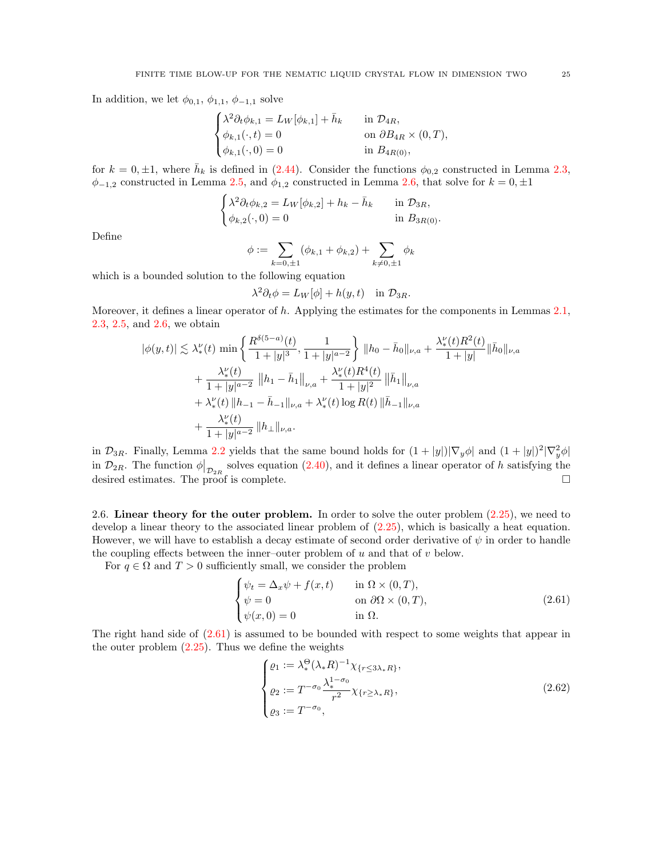In addition, we let  $\phi_{0,1}, \phi_{1,1}, \phi_{-1,1}$  solve

$$
\begin{cases} \lambda^2 \partial_t \phi_{k,1} = L_W[\phi_{k,1}] + \bar{h}_k & \text{in } \mathcal{D}_{4R}, \\ \phi_{k,1}(\cdot, t) = 0 & \text{on } \partial B_{4R} \times (0, T), \\ \phi_{k,1}(\cdot, 0) = 0 & \text{in } B_{4R(0)}, \end{cases}
$$

for  $k = 0, \pm 1$ , where  $\bar{h}_k$  is defined in [\(2.44\)](#page-17-2). Consider the functions  $\phi_{0,2}$  constructed in Lemma [2.3,](#page-20-1)  $\phi_{-1,2}$  constructed in Lemma [2.5,](#page-21-5) and  $\phi_{1,2}$  constructed in Lemma [2.6,](#page-23-2) that solve for  $k = 0, \pm 1$ 

$$
\begin{cases} \lambda^2 \partial_t \phi_{k,2} = L_W[\phi_{k,2}] + h_k - \bar{h}_k & \text{in } \mathcal{D}_{3R}, \\ \phi_{k,2}(\cdot,0) = 0 & \text{in } B_{3R(0)}. \end{cases}
$$

Define

$$
\phi := \sum_{k=0,\pm 1} (\phi_{k,1} + \phi_{k,2}) + \sum_{k \neq 0,\pm 1} \phi_k
$$

which is a bounded solution to the following equation

$$
\lambda^2 \partial_t \phi = L_W[\phi] + h(y, t) \quad \text{in } \mathcal{D}_{3R}.
$$

Moreover, it defines a linear operator of  $h$ . Applying the estimates for the components in Lemmas [2.1,](#page-18-1) [2.3,](#page-20-1) [2.5,](#page-21-5) and [2.6,](#page-23-2) we obtain

$$
\begin{split} |\phi(y,t)| &\lesssim \lambda_*^\nu(t) \, \min\left\{ \frac{R^{\delta(5-a)}(t)}{1+|y|^3}, \frac{1}{1+|y|^{a-2}} \right\} \, \|h_0 - \bar{h}_0\|_{\nu,a} + \frac{\lambda_*^\nu(t) R^2(t)}{1+|y|} \|\bar{h}_0\|_{\nu,a} \\ &\quad + \frac{\lambda_*^\nu(t)}{1+|y|^{a-2}} \, \left\|h_1 - \bar{h}_1\right\|_{\nu,a} + \frac{\lambda_*^\nu(t) R^4(t)}{1+|y|^2} \left\|\bar{h}_1\right\|_{\nu,a} \\ &\quad + \lambda_*^\nu(t) \, \|h_{-1} - \bar{h}_{-1}\|_{\nu,a} + \lambda_*^\nu(t) \log R(t) \, \|\bar{h}_{-1}\|_{\nu,a} \\ &\quad + \frac{\lambda_*^\nu(t)}{1+|y|^{a-2}} \, \|h_\perp\|_{\nu,a}. \end{split}
$$

in  $\mathcal{D}_{3R}$ . Finally, Lemma [2.2](#page-19-4) yields that the same bound holds for  $(1+|y|)|\nabla_y\phi|$  and  $(1+|y|)^2|\nabla_y^2\phi|$ in  $\mathcal{D}_{2R}$ . The function  $\phi|_{\mathcal{D}_{2R}}$  solves equation [\(2.40\)](#page-17-1), and it defines a linear operator of h satisfying the desired estimates. The proof is complete.

<span id="page-24-0"></span>2.6. Linear theory for the outer problem. In order to solve the outer problem [\(2.25\)](#page-12-1), we need to develop a linear theory to the associated linear problem of [\(2.25\)](#page-12-1), which is basically a heat equation. However, we will have to establish a decay estimate of second order derivative of  $\psi$  in order to handle the coupling effects between the inner–outer problem of  $u$  and that of  $v$  below.

For  $q \in \Omega$  and  $T > 0$  sufficiently small, we consider the problem

$$
\begin{cases}\n\psi_t = \Delta_x \psi + f(x, t) & \text{in } \Omega \times (0, T), \\
\psi = 0 & \text{on } \partial \Omega \times (0, T), \\
\psi(x, 0) = 0 & \text{in } \Omega.\n\end{cases}
$$
\n(2.61)

The right hand side of [\(2.61\)](#page-24-1) is assumed to be bounded with respect to some weights that appear in the outer problem  $(2.25)$ . Thus we define the weights

<span id="page-24-2"></span><span id="page-24-1"></span>
$$
\begin{cases}\n\varrho_1 := \lambda_*^{\Theta} (\lambda_* R)^{-1} \chi_{\{r \le 3\lambda_* R\}}, \\
\varrho_2 := T^{-\sigma_0} \frac{\lambda_*^{1-\sigma_0}}{r^2} \chi_{\{r \ge \lambda_* R\}}, \\
\varrho_3 := T^{-\sigma_0},\n\end{cases}
$$
\n(2.62)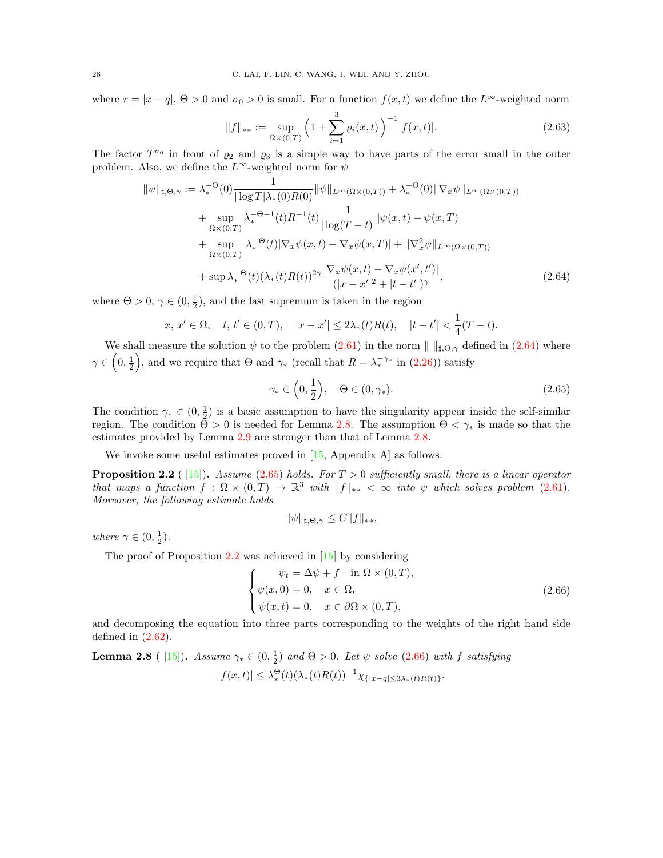where  $r = |x - q|$ ,  $\Theta > 0$  and  $\sigma_0 > 0$  is small. For a function  $f(x, t)$  we define the  $L^{\infty}$ -weighted norm

<span id="page-25-5"></span>
$$
||f||_{**} := \sup_{\Omega \times (0,T)} \left( 1 + \sum_{i=1}^{3} \varrho_i(x,t) \right)^{-1} |f(x,t)|. \tag{2.63}
$$

The factor  $T^{\sigma_0}$  in front of  $\rho_2$  and  $\rho_3$  is a simple way to have parts of the error small in the outer problem. Also, we define the  $L^{\infty}$ -weighted norm for  $\psi$ 

$$
\|\psi\|_{\sharp,\Theta,\gamma} := \lambda_*^{-\Theta}(0) \frac{1}{|\log T|\lambda_*(0)R(0)} \|\psi\|_{L^{\infty}(\Omega \times (0,T))} + \lambda_*^{-\Theta}(0) \|\nabla_x \psi\|_{L^{\infty}(\Omega \times (0,T))} \n+ \sup_{\Omega \times (0,T)} \lambda_*^{-\Theta-1}(t) R^{-1}(t) \frac{1}{|\log(T-t)|} |\psi(x,t) - \psi(x,T)| \n+ \sup_{\Omega \times (0,T)} \lambda_*^{-\Theta}(t) |\nabla_x \psi(x,t) - \nabla_x \psi(x,T)| + \|\nabla_x^2 \psi\|_{L^{\infty}(\Omega \times (0,T))} \n+ \sup_{\star} \lambda_*^{-\Theta}(t) (\lambda_*(t)R(t))^{2\gamma} \frac{|\nabla_x \psi(x,t) - \nabla_x \psi(x',t')|}{(|x-x'|^2 + |t-t'|)^{\gamma}},
$$
\n(2.64)

where  $\Theta > 0$ ,  $\gamma \in (0, \frac{1}{2})$ , and the last supremum is taken in the region

$$
x, x' \in \Omega
$$
,  $t, t' \in (0, T)$ ,  $|x - x'| \le 2\lambda_*(t)R(t)$ ,  $|t - t'| < \frac{1}{4}(T - t)$ .

We shall measure the solution  $\psi$  to the problem [\(2.61\)](#page-24-1) in the norm  $\| \ \|_{\sharp,\Theta,\gamma}$  defined in [\(2.64\)](#page-25-0) where  $\gamma \in (0, \frac{1}{2})$ , and we require that  $\Theta$  and  $\gamma_*$  (recall that  $R = \lambda_*^{-\gamma_*}$  in [\(2.26\)](#page-12-3)) satisfy

<span id="page-25-2"></span><span id="page-25-0"></span>
$$
\gamma_* \in \left(0, \frac{1}{2}\right), \quad \Theta \in (0, \gamma_*). \tag{2.65}
$$

The condition  $\gamma_* \in (0, \frac{1}{2})$  is a basic assumption to have the singularity appear inside the self-similar region. The condition  $\Theta > 0$  is needed for Lemma [2.8.](#page-25-1) The assumption  $\Theta < \gamma_*$  is made so that the estimates provided by Lemma [2.9](#page-26-0) are stronger than that of Lemma [2.8.](#page-25-1)

We invoke some useful estimates proved in [\[15,](#page-46-7) Appendix A] as follows.

<span id="page-25-3"></span>**Proposition 2.2** (15). Assume [\(2.65\)](#page-25-2) holds. For  $T > 0$  sufficiently small, there is a linear operator that maps a function  $f : \Omega \times (0,T) \to \mathbb{R}^3$  with  $||f||_{**} < \infty$  into  $\psi$  which solves problem [\(2.61\)](#page-24-1). Moreover, the following estimate holds

<span id="page-25-4"></span>
$$
\|\psi\|_{\sharp,\Theta,\gamma} \le C \|f\|_{**},
$$

where  $\gamma \in (0, \frac{1}{2})$ .

The proof of Proposition [2.2](#page-25-3) was achieved in [\[15\]](#page-46-7) by considering

$$
\begin{cases}\n\psi_t = \Delta \psi + f \quad \text{in } \Omega \times (0, T), \\
\psi(x, 0) = 0, \quad x \in \Omega, \\
\psi(x, t) = 0, \quad x \in \partial\Omega \times (0, T),\n\end{cases}
$$
\n(2.66)

and decomposing the equation into three parts corresponding to the weights of the right hand side defined in  $(2.62)$ .

<span id="page-25-1"></span>**Lemma 2.8** ( [\[15\]](#page-46-7)). Assume  $\gamma_* \in (0, \frac{1}{2})$  and  $\Theta > 0$ . Let  $\psi$  solve [\(2.66\)](#page-25-4) with f satisfying  $|f(x,t)| \leq \lambda_*^{\Theta}(t) (\lambda_*(t)R(t))^{-1} \chi_{\{|x-q| \leq 3\lambda_*(t)R(t)\}}.$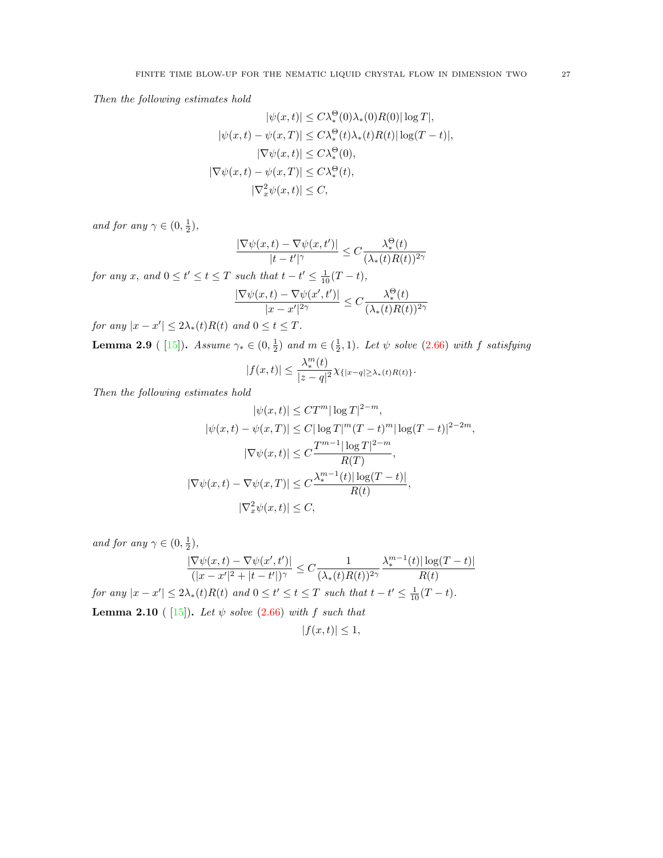Then the following estimates hold

$$
|\psi(x,t)| \le C\lambda_*^{\Theta}(0)\lambda_*(0)R(0)|\log T|,
$$
  
\n
$$
|\psi(x,t) - \psi(x,T)| \le C\lambda_*^{\Theta}(t)\lambda_*(t)R(t)|\log(T-t)|,
$$
  
\n
$$
|\nabla \psi(x,t)| \le C\lambda_*^{\Theta}(0),
$$
  
\n
$$
|\nabla \psi(x,t) - \psi(x,T)| \le C\lambda_*^{\Theta}(t),
$$
  
\n
$$
|\nabla_x^2 \psi(x,t)| \le C,
$$

and for any  $\gamma \in (0, \frac{1}{2}),$ 

$$
\frac{|\nabla \psi(x,t) - \nabla \psi(x,t')|}{|t - t'|^{\gamma}} \leq C \frac{\lambda_*^{\Theta}(t)}{(\lambda_*(t)R(t))^{2\gamma}}
$$

for any x, and  $0 \le t' \le t \le T$  such that  $t - t' \le \frac{1}{10}(T - t)$ ,

$$
\frac{|\nabla \psi(x,t) - \nabla \psi(x',t')|}{|x - x'|^{2\gamma}} \le C \frac{\lambda_*^{\Theta}(t)}{(\lambda_* (t) R(t))^{2\gamma}}
$$

for any  $|x - x'| \leq 2\lambda_*(t)R(t)$  and  $0 \leq t \leq T$ .

<span id="page-26-0"></span>**Lemma 2.9** ( [\[15\]](#page-46-7)). Assume  $\gamma_* \in (0, \frac{1}{2})$  and  $m \in (\frac{1}{2}, 1)$ . Let  $\psi$  solve [\(2.66\)](#page-25-4) with f satisfying

$$
|f(x,t)| \leq \frac{\lambda_*^m(t)}{|z-q|^2} \chi_{\{|x-q|\geq \lambda_*(t)R(t)\}}.
$$

Then the following estimates hold

$$
|\psi(x,t)| \leq C T^m |\log T|^{2-m},
$$
  
\n
$$
|\psi(x,t) - \psi(x,T)| \leq C |\log T|^m (T-t)^m |\log (T-t)|^{2-2m},
$$
  
\n
$$
|\nabla \psi(x,t)| \leq C \frac{T^{m-1} |\log T|^{2-m}}{R(T)},
$$
  
\n
$$
|\nabla \psi(x,t) - \nabla \psi(x,T)| \leq C \frac{\lambda_*^{m-1}(t) |\log (T-t)|}{R(t)},
$$
  
\n
$$
|\nabla_x^2 \psi(x,t)| \leq C,
$$

and for any  $\gamma \in (0, \frac{1}{2}),$ 

<span id="page-26-1"></span>
$$
\frac{|\nabla\psi(x,t) - \nabla\psi(x',t')|}{(|x - x'|^2 + |t - t'|)^\gamma} \le C \frac{1}{(\lambda_*(t)R(t))^{2\gamma}} \frac{\lambda_*^{m-1}(t)|\log(T - t)|}{R(t)}
$$
  
for any  $|x - x'| \le 2\lambda_*(t)R(t)$  and  $0 \le t' \le t \le T$  such that  $t - t' \le \frac{1}{10}(T - t)$ .  
**Lemma 2.10** ([15]). Let  $\psi$  solve (2.66) with f such that  
 $|f(x,t)| \le 1$ ,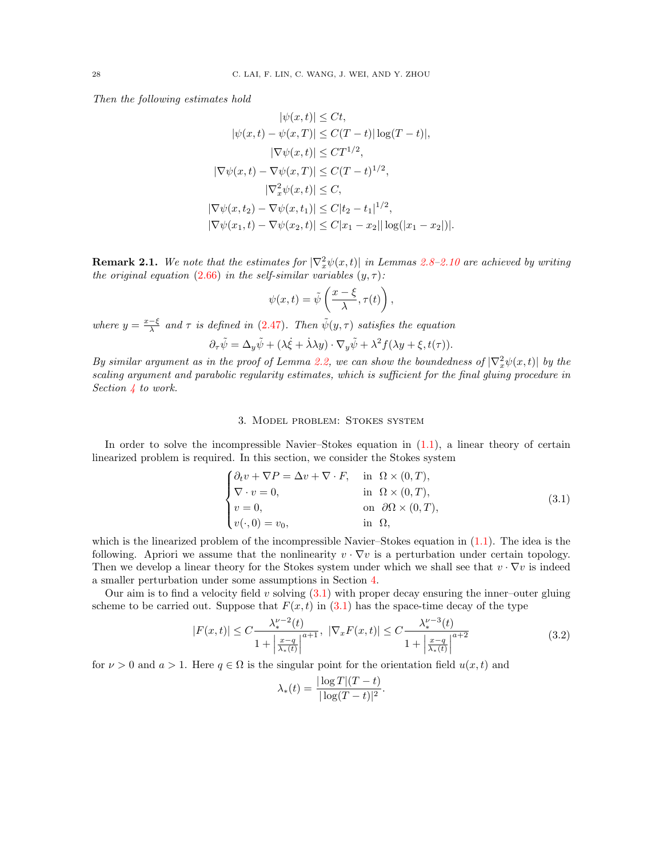Then the following estimates hold

$$
|\psi(x,t)| \le Ct,
$$
  
\n
$$
|\psi(x,t) - \psi(x,T)| \le C(T-t) |\log(T-t)|,
$$
  
\n
$$
|\nabla \psi(x,t)| \le CT^{1/2},
$$
  
\n
$$
|\nabla \psi(x,t) - \nabla \psi(x,T)| \le C(T-t)^{1/2},
$$
  
\n
$$
|\nabla_x^2 \psi(x,t)| \le C,
$$
  
\n
$$
|\nabla \psi(x,t_2) - \nabla \psi(x,t_1)| \le C|t_2 - t_1|^{1/2},
$$
  
\n
$$
|\nabla \psi(x_1,t) - \nabla \psi(x_2,t)| \le C|x_1 - x_2| |\log(|x_1 - x_2|)|.
$$

**Remark 2.1.** We note that the estimates for  $|\nabla_x^2 \psi(x,t)|$  in Lemmas [2.8–](#page-25-1)[2.10](#page-26-1) are achieved by writing the original equation [\(2.66\)](#page-25-4) in the self-similar variables  $(y, \tau)$ :

$$
\psi(x,t) = \tilde{\psi}\left(\frac{x-\xi}{\lambda}, \tau(t)\right),\,
$$

where  $y = \frac{x-\xi}{\lambda}$  and  $\tau$  is defined in [\(2.47\)](#page-19-1). Then  $\tilde{\psi}(y, \tau)$  satisfies the equation

$$
\partial_{\tau}\tilde{\psi} = \Delta_y \tilde{\psi} + (\lambda \dot{\xi} + \dot{\lambda} \lambda y) \cdot \nabla_y \tilde{\psi} + \lambda^2 f(\lambda y + \xi, t(\tau)).
$$

By similar argument as in the proof of Lemma [2.2,](#page-19-4) we can show the boundedness of  $|\nabla_x^2 \psi(x,t)|$  by the scaling argument and parabolic regularity estimates, which is sufficient for the final gluing procedure in Section [4](#page-36-0) to work.

### 3. Model problem: Stokes system

<span id="page-27-0"></span>In order to solve the incompressible Navier–Stokes equation in [\(1.1\)](#page-0-0), a linear theory of certain linearized problem is required. In this section, we consider the Stokes system

<span id="page-27-1"></span>
$$
\begin{cases}\n\partial_t v + \nabla P = \Delta v + \nabla \cdot F, & \text{in } \Omega \times (0, T), \\
\nabla \cdot v = 0, & \text{in } \Omega \times (0, T), \\
v = 0, & \text{on } \partial \Omega \times (0, T), \\
v(\cdot, 0) = v_0, & \text{in } \Omega,\n\end{cases}
$$
\n(3.1)

which is the linearized problem of the incompressible Navier–Stokes equation in [\(1.1\)](#page-0-0). The idea is the following. Apriori we assume that the nonlinearity  $v \cdot \nabla v$  is a perturbation under certain topology. Then we develop a linear theory for the Stokes system under which we shall see that  $v \cdot \nabla v$  is indeed a smaller perturbation under some assumptions in Section [4.](#page-36-0)

Our aim is to find a velocity field v solving  $(3.1)$  with proper decay ensuring the inner–outer gluing scheme to be carried out. Suppose that  $F(x, t)$  in [\(3.1\)](#page-27-1) has the space-time decay of the type

$$
|F(x,t)| \le C \frac{\lambda_*^{\nu-2}(t)}{1 + \left|\frac{x-q}{\lambda_*(t)}\right|^{a+1}}, \ |\nabla_x F(x,t)| \le C \frac{\lambda_*^{\nu-3}(t)}{1 + \left|\frac{x-q}{\lambda_*(t)}\right|^{a+2}} \tag{3.2}
$$

for  $\nu > 0$  and  $a > 1$ . Here  $q \in \Omega$  is the singular point for the orientation field  $u(x, t)$  and

$$
\lambda_*(t) = \frac{|\log T|(T-t)}{|\log(T-t)|^2}.
$$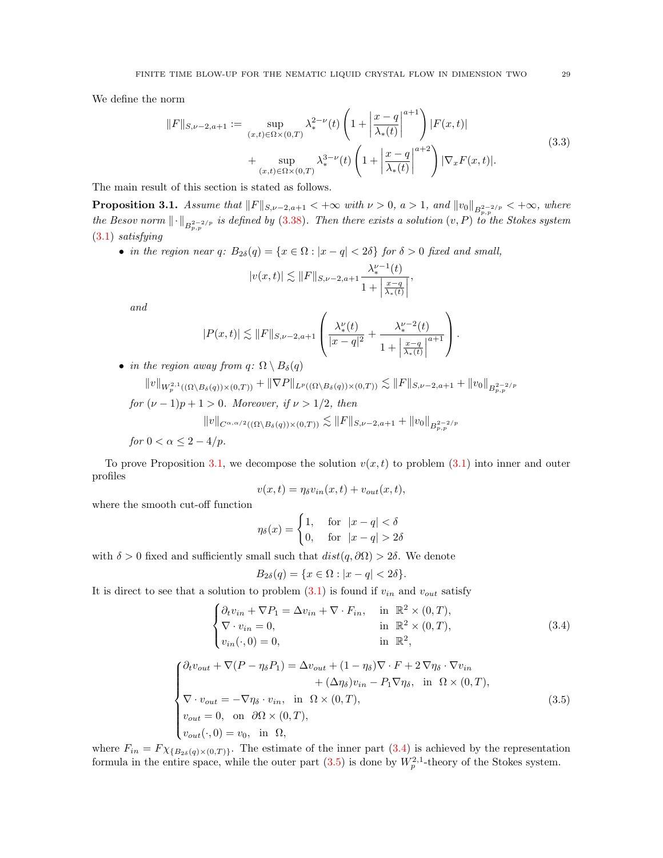We define the norm

<span id="page-28-3"></span>
$$
||F||_{S,\nu-2,a+1} := \sup_{(x,t)\in\Omega\times(0,T)} \lambda_*^{2-\nu}(t) \left(1 + \left|\frac{x-q}{\lambda_*(t)}\right|^{a+1}\right) |F(x,t)| + \sup_{(x,t)\in\Omega\times(0,T)} \lambda_*^{3-\nu}(t) \left(1 + \left|\frac{x-q}{\lambda_*(t)}\right|^{a+2}\right) |\nabla_x F(x,t)|.
$$
\n(3.3)

The main result of this section is stated as follows.

<span id="page-28-0"></span>**Proposition 3.1.** Assume that  $||F||_{S,\nu-2,a+1} < +\infty$  with  $\nu > 0$ ,  $a > 1$ , and  $||v_0||_{B^{2-2/p}_{p,p}} < +\infty$ , where the Besov norm  $\lVert \cdot \rVert_{B^{2-2/p}_{p,p}}$  is defined by [\(3.38\)](#page-36-1). Then there exists a solution  $(v, P)$  to the Stokes system [\(3.1\)](#page-27-1) satisfying

• in the region near q:  $B_{2\delta}(q) = \{x \in \Omega : |x - q| < 2\delta\}$  for  $\delta > 0$  fixed and small,

$$
|v(x,t)| \lesssim ||F||_{S,\nu-2,a+1} \frac{\lambda_*^{\nu-1}(t)}{1 + \left|\frac{x-q}{\lambda_*(t)}\right|},
$$

and

$$
|P(x,t)| \lesssim ||F||_{S,\nu-2,a+1} \left( \frac{\lambda_*^{\nu}(t)}{|x-q|^2} + \frac{\lambda_*^{\nu-2}(t)}{1 + \left| \frac{x-q}{\lambda_*(t)} \right|^{a+1}} \right).
$$

• in the region away from  $q: \Omega \setminus B_\delta(q)$ 

$$
||v||_{W^{2,1}_p((\Omega \setminus B_\delta(q)) \times (0,T))} + ||\nabla P||_{L^p((\Omega \setminus B_\delta(q)) \times (0,T))} \lesssim ||F||_{S,\nu-2,a+1} + ||v_0||_{B^{2-2/p}_{p,p}}
$$
  
for  $(\nu-1)p+1 > 0$ . Moreover, if  $\nu > 1/2$ , then  

$$
||v||_{C^{\alpha,\alpha/2}((\Omega \setminus B_\delta(q)) \times (0,T))} \lesssim ||F||_{S,\nu-2,a+1} + ||v_0||_{B^{2-2/p}_{p,p}}
$$

for 
$$
0 < \alpha \leq 2 - 4/p
$$
.

To prove Proposition [3.1,](#page-28-0) we decompose the solution  $v(x, t)$  to problem [\(3.1\)](#page-27-1) into inner and outer profiles

$$
v(x,t) = \eta_{\delta} v_{in}(x,t) + v_{out}(x,t),
$$

where the smooth cut-off function

$$
\eta_{\delta}(x) = \begin{cases} 1, & \text{for} \quad |x - q| < \delta \\ 0, & \text{for} \quad |x - q| > 2\delta \end{cases}
$$

with  $\delta > 0$  fixed and sufficiently small such that  $dist(q, \partial \Omega) > 2\delta$ . We denote

$$
B_{2\delta}(q) = \{ x \in \Omega : |x - q| < 2\delta \}.
$$

It is direct to see that a solution to problem  $(3.1)$  is found if  $v_{in}$  and  $v_{out}$  satisfy

<span id="page-28-1"></span>
$$
\begin{cases}\n\partial_t v_{in} + \nabla P_1 = \Delta v_{in} + \nabla \cdot F_{in}, & \text{in } \mathbb{R}^2 \times (0, T), \\
\nabla \cdot v_{in} = 0, & \text{in } \mathbb{R}^2 \times (0, T), \\
v_{in}(\cdot, 0) = 0, & \text{in } \mathbb{R}^2,\n\end{cases}
$$
\n(3.4)

<span id="page-28-2"></span>
$$
\begin{cases}\n\partial_t v_{out} + \nabla (P - \eta_{\delta} P_1) = \Delta v_{out} + (1 - \eta_{\delta}) \nabla \cdot F + 2 \nabla \eta_{\delta} \cdot \nabla v_{in} \\
+ (\Delta \eta_{\delta}) v_{in} - P_1 \nabla \eta_{\delta}, \text{ in } \Omega \times (0, T), \\
\nabla \cdot v_{out} = - \nabla \eta_{\delta} \cdot v_{in}, \text{ in } \Omega \times (0, T), \\
v_{out} = 0, \text{ on } \partial \Omega \times (0, T), \\
v_{out}(\cdot, 0) = v_0, \text{ in } \Omega,\n\end{cases}
$$
\n(3.5)

where  $F_{in} = F \chi_{B_{2\delta}(q) \times (0,T)}$ . The estimate of the inner part [\(3.4\)](#page-28-1) is achieved by the representation formula in the entire space, while the outer part  $(3.5)$  is done by  $W_p^{2,1}$ -theory of the Stokes system.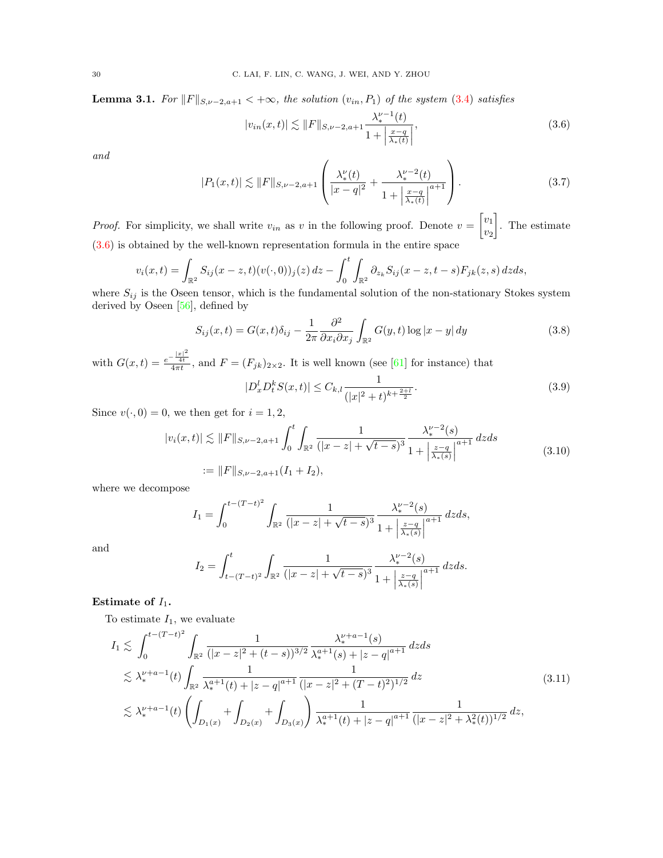<span id="page-29-5"></span>**Lemma 3.1.** For  $||F||_{S,\nu-2,a+1} < +\infty$ , the solution  $(v_{in}, P_1)$  of the system [\(3.4\)](#page-28-1) satisfies

<span id="page-29-1"></span>
$$
|v_{in}(x,t)| \lesssim \|F\|_{S,\nu-2,a+1} \frac{\lambda_*^{\nu-1}(t)}{1 + \left|\frac{x-q}{\lambda_*(t)}\right|},\tag{3.6}
$$

and

<span id="page-29-4"></span>
$$
|P_1(x,t)| \lesssim ||F||_{S,\nu-2,a+1} \left( \frac{\lambda_*^{\nu}(t)}{|x-q|^2} + \frac{\lambda_*^{\nu-2}(t)}{1 + \left| \frac{x-q}{\lambda_*(t)} \right|^{a+1}} \right). \tag{3.7}
$$

*Proof.* For simplicity, we shall write  $v_{in}$  as v in the following proof. Denote  $v = \begin{bmatrix} v_1 \\ v_2 \end{bmatrix}$  $v_2$  . The estimate [\(3.6\)](#page-29-1) is obtained by the well-known representation formula in the entire space

$$
v_i(x,t) = \int_{\mathbb{R}^2} S_{ij}(x-z,t)(v(\cdot,0))_j(z) dz - \int_0^t \int_{\mathbb{R}^2} \partial_{z_k} S_{ij}(x-z,t-s) F_{jk}(z,s) dz ds,
$$
is the Oscon tensor, which is the fundamental solution of the non-stationary.

where  $S_{ij}$  is the Oseen tensor, which is the fundamental solution of the non-stationary Stokes system derived by Oseen [\[56\]](#page-48-21), defined by

<span id="page-29-0"></span>
$$
S_{ij}(x,t) = G(x,t)\delta_{ij} - \frac{1}{2\pi} \frac{\partial^2}{\partial x_i \partial x_j} \int_{\mathbb{R}^2} G(y,t) \log|x-y| \, dy \tag{3.8}
$$

with  $G(x,t) = \frac{e^{-\frac{|x|^2}{4t}}}{4\pi t}$ , and  $F = (F_{jk})_{2\times 2}$ . It is well known (see [\[61\]](#page-48-4) for instance) that

<span id="page-29-6"></span>
$$
|D_x^l D_t^k S(x,t)| \le C_{k,l} \frac{1}{(|x|^2 + t)^{k + \frac{2+l}{2}}}.
$$
\n(3.9)

Since  $v(\cdot, 0) = 0$ , we then get for  $i = 1, 2$ ,

<span id="page-29-3"></span>
$$
|v_i(x,t)| \lesssim ||F||_{S,\nu-2,a+1} \int_0^t \int_{\mathbb{R}^2} \frac{1}{(|x-z| + \sqrt{t-s})^3} \frac{\lambda_*^{\nu-2}(s)}{1 + \left|\frac{z-q}{\lambda_*(s)}\right|^{a+1}} dz ds
$$
  
 := ||F||\_{S,\nu-2,a+1}(I\_1 + I\_2), \t\t(3.10)

where we decompose

$$
I_1 = \int_0^{t-(T-t)^2} \int_{\mathbb{R}^2} \frac{1}{(|x-z| + \sqrt{t-s})^3} \frac{\lambda_*^{\nu-2}(s)}{1 + \left|\frac{z-q}{\lambda_*(s)}\right|^{a+1}} dz ds,
$$

and

$$
I_2 = \int_{t-(T-t)^2}^t \int_{\mathbb{R}^2} \frac{1}{(|x-z| + \sqrt{t-s})^3} \frac{\lambda_*^{\nu-2}(s)}{1 + \left|\frac{z-q}{\lambda_*(s)}\right|^{a+1}} dz ds.
$$

## Estimate of  $I_1$ .

To estimate  $I_1$ , we evaluate

<span id="page-29-2"></span>
$$
I_{1} \lesssim \int_{0}^{t-(T-t)^{2}} \int_{\mathbb{R}^{2}} \frac{1}{(|x-z|^{2}+(t-s))^{3/2}} \frac{\lambda_{*}^{\nu+a-1}(s)}{\lambda_{*}^{a+1}(s)+|z-q|^{a+1}} d z d s
$$
  

$$
\lesssim \lambda_{*}^{\nu+a-1}(t) \int_{\mathbb{R}^{2}} \frac{1}{\lambda_{*}^{a+1}(t)+|z-q|^{a+1}} \frac{1}{(|x-z|^{2}+(T-t)^{2})^{1/2}} d z
$$
  

$$
\lesssim \lambda_{*}^{\nu+a-1}(t) \left(\int_{D_{1}(x)} + \int_{D_{2}(x)} + \int_{D_{3}(x)}\right) \frac{1}{\lambda_{*}^{a+1}(t)+|z-q|^{a+1}} \frac{1}{(|x-z|^{2}+\lambda_{*}^{2}(t))^{1/2}} d z,
$$
\n(3.11)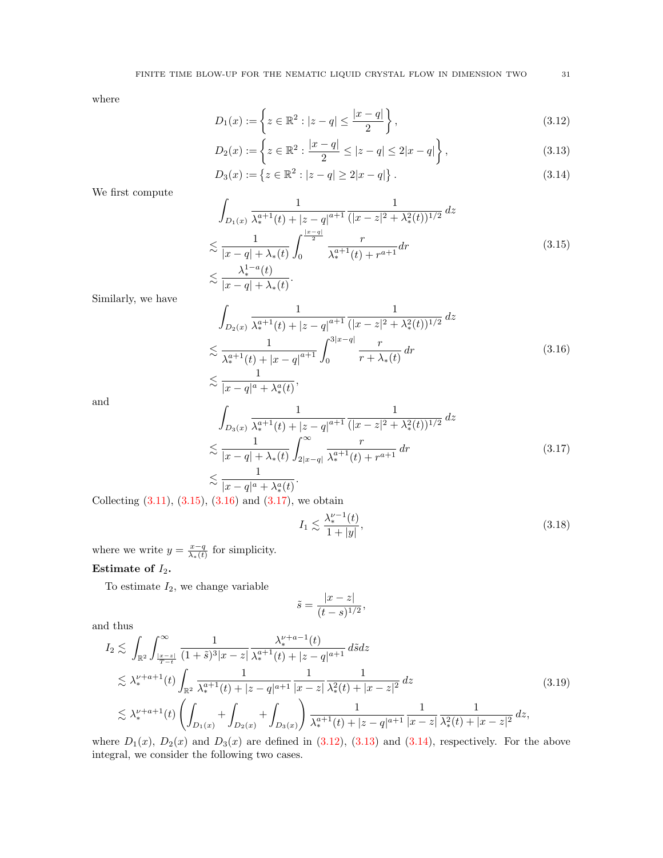where

<span id="page-30-4"></span><span id="page-30-3"></span>
$$
D_1(x) := \left\{ z \in \mathbb{R}^2 : |z - q| \le \frac{|x - q|}{2} \right\},\tag{3.12}
$$

<span id="page-30-5"></span>
$$
D_2(x) := \left\{ z \in \mathbb{R}^2 : \frac{|x - q|}{2} \le |z - q| \le 2|x - q| \right\},\tag{3.13}
$$

$$
D_3(x) := \{ z \in \mathbb{R}^2 : |z - q| \ge 2|x - q| \}.
$$
\n(3.14)

We first compute

<span id="page-30-0"></span>
$$
\int_{D_1(x)} \frac{1}{\lambda_*^{a+1}(t) + |z - q|^{a+1}} \frac{1}{(|x - z|^2 + \lambda_*^2(t))^{1/2}} dz
$$
\n
$$
\lesssim \frac{1}{|x - q| + \lambda_*(t)} \int_0^{\frac{|x - q|}{2}} \frac{r}{\lambda_*^{a+1}(t) + r^{a+1}} dr
$$
\n
$$
\lesssim \frac{\lambda_*^{1-a}(t)}{|x - q| + \lambda_*(t)}.
$$
\n(3.15)

Similarly, we have

<span id="page-30-1"></span>
$$
\int_{D_2(x)} \frac{1}{\lambda_*^{a+1}(t) + |z - q|^{a+1}} \frac{1}{(|x - z|^2 + \lambda_*^2(t))^{1/2}} dz
$$
\n
$$
\lesssim \frac{1}{\lambda_*^{a+1}(t) + |x - q|^{a+1}} \int_0^{3|x - q|} \frac{r}{r + \lambda_*(t)} dr
$$
\n
$$
< \frac{1}{\lambda_*^{a+1}(t) + \lambda_*(t)}.
$$
\n(3.16)

and

<span id="page-30-2"></span>
$$
\int_{D_3(x)} \frac{1}{\lambda_*^{a+1}(t) + |z - q|^{a+1}} \frac{1}{(|x - z|^2 + \lambda_*^2(t))^{1/2}} dz
$$
\n
$$
\lesssim \frac{1}{|x - q| + \lambda_*(t)} \int_{2|x - q|}^{\infty} \frac{r}{\lambda_*^{a+1}(t) + r^{a+1}} dr
$$
\n
$$
\lesssim \frac{1}{|x - y|^{a+1/2}(t)}.
$$
\n(3.17)

 $|x - q|^a + \lambda_*^a(t)$ Collecting  $(3.11)$ ,  $(3.15)$ ,  $(3.16)$  and  $(3.17)$ , we obtain

 $\frac{1}{|x-q|^a + \lambda_*^a(t)},$ 

<span id="page-30-7"></span>
$$
I_1 \lesssim \frac{\lambda_*^{\nu - 1}(t)}{1 + |y|},\tag{3.18}
$$

where we write  $y = \frac{x-q}{\lambda_*(t)}$  for simplicity.

# Estimate of  $I_2$ .

To estimate  $I_2$ , we change variable

$$
\tilde{s} = \frac{|x - z|}{(t - s)^{1/2}},
$$

and thus

<span id="page-30-6"></span>
$$
I_{2} \lesssim \int_{\mathbb{R}^{2}} \int_{\frac{|x-z|}{T-t}}^{\infty} \frac{1}{(1+\tilde{s})^{3}|x-z|} \frac{\lambda_{*}^{\nu+a-1}(t)}{\lambda_{*}^{a+1}(t) + |z-q|^{a+1}} d\tilde{s} dz
$$
  
\n
$$
\lesssim \lambda_{*}^{\nu+a+1}(t) \int_{\mathbb{R}^{2}} \frac{1}{\lambda_{*}^{a+1}(t) + |z-q|^{a+1}} \frac{1}{|x-z|} \frac{1}{\lambda_{*}^{2}(t) + |x-z|^{2}} dz
$$
  
\n
$$
\lesssim \lambda_{*}^{\nu+a+1}(t) \left( \int_{D_{1}(x)} + \int_{D_{2}(x)} + \int_{D_{3}(x)} \right) \frac{1}{\lambda_{*}^{a+1}(t) + |z-q|^{a+1}} \frac{1}{|x-z|} \frac{1}{\lambda_{*}^{2}(t) + |x-z|^{2}} dz,
$$
\n(3.19)

where  $D_1(x)$ ,  $D_2(x)$  and  $D_3(x)$  are defined in [\(3.12\)](#page-30-3), [\(3.13\)](#page-30-4) and [\(3.14\)](#page-30-5), respectively. For the above integral, we consider the following two cases.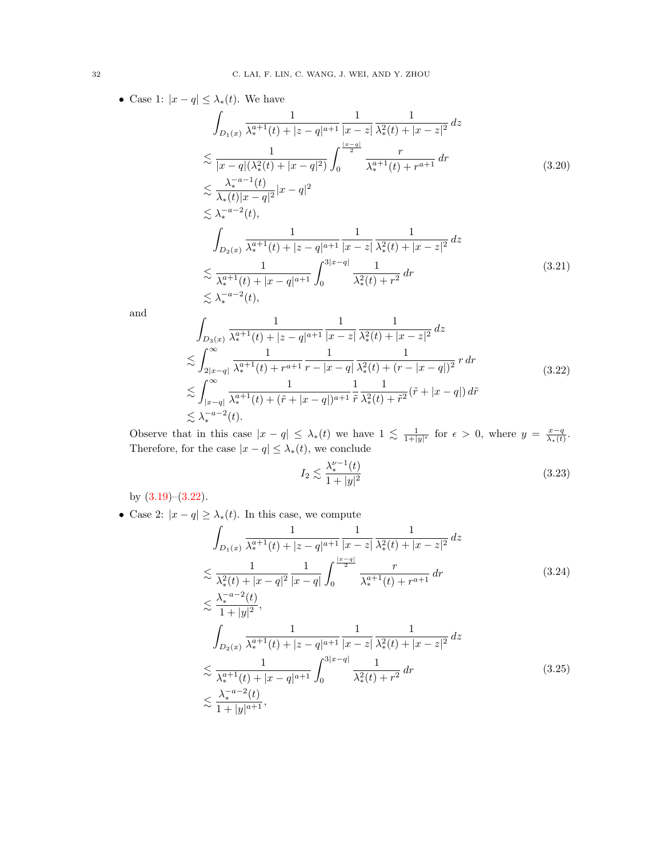• Case 1:  $|x - q| \leq \lambda_*(t)$ . We have

$$
\int_{D_1(x)} \frac{1}{\lambda_*^{a+1}(t) + |z - q|^{a+1}} \frac{1}{|x - z|} \frac{1}{\lambda_*^2(t) + |x - z|^2} dz
$$
\n
$$
\lesssim \frac{1}{|x - q|(\lambda_*^2(t) + |x - q|^2)} \int_0^{\frac{|x - q|}{2}} \frac{r}{\lambda_*^{a+1}(t) + r^{a+1}} dr
$$
\n
$$
\lesssim \frac{\lambda_*^{-a-1}(t)}{\lambda_*(t)|x - q|^2} |x - q|^2
$$
\n
$$
\lesssim \lambda_*^{-a-2}(t),
$$
\n
$$
\int_0^{\infty} \frac{1}{\lambda_*(t) + |x - q|^2} dr
$$
\n
$$
\leq \lambda_*^{-a-2}(t),
$$
\n
$$
\int_0^{\infty} \frac{1}{\lambda_*(t) + |x - q|^2} dr
$$
\n
$$
\leq \lambda_*^{-a-2}(t),
$$
\n
$$
\leq \lambda_*^{-a-2}(t) + \lambda_*^{-a-2}(t) \leq \lambda_*^{-a-2}(t).
$$
\n(3.20)

$$
\int_{D_2(x)} \frac{1}{\lambda_*^{a+1}(t) + |z - q|^{a+1}} \frac{1}{|x - z|} \frac{1}{\lambda_*^2(t) + |x - z|^2} dz
$$
\n
$$
\lesssim \frac{1}{\lambda_*^{a+1}(t) + |x - q|^{a+1}} \int_0^{3|x - q|} \frac{1}{\lambda_*^2(t) + r^2} dr
$$
\n
$$
\lesssim \lambda_*^{-a-2}(t),
$$
\n(3.21)

and

<span id="page-31-0"></span>
$$
\int_{D_3(x)} \frac{1}{\lambda_*^{a+1}(t) + |z - q|^{a+1}} \frac{1}{|x - z|} \frac{1}{\lambda_*^2(t) + |x - z|^2} dz
$$
\n
$$
\lesssim \int_{2|x - q|}^{\infty} \frac{1}{\lambda_*^{a+1}(t) + r^{a+1}} \frac{1}{r - |x - q|} \frac{1}{\lambda_*^2(t) + (r - |x - q|)^2} r dr
$$
\n
$$
\lesssim \int_{|x - q|}^{\infty} \frac{1}{\lambda_*^{a+1}(t) + (\tilde{r} + |x - q|)^{a+1}} \frac{1}{\tilde{r}} \frac{1}{\lambda_*^2(t) + \tilde{r}^2} (\tilde{r} + |x - q|) d\tilde{r}
$$
\n
$$
\lesssim \lambda_*^{-a-2}(t).
$$
\n(3.22)

Observe that in this case  $|x - q| \leq \lambda_*(t)$  we have  $1 \lesssim \frac{1}{1+|y|^{\epsilon}}$  for  $\epsilon > 0$ , where  $y = \frac{x-q}{\lambda_*(t)}$ . Therefore, for the case  $|x - q| \leq \lambda_*(t)$ , we conclude

<span id="page-31-3"></span>
$$
I_2 \lesssim \frac{\lambda_*^{\nu - 1}(t)}{1 + |y|^2} \tag{3.23}
$$

by  $(3.19)$ – $(3.22)$ .

• Case 2:  $|x - q| \geq \lambda_*(t)$ . In this case, we compute

<span id="page-31-1"></span>
$$
\int_{D_1(x)} \frac{1}{\lambda_*^{a+1}(t) + |z - q|^{a+1}} \frac{1}{|x - z|} \frac{1}{\lambda_*^2(t) + |x - z|^2} dz
$$
\n
$$
\lesssim \frac{1}{\lambda_*^2(t) + |x - q|^2} \frac{1}{|x - q|} \int_0^{\frac{|x - q|}{2}} \frac{r}{\lambda_*^{a+1}(t) + r^{a+1}} dr
$$
\n
$$
< \frac{\lambda_*^{-a-2}(t)}{\lambda_*^{a-2}(t)}.
$$
\n(3.24)

<span id="page-31-2"></span>
$$
\lesssim \frac{\lambda}{1+|y|^2},
$$
\n
$$
\int_{D_2(x)} \frac{1}{\lambda_*^{a+1}(t)+|z-q|^{a+1}} \frac{1}{|x-z|} \frac{1}{\lambda_*^2(t)+|x-z|^2} dz
$$
\n
$$
\lesssim \frac{1}{\lambda_*^{a+1}(t)+|x-q|^{a+1}} \int_0^{3|x-q|} \frac{1}{\lambda_*^2(t)+r^2} dr
$$
\n
$$
\lesssim \frac{\lambda_*^{-a-2}(t)}{1+|y|^{a+1}},
$$
\n(3.25)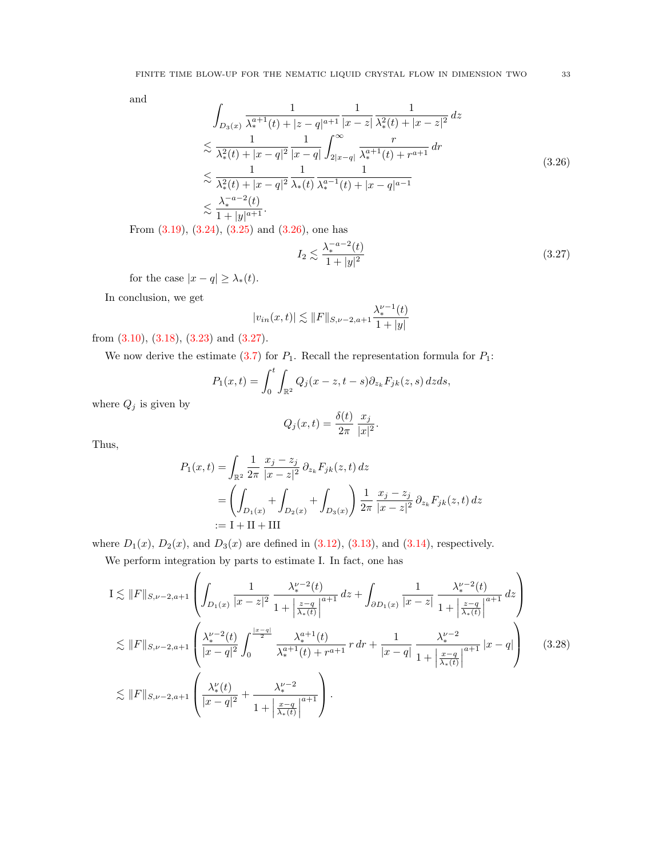and

<span id="page-32-0"></span>
$$
\int_{D_3(x)} \frac{1}{\lambda_*^{a+1}(t) + |z - q|^{a+1}} \frac{1}{|x - z|} \frac{1}{\lambda_*^2(t) + |x - z|^2} dz
$$
\n
$$
\lesssim \frac{1}{\lambda_*^2(t) + |x - q|^2} \frac{1}{|x - q|} \int_{2|x - q|}^{\infty} \frac{r}{\lambda_*^{a+1}(t) + r^{a+1}} dr
$$
\n
$$
\lesssim \frac{1}{\lambda_*^2(t) + |x - q|^2} \frac{1}{\lambda_*(t)} \frac{1}{\lambda_*^{a-1}(t) + |x - q|^{a-1}}
$$
\n
$$
\lesssim \frac{\lambda_*^{-a-2}(t)}{1 + |y|^{a+1}}.
$$
\n(3.26)

From [\(3.19\)](#page-30-6), [\(3.24\)](#page-31-1), [\(3.25\)](#page-31-2) and [\(3.26\)](#page-32-0), one has

<span id="page-32-1"></span>
$$
I_2 \lesssim \frac{\lambda_*^{-a-2}(t)}{1+|y|^2} \tag{3.27}
$$

for the case  $|x - q| \geq \lambda_*(t)$ .

In conclusion, we get

$$
|v_{in}(x,t)| \lesssim \|F\|_{S,\nu-2,a+1} \frac{\lambda_*^{\nu-1}(t)}{1+|y|}
$$

from [\(3.10\)](#page-29-3), [\(3.18\)](#page-30-7), [\(3.23\)](#page-31-3) and [\(3.27\)](#page-32-1).

We now derive the estimate  $(3.7)$  for  $P_1$ . Recall the representation formula for  $P_1$ :

$$
P_1(x,t) = \int_0^t \int_{\mathbb{R}^2} Q_j(x-z,t-s) \partial_{z_k} F_{jk}(z,s) dz ds,
$$

where  $Q_j$  is given by

$$
Q_j(x,t) = \frac{\delta(t)}{2\pi} \frac{x_j}{|x|^2}.
$$

Thus,

$$
P_1(x,t) = \int_{\mathbb{R}^2} \frac{1}{2\pi} \frac{x_j - z_j}{|x - z|^2} \partial_{z_k} F_{jk}(z,t) dz
$$
  
= 
$$
\left( \int_{D_1(x)} + \int_{D_2(x)} + \int_{D_3(x)} \right) \frac{1}{2\pi} \frac{x_j - z_j}{|x - z|^2} \partial_{z_k} F_{jk}(z,t) dz
$$
  
:= I + II + III

where  $D_1(x)$ ,  $D_2(x)$ , and  $D_3(x)$  are defined in [\(3.12\)](#page-30-3), [\(3.13\)](#page-30-4), and [\(3.14\)](#page-30-5), respectively.

We perform integration by parts to estimate I. In fact, one has

<span id="page-32-2"></span>
$$
I \lesssim ||F||_{S,\nu-2,a+1} \left( \int_{D_1(x)} \frac{1}{|x-z|^2} \frac{\lambda_*^{\nu-2}(t)}{1 + \left| \frac{z-q}{\lambda_*(t)} \right|^{a+1}} dz + \int_{\partial D_1(x)} \frac{1}{|x-z|} \frac{\lambda_*^{\nu-2}(t)}{1 + \left| \frac{z-q}{\lambda_*(t)} \right|^{a+1}} dz \right)
$$
  

$$
\lesssim ||F||_{S,\nu-2,a+1} \left( \frac{\lambda_*^{\nu-2}(t)}{|x-q|^2} \int_0^{\frac{|x-q|}{2}} \frac{\lambda_*^{a+1}(t)}{\lambda_*^{a+1}(t) + r^{a+1}} r dr + \frac{1}{|x-q|} \frac{\lambda_*^{\nu-2}}{1 + \left| \frac{x-q}{\lambda_*(t)} \right|^{a+1}} |x-q| \right) \tag{3.28}
$$
  

$$
\lesssim ||F||_{S,\nu-2,a+1} \left( \frac{\lambda_*^{\nu}(t)}{|x-q|^2} + \frac{\lambda_*^{\nu-2}}{1 + \left| \frac{x-q}{\lambda_*(t)} \right|^{a+1}} \right).
$$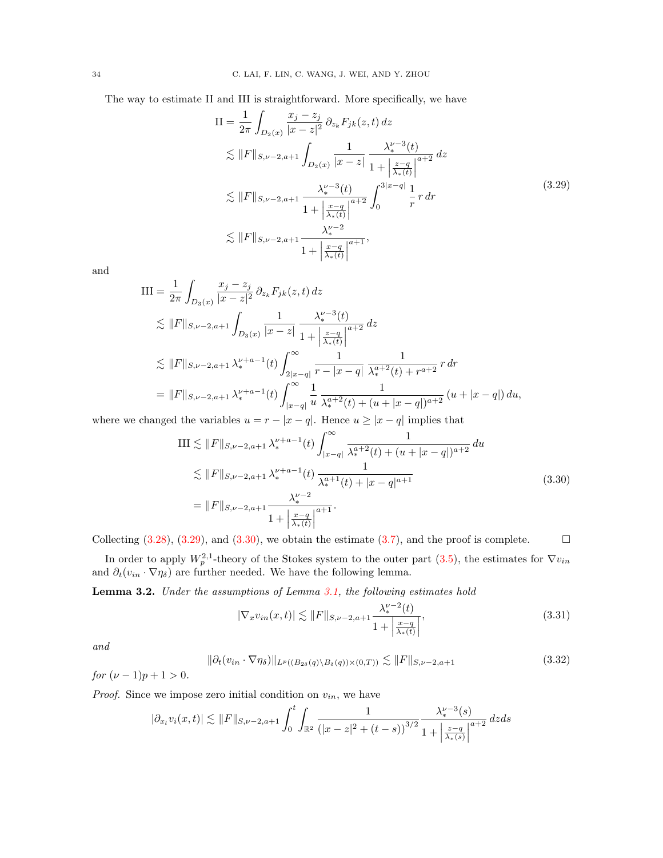<span id="page-33-0"></span>The way to estimate II and III is straightforward. More specifically, we have

$$
II = \frac{1}{2\pi} \int_{D_2(x)} \frac{x_j - z_j}{|x - z|^2} \partial_{z_k} F_{jk}(z, t) dz
$$
  
\n
$$
\lesssim ||F||_{S, \nu - 2, a+1} \int_{D_2(x)} \frac{1}{|x - z|} \frac{\lambda_*^{\nu - 3}(t)}{1 + \left|\frac{z - q}{\lambda_*(t)}\right|^{a+2}} dz
$$
  
\n
$$
\lesssim ||F||_{S, \nu - 2, a+1} \frac{\lambda_*^{\nu - 3}(t)}{1 + \left|\frac{x - q}{\lambda_*(t)}\right|^{a+2}} \int_0^{3|x - q|} \frac{1}{r} r dr
$$
  
\n
$$
\lesssim ||F||_{S, \nu - 2, a+1} \frac{\lambda_*^{\nu - 2}}{1 + \left|\frac{x - q}{\lambda_*(t)}\right|^{a+1}},
$$
\n(3.29)

and

$$
\begin{split} \text{III} &= \frac{1}{2\pi} \int_{D_3(x)} \frac{x_j - z_j}{|x - z|^2} \, \partial_{z_k} F_{jk}(z, t) \, dz \\ &\lesssim \|F\|_{S, \nu - 2, a+1} \int_{D_3(x)} \frac{1}{|x - z|} \frac{\lambda_*^{\nu - 3}(t)}{1 + \left|\frac{z - q}{\lambda_*(t)}\right|^{a+2}} \, dz \\ &\lesssim \|F\|_{S, \nu - 2, a+1} \, \lambda_*^{\nu + a - 1}(t) \int_{2|x - q|}^{\infty} \frac{1}{r - |x - q|} \frac{1}{\lambda_*^{a+2}(t) + r^{a+2}} \, r \, dr \\ &= \|F\|_{S, \nu - 2, a+1} \, \lambda_*^{\nu + a - 1}(t) \int_{|x - q|}^{\infty} \frac{1}{u} \frac{1}{\lambda_*^{a+2}(t) + (u + |x - q|)^{a+2}} \left(u + |x - q|\right) du, \end{split}
$$

<span id="page-33-1"></span>where we changed the variables  $u = r - |x - q|$ . Hence  $u \ge |x - q|$  implies that

$$
\begin{split} \text{III} &\lesssim \|F\|_{S,\nu-2,a+1} \,\lambda_*^{\nu+a-1}(t) \int_{|x-q|}^{\infty} \frac{1}{\lambda_*^{a+2}(t) + (u+|x-q|)^{a+2}} \, du \\ &\lesssim \|F\|_{S,\nu-2,a+1} \,\lambda_*^{\nu+a-1}(t) \, \frac{1}{\lambda_*^{a+1}(t) + |x-q|^{a+1}} \\ &= \|F\|_{S,\nu-2,a+1} \frac{\lambda_*^{\nu-2}}{1 + \left|\frac{x-q}{\lambda_*(t)}\right|^{a+1}}. \end{split} \tag{3.30}
$$

Collecting  $(3.28)$ ,  $(3.29)$ , and  $(3.30)$ , we obtain the estimate  $(3.7)$ , and the proof is complete.

In order to apply  $W_p^{2,1}$ -theory of the Stokes system to the outer part [\(3.5\)](#page-28-2), the estimates for  $\nabla v_{in}$ and  $\partial_t(v_{in} \cdot \nabla \eta_\delta)$  are further needed. We have the following lemma.

Lemma 3.2. Under the assumptions of Lemma [3.1,](#page-29-5) the following estimates hold

<span id="page-33-2"></span>
$$
|\nabla_x v_{in}(x,t)| \lesssim ||F||_{S,\nu-2,a+1} \frac{\lambda_*^{\nu-2}(t)}{1 + \left|\frac{x-q}{\lambda_*(t)}\right|},\tag{3.31}
$$

and

<span id="page-33-3"></span>
$$
\|\partial_t (v_{in} \cdot \nabla \eta_\delta)\|_{L^p((B_{2\delta}(q) \setminus B_\delta(q)) \times (0,T))} \lesssim \|F\|_{S,\nu-2,a+1}
$$
\n(3.32)

for  $(\nu - 1)p + 1 > 0$ .

*Proof.* Since we impose zero initial condition on  $v_{in}$ , we have

$$
|\partial_{x_l} v_i(x,t)| \lesssim ||F||_{S,\nu-2,a+1} \int_0^t \int_{\mathbb{R}^2} \frac{1}{(|x-z|^2 + (t-s))^{3/2}} \frac{\lambda_*^{\nu-3}(s)}{1 + \left|\frac{z-q}{\lambda_*(s)}\right|^{a+2}} \, dz ds
$$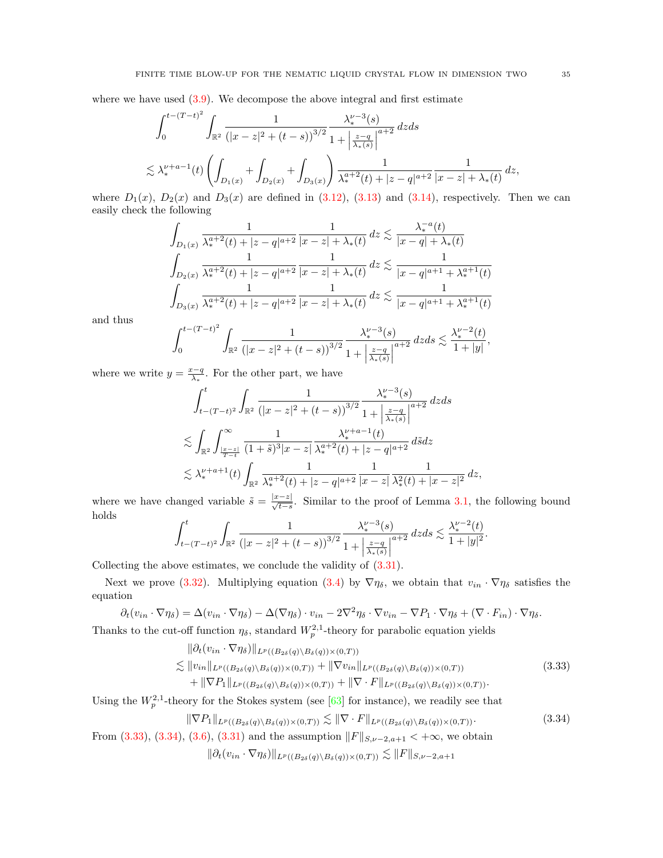where we have used  $(3.9)$ . We decompose the above integral and first estimate

$$
\int_0^{t-(T-t)^2} \int_{\mathbb{R}^2} \frac{1}{(|x-z|^2 + (t-s))^{3/2}} \frac{\lambda_*^{\nu-3}(s)}{1 + \left|\frac{z-q}{\lambda_*(s)}\right|^{a+2}} dz ds
$$
  

$$
\lesssim \lambda_*^{\nu+a-1}(t) \left( \int_{D_1(x)} + \int_{D_2(x)} + \int_{D_3(x)} \right) \frac{1}{\lambda_*^{a+2}(t) + |z-q|^{a+2}} \frac{1}{|x-z| + \lambda_*(t)} dz,
$$

where  $D_1(x)$ ,  $D_2(x)$  and  $D_3(x)$  are defined in [\(3.12\)](#page-30-3), [\(3.13\)](#page-30-4) and [\(3.14\)](#page-30-5), respectively. Then we can easily check the following

$$
\int_{D_1(x)} \frac{1}{\lambda_*^{a+2}(t) + |z - q|^{a+2}} \frac{1}{|x - z| + \lambda_*(t)} dz \lesssim \frac{\lambda_*^{-a}(t)}{|x - q| + \lambda_*(t)}
$$
\n
$$
\int_{D_2(x)} \frac{1}{\lambda_*^{a+2}(t) + |z - q|^{a+2}} \frac{1}{|x - z| + \lambda_*(t)} dz \lesssim \frac{1}{|x - q|^{a+1} + \lambda_*^{a+1}(t)}
$$
\n
$$
\int_{D_3(x)} \frac{1}{\lambda_*^{a+2}(t) + |z - q|^{a+2}} \frac{1}{|x - z| + \lambda_*(t)} dz \lesssim \frac{1}{|x - q|^{a+1} + \lambda_*^{a+1}(t)}
$$

and thus

$$
\int_0^{t-(T-t)^2} \int_{\mathbb{R}^2} \frac{1}{\left(|x-z|^2 + (t-s)\right)^{3/2}} \frac{\lambda_*^{\nu-3}(s)}{1 + \left|\frac{z-q}{\lambda_*(s)}\right|^{a+2}} \, dz ds \lesssim \frac{\lambda_*^{\nu-2}(t)}{1+|y|},
$$

where we write  $y = \frac{x-q}{\lambda_*}$ . For the other part, we have

$$
\int_{t-(T-t)^2}^t \int_{\mathbb{R}^2} \frac{1}{(|x-z|^2 + (t-s))^{3/2}} \frac{\lambda_*^{\nu-3}(s)}{1 + \left|\frac{z-q}{\lambda_*(s)}\right|^{a+2}} dz ds
$$
  

$$
\lesssim \int_{\mathbb{R}^2} \int_{\frac{|x-z|}{T-t}}^{\infty} \frac{1}{(1+\tilde{s})^3 |x-z|} \frac{\lambda_*^{\nu+a-1}(t)}{\lambda_*^{\alpha+2}(t) + |z-q|^{a+2}} d\tilde{s} dz
$$
  

$$
\lesssim \lambda_*^{\nu+a+1}(t) \int_{\mathbb{R}^2} \frac{1}{\lambda_*^{a+2}(t) + |z-q|^{a+2}} \frac{1}{|x-z|} \frac{1}{\lambda_*^2(t) + |x-z|^2} dz,
$$

where we have changed variable  $\tilde{s} = \frac{|x-z|}{\sqrt{t-s}}$ . Similar to the proof of Lemma [3.1,](#page-29-5) the following bound holds

$$
\int_{t-(T-t)^2}^t \int_{\mathbb{R}^2} \frac{1}{\left(|x-z|^2 + (t-s)\right)^{3/2}} \frac{\lambda_*^{\nu-3}(s)}{1 + \left|\frac{z-q}{\lambda_*(s)}\right|^{a+2}} \, dzds \lesssim \frac{\lambda_*^{\nu-2}(t)}{1 + |y|^2}.
$$

Collecting the above estimates, we conclude the validity of  $(3.31)$ .

Next we prove [\(3.32\)](#page-33-3). Multiplying equation [\(3.4\)](#page-28-1) by  $\nabla \eta_{\delta}$ , we obtain that  $v_{in} \cdot \nabla \eta_{\delta}$  satisfies the equation

$$
\partial_t (v_{in} \cdot \nabla \eta_{\delta}) = \Delta (v_{in} \cdot \nabla \eta_{\delta}) - \Delta (\nabla \eta_{\delta}) \cdot v_{in} - 2\nabla^2 \eta_{\delta} \cdot \nabla v_{in} - \nabla P_1 \cdot \nabla \eta_{\delta} + (\nabla \cdot F_{in}) \cdot \nabla \eta_{\delta}.
$$

Thanks to the cut-off function  $\eta_{\delta}$ , standard  $W_p^{2,1}$ -theory for parabolic equation yields

<span id="page-34-0"></span>
$$
\|\partial_t (v_{in} \cdot \nabla \eta_{\delta})\|_{L^p((B_{2\delta}(q)\backslash B_{\delta}(q))\times(0,T))} \n\lesssim \|v_{in}\|_{L^p((B_{2\delta}(q)\backslash B_{\delta}(q))\times(0,T))} + \|\nabla v_{in}\|_{L^p((B_{2\delta}(q)\backslash B_{\delta}(q))\times(0,T))} \n+ \|\nabla P_1\|_{L^p((B_{2\delta}(q)\backslash B_{\delta}(q))\times(0,T))} + \|\nabla \cdot F\|_{L^p((B_{2\delta}(q)\backslash B_{\delta}(q))\times(0,T))}. \tag{3.33}
$$

Using the  $W_p^{2,1}$ -theory for the Stokes system (see [\[63\]](#page-48-22) for instance), we readily see that

<span id="page-34-1"></span>
$$
\|\nabla P_1\|_{L^p((B_{2\delta}(q)\setminus B_{\delta}(q))\times(0,T))} \lesssim \|\nabla \cdot F\|_{L^p((B_{2\delta}(q)\setminus B_{\delta}(q))\times(0,T))}.
$$
\n(3.34)

From [\(3.33\)](#page-34-0), [\(3.34\)](#page-34-1), [\(3.6\)](#page-29-1), [\(3.31\)](#page-33-2) and the assumption  $||F||_{S,\nu-2,a+1} < +\infty$ , we obtain

$$
\|\partial_t (v_{in} \cdot \nabla \eta_\delta)\|_{L^p((B_{2\delta}(q)\setminus B_\delta(q))\times(0,T))} \lesssim \|F\|_{S,\nu-2,a+1}
$$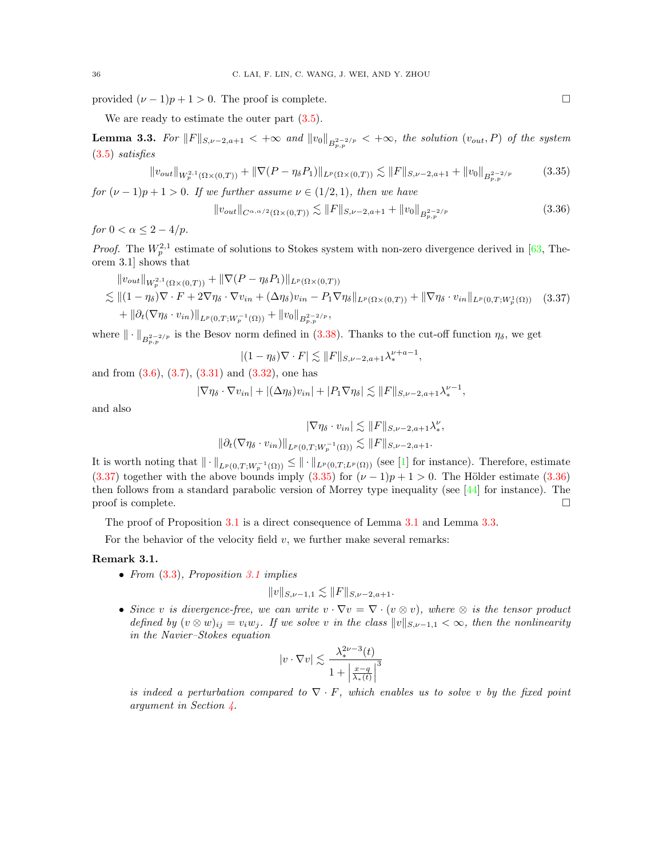provided  $(\nu - 1)p + 1 > 0$ . The proof is complete.

We are ready to estimate the outer part  $(3.5)$ .

<span id="page-35-3"></span>**Lemma 3.3.** For  $||F||_{S,\nu-2,a+1} < +\infty$  and  $||v_0||_{B^{2-2/p}_{p,p}} < +\infty$ , the solution  $(v_{out}, P)$  of the system [\(3.5\)](#page-28-2) satisfies

<span id="page-35-1"></span>
$$
||v_{out}||_{W^{2,1}_p(\Omega \times (0,T))} + ||\nabla (P - \eta_\delta P_1)||_{L^p(\Omega \times (0,T))} \lesssim ||F||_{S,\nu-2,a+1} + ||v_0||_{B^{2-2/p}_{p,p}} \tag{3.35}
$$

for  $(\nu - 1)p + 1 > 0$ . If we further assume  $\nu \in (1/2, 1)$ , then we have

<span id="page-35-2"></span>
$$
||v_{out}||_{C^{\alpha,\alpha/2}(\Omega \times (0,T))} \lesssim ||F||_{S,\nu-2,a+1} + ||v_0||_{B^{2-2/p}_{p,p}} \tag{3.36}
$$

for  $0 < \alpha \leq 2 - 4/p$ .

*Proof.* The  $W_p^{2,1}$  estimate of solutions to Stokes system with non-zero divergence derived in [\[63,](#page-48-22) Theorem 3.1] shows that

<span id="page-35-0"></span>
$$
\|v_{out}\|_{W^{2,1}_p(\Omega\times(0,T))} + \|\nabla(P - \eta_\delta P_1)\|_{L^p(\Omega\times(0,T))}
$$
  
\n
$$
\lesssim \|(1 - \eta_\delta)\nabla \cdot F + 2\nabla \eta_\delta \cdot \nabla v_{in} + (\Delta \eta_\delta)v_{in} - P_1 \nabla \eta_\delta\|_{L^p(\Omega\times(0,T))} + \|\nabla \eta_\delta \cdot v_{in}\|_{L^p(0,T;W^1_p(\Omega))} \quad (3.37)
$$
  
\n
$$
+ \|\partial_t(\nabla \eta_\delta \cdot v_{in})\|_{L^p(0,T;W^{-1}_p(\Omega))} + \|v_0\|_{B^{2-2/p}_{p,p}},
$$

where  $\|\cdot\|_{B^{2-2/p}_{p,p}}$  is the Besov norm defined in [\(3.38\)](#page-36-1). Thanks to the cut-off function  $\eta_\delta$ , we get

$$
|(1-\eta_\delta)\nabla\cdot F| \lesssim ||F||_{S,\nu-2,a+1}\lambda_*^{\nu+a-1},
$$

and from  $(3.6), (3.7), (3.31)$  $(3.6), (3.7), (3.31)$  $(3.6), (3.7), (3.31)$  $(3.6), (3.7), (3.31)$  and  $(3.32),$  one has

$$
|\nabla \eta_\delta \cdot \nabla v_{in}| + |(\Delta \eta_\delta)v_{in}| + |P_1 \nabla \eta_\delta| \lesssim ||F||_{S,\nu-2,a+1} \lambda_*^{\nu-1},
$$

and also

$$
|\nabla \eta_{\delta} \cdot v_{in}| \lesssim ||F||_{S,\nu-2,a+1} \lambda_{*}^{\nu},
$$
  

$$
||\partial_{t}(\nabla \eta_{\delta} \cdot v_{in})||_{L^{p}(0,T;W_{p}^{-1}(\Omega))} \lesssim ||F||_{S,\nu-2,a+1}.
$$

It is worth noting that  $\|\cdot\|_{L^p(0,T;W^{-1}_p(\Omega))} \leq \|\cdot\|_{L^p(0,T;L^p(\Omega))}$  (see [\[1\]](#page-46-14) for instance). Therefore, estimate [\(3.37\)](#page-35-0) together with the above bounds imply [\(3.35\)](#page-35-1) for  $(\nu - 1)p + 1 > 0$ . The Hölder estimate [\(3.36\)](#page-35-2) then follows from a standard parabolic version of Morrey type inequality (see  $[44]$  for instance). The proof is complete.  $\Box$ 

The proof of Proposition [3.1](#page-28-0) is a direct consequence of Lemma [3.1](#page-29-5) and Lemma [3.3.](#page-35-3)

For the behavior of the velocity field  $v$ , we further make several remarks:

## <span id="page-35-4"></span>Remark 3.1.

• From  $(3.3)$ , Proposition [3.1](#page-28-0) implies

$$
||v||_{S,\nu-1,1} \lesssim ||F||_{S,\nu-2,a+1}.
$$

• Since v is divergence-free, we can write  $v \cdot \nabla v = \nabla \cdot (v \otimes v)$ , where  $\otimes$  is the tensor product defined by  $(v \otimes w)_{ij} = v_i w_j$ . If we solve v in the class  $||v||_{S,\nu-1,1} < \infty$ , then the nonlinearity in the Navier–Stokes equation

$$
|v\cdot\nabla v|\lesssim \frac{\lambda_*^{2\nu-3}(t)}{1+\left|\frac{x-q}{\lambda_*(t)}\right|^3}
$$

is indeed a perturbation compared to  $\nabla \cdot F$ , which enables us to solve v by the fixed point argument in Section [4.](#page-36-0)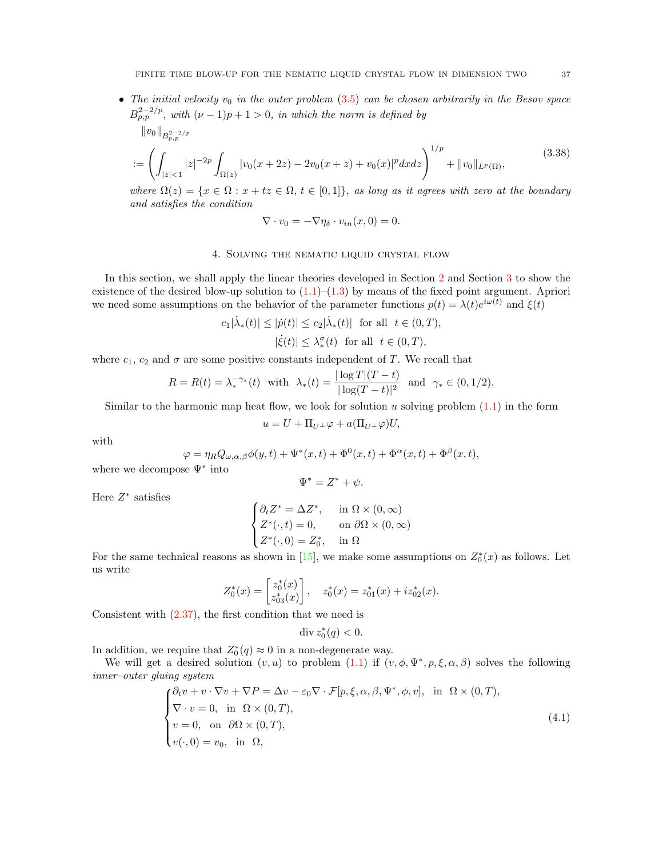• The initial velocity  $v_0$  in the outer problem  $(3.5)$  can be chosen arbitrarily in the Besov space  $B_{p,p}^{2-2/p}$ , with  $(\nu-1)p+1>0$ , in which the norm is defined by

<span id="page-36-1"></span>
$$
||v_0||_{B_{p,p}^{2-2/p}}:=\left(\int_{|z|<1}|z|^{-2p}\int_{\Omega(z)}|v_0(x+2z)-2v_0(x+z)+v_0(x)|^p dx dz\right)^{1/p}+||v_0||_{L^p(\Omega)},
$$
(3.38)

where  $\Omega(z) = \{x \in \Omega : x + tz \in \Omega, t \in [0,1]\},\$ as long as it agrees with zero at the boundary and satisfies the condition

$$
\nabla \cdot v_0 = -\nabla \eta_\delta \cdot v_{in}(x,0) = 0.
$$

## 4. Solving the nematic liquid crystal flow

<span id="page-36-0"></span>In this section, we shall apply the linear theories developed in Section [2](#page-5-0) and Section [3](#page-27-0) to show the existence of the desired blow-up solution to  $(1.1)$ – $(1.3)$  by means of the fixed point argument. Apriori we need some assumptions on the behavior of the parameter functions  $p(t) = \lambda(t)e^{i\omega(t)}$  and  $\xi(t)$ 

$$
c_1|\dot{\lambda}_*(t)| \le |\dot{p}(t)| \le c_2|\dot{\lambda}_*(t)| \text{ for all } t \in (0, T),
$$
  

$$
|\dot{\xi}(t)| \le \lambda_*^{\sigma}(t) \text{ for all } t \in (0, T),
$$

where  $c_1$ ,  $c_2$  and  $\sigma$  are some positive constants independent of T. We recall that

$$
R = R(t) = \lambda_*^{-\gamma_*}(t) \text{ with } \lambda_*(t) = \frac{|\log T|(T-t)}{|\log(T-t)|^2} \text{ and } \gamma_* \in (0,1/2).
$$

Similar to the harmonic map heat flow, we look for solution u solving problem  $(1.1)$  in the form

$$
u = U + \Pi_{U^{\perp}} \varphi + a(\Pi_{U^{\perp}} \varphi)U,
$$

with

$$
\varphi = \eta_R Q_{\omega,\alpha,\beta} \phi(y,t) + \Psi^*(x,t) + \Phi^0(x,t) + \Phi^\alpha(x,t) + \Phi^\beta(x,t),
$$

where we decompose  $\Psi^*$  into

$$
\Psi^* = Z^* + \psi.
$$

Here  $Z^*$  satisfies

$$
\begin{cases} \partial_t Z^* = \Delta Z^*, & \text{in } \Omega \times (0, \infty) \\ Z^*(\cdot, t) = 0, & \text{on } \partial \Omega \times (0, \infty) \\ Z^*(\cdot, 0) = Z_0^*, & \text{in } \Omega \end{cases}
$$

For the same technical reasons as shown in [\[15\]](#page-46-7), we make some assumptions on  $Z_0^*(x)$  as follows. Let us write

$$
Z_0^*(x) = \begin{bmatrix} z_0^*(x) \\ z_{03}^*(x) \end{bmatrix}, \quad z_0^*(x) = z_{01}^*(x) + iz_{02}^*(x).
$$

Consistent with [\(2.37\)](#page-15-3), the first condition that we need is

$$
\operatorname{div} z_0^*(q) < 0.
$$

In addition, we require that  $Z_0^*(q) \approx 0$  in a non-degenerate way.

We will get a desired solution  $(v, u)$  to problem  $(1.1)$  if  $(v, \phi, \Psi^*, p, \xi, \alpha, \beta)$  solves the following inner–outer gluing system

<span id="page-36-2"></span>
$$
\begin{cases} \partial_t v + v \cdot \nabla v + \nabla P = \Delta v - \varepsilon_0 \nabla \cdot \mathcal{F}[p, \xi, \alpha, \beta, \Psi^*, \phi, v], & \text{in } \Omega \times (0, T), \\ \nabla \cdot v = 0, & \text{in } \Omega \times (0, T), \\ v = 0, & \text{on } \partial\Omega \times (0, T), \\ v(\cdot, 0) = v_0, & \text{in } \Omega, \end{cases} \tag{4.1}
$$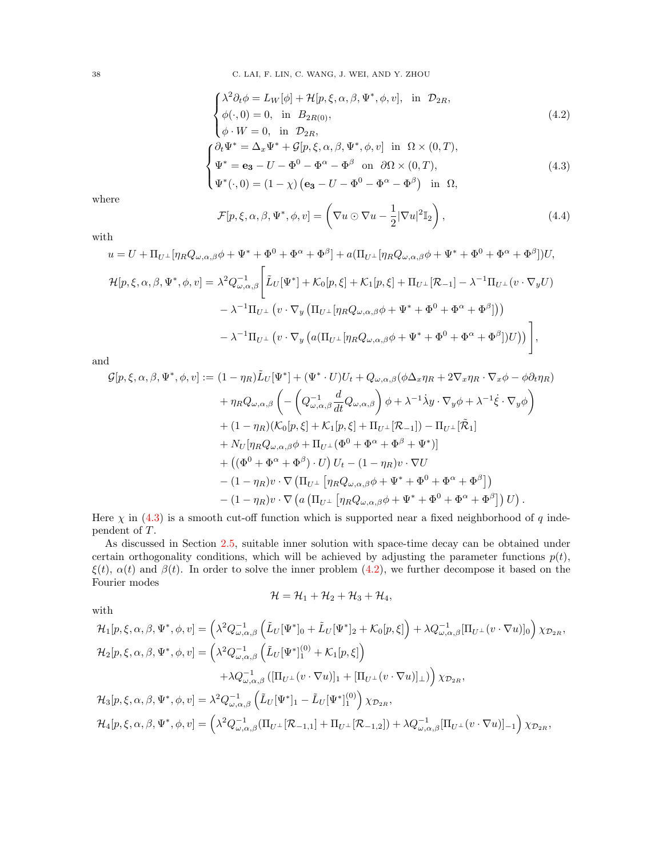38 C. LAI, F. LIN, C. WANG, J. WEI, AND Y. ZHOU

<span id="page-37-1"></span>
$$
\begin{cases}\n\lambda^2 \partial_t \phi = L_W[\phi] + \mathcal{H}[p, \xi, \alpha, \beta, \Psi^*, \phi, v], & \text{in } \mathcal{D}_{2R}, \\
\phi(\cdot, 0) = 0, & \text{in } \mathcal{B}_{2R(0)}, \\
\phi \cdot W = 0, & \text{in } \mathcal{D}_{2R}, \\
\partial_t \Psi^* = \Delta_x \Psi^* + \mathcal{G}[p, \xi, \alpha, \beta, \Psi^*, \phi, v] & \text{in } \Omega \times (0, T), \\
\Psi^* = \mathbf{e}_3 - U - \Phi^0 - \Phi^\alpha - \Phi^\beta \text{ on } \partial\Omega \times (0, T), \\
\Psi^*(\cdot, 0) = (1 - \chi) (\mathbf{e}_3 - U - \Phi^0 - \Phi^\alpha - \Phi^\beta) \text{ in } \Omega,\n\end{cases}
$$
\n(4.3)

where

with

<span id="page-37-2"></span><span id="page-37-0"></span>
$$
\mathcal{F}[p,\xi,\alpha,\beta,\Psi^*,\phi,v] = \left(\nabla u \odot \nabla u - \frac{1}{2}|\nabla u|^2\mathbb{I}_2\right),\tag{4.4}
$$

$$
u = U + \Pi_{U^{\perp}}[\eta_R Q_{\omega,\alpha,\beta}\phi + \Psi^* + \Phi^0 + \Phi^{\alpha} + \Phi^{\beta}] + a(\Pi_{U^{\perp}}[\eta_R Q_{\omega,\alpha,\beta}\phi + \Psi^* + \Phi^0 + \Phi^{\alpha} + \Phi^{\beta}])U,
$$
  
\n
$$
\mathcal{H}[p,\xi,\alpha,\beta,\Psi^*,\phi,v] = \lambda^2 Q_{\omega,\alpha,\beta}^{-1} \Bigg[ \tilde{L}_U[\Psi^*] + \mathcal{K}_0[p,\xi] + \mathcal{K}_1[p,\xi] + \Pi_{U^{\perp}}[\mathcal{R}_{-1}] - \lambda^{-1}\Pi_{U^{\perp}}(v\cdot\nabla_y U) - \lambda^{-1}\Pi_{U^{\perp}}(v\cdot\nabla_y(\Pi_{U^{\perp}}[\eta_R Q_{\omega,\alpha,\beta}\phi + \Psi^* + \Phi^0 + \Phi^{\alpha} + \Phi^{\beta}])) - \lambda^{-1}\Pi_{U^{\perp}}(v\cdot\nabla_y(\alpha(\Pi_{U^{\perp}}[\eta_R Q_{\omega,\alpha,\beta}\phi + \Psi^* + \Phi^0 + \Phi^{\alpha} + \Phi^{\beta}])U)) - \lambda^{-1}\Pi_{U^{\perp}}(v\cdot\nabla_y(\alpha(\Pi_{U^{\perp}}[\eta_R Q_{\omega,\alpha,\beta}\phi + \Psi^* + \Phi^0 + \Phi^{\alpha} + \Phi^{\beta}])U)) \Bigg],
$$

and

$$
\mathcal{G}[p,\xi,\alpha,\beta,\Psi^*,\phi,v] := (1-\eta_R)\tilde{L}_U[\Psi^*] + (\Psi^* \cdot U)U_t + Q_{\omega,\alpha,\beta}(\phi\Delta_x\eta_R + 2\nabla_x\eta_R\cdot\nabla_x\phi - \phi\partial_t\eta_R)
$$
  
+ 
$$
\eta_RQ_{\omega,\alpha,\beta}\left(-\left(Q_{\omega,\alpha,\beta}^{-1}\frac{d}{dt}Q_{\omega,\alpha,\beta}\right)\phi + \lambda^{-1}\dot{\lambda}y\cdot\nabla_y\phi + \lambda^{-1}\dot{\xi}\cdot\nabla_y\phi\right)
$$
  
+ 
$$
(1-\eta_R)(\mathcal{K}_0[p,\xi] + \mathcal{K}_1[p,\xi] + \Pi_{U^\perp}[\mathcal{R}_{-1}]) - \Pi_{U^\perp}[\tilde{\mathcal{R}}_1]
$$
  
+ 
$$
N_U[\eta_RQ_{\omega,\alpha,\beta}\phi + \Pi_{U^\perp}(\Phi^0 + \Phi^\alpha + \Phi^\beta + \Psi^*)]
$$
  
+ 
$$
((\Phi^0 + \Phi^\alpha + \Phi^\beta) \cdot U)U_t - (1-\eta_R)v \cdot \nabla U
$$
  
- 
$$
(1-\eta_R)v \cdot \nabla(\Pi_{U^\perp}[\eta_RQ_{\omega,\alpha,\beta}\phi + \Psi^* + \Phi^0 + \Phi^\alpha + \Phi^\beta])
$$
  
- 
$$
(1-\eta_R)v \cdot \nabla(a(\Pi_{U^\perp}[\eta_RQ_{\omega,\alpha,\beta}\phi + \Psi^* + \Phi^0 + \Phi^\alpha + \Phi^\beta])U).
$$

Here  $\chi$  in [\(4.3\)](#page-37-0) is a smooth cut-off function which is supported near a fixed neighborhood of q independent of T.

As discussed in Section [2.5,](#page-17-0) suitable inner solution with space-time decay can be obtained under certain orthogonality conditions, which will be achieved by adjusting the parameter functions  $p(t)$ ,  $\xi(t)$ ,  $\alpha(t)$  and  $\beta(t)$ . In order to solve the inner problem [\(4.2\)](#page-37-1), we further decompose it based on the Fourier modes

$$
\mathcal{H} = \mathcal{H}_1 + \mathcal{H}_2 + \mathcal{H}_3 + \mathcal{H}_4,
$$

with

$$
\mathcal{H}_{1}[p,\xi,\alpha,\beta,\Psi^{*},\phi,v] = \left(\lambda^{2}Q_{\omega,\alpha,\beta}^{-1}\left(\tilde{L}_{U}[\Psi^{*}]_{0} + \tilde{L}_{U}[\Psi^{*}]_{2} + \mathcal{K}_{0}[p,\xi]\right) + \lambda Q_{\omega,\alpha,\beta}^{-1}[\Pi_{U^{\perp}}(v\cdot\nabla u)]_{0}\right)\chi_{\mathcal{D}_{2R}},
$$
  
\n
$$
\mathcal{H}_{2}[p,\xi,\alpha,\beta,\Psi^{*},\phi,v] = \left(\lambda^{2}Q_{\omega,\alpha,\beta}^{-1}\left(\tilde{L}_{U}[\Psi^{*}]_{1}^{(0)} + \mathcal{K}_{1}[p,\xi]\right) + \lambda Q_{\omega,\alpha,\beta}^{-1}([\Pi_{U^{\perp}}(v\cdot\nabla u)]_{1} + [\Pi_{U^{\perp}}(v\cdot\nabla u)]_{\perp})\right)\chi_{\mathcal{D}_{2R}},
$$
  
\n
$$
\mathcal{H}_{3}[p,\xi,\alpha,\beta,\Psi^{*},\phi,v] = \lambda^{2}Q_{\omega,\alpha,\beta}^{-1}\left(\tilde{L}_{U}[\Psi^{*}]_{1} - \tilde{L}_{U}[\Psi^{*}]_{1}^{(0)}\right)\chi_{\mathcal{D}_{2R}},
$$
  
\n
$$
\mathcal{H}_{4}[p,\xi,\alpha,\beta,\Psi^{*},\phi,v] = \left(\lambda^{2}Q_{\omega,\alpha,\beta}^{-1}(\Pi_{U^{\perp}}[\mathcal{R}_{-1,1}] + \Pi_{U^{\perp}}[\mathcal{R}_{-1,2}]) + \lambda Q_{\omega,\alpha,\beta}^{-1}[\Pi_{U^{\perp}}(v\cdot\nabla u)]_{-1}\right)\chi_{\mathcal{D}_{2R}},
$$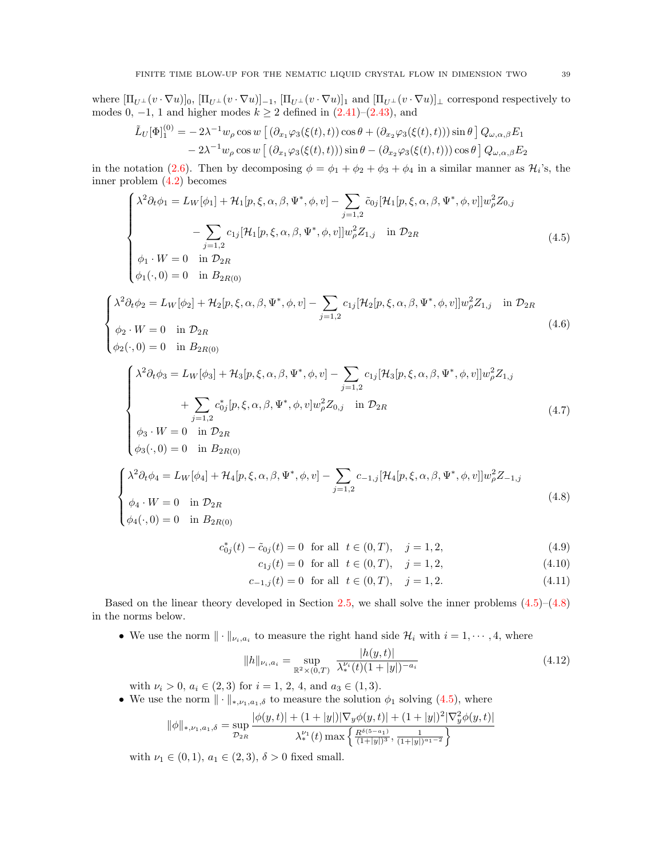where  $[\Pi_{U^{\perp}}(v \cdot \nabla u)]_0$ ,  $[\Pi_{U^{\perp}}(v \cdot \nabla u)]_{-1}$ ,  $[\Pi_{U^{\perp}}(v \cdot \nabla u)]_1$  and  $[\Pi_{U^{\perp}}(v \cdot \nabla u)]_{\perp}$  correspond respectively to modes 0, -1, 1 and higher modes  $k \ge 2$  defined in  $(2.41)$ – $(2.43)$ , and

$$
\tilde{L}_U[\Phi]_1^{(0)} = -2\lambda^{-1} w_\rho \cos w \left[ (\partial_{x_1} \varphi_3(\xi(t), t)) \cos \theta + (\partial_{x_2} \varphi_3(\xi(t), t)) \sin \theta \right] Q_{\omega, \alpha, \beta} E_1 \n- 2\lambda^{-1} w_\rho \cos w \left[ (\partial_{x_1} \varphi_3(\xi(t), t)) \sin \theta - (\partial_{x_2} \varphi_3(\xi(t), t)) \right] \cos \theta \right] Q_{\omega, \alpha, \beta} E_2
$$

in the notation [\(2.6\)](#page-7-4). Then by decomposing  $\phi = \phi_1 + \phi_2 + \phi_3 + \phi_4$  in a similar manner as  $\mathcal{H}_i$ 's, the inner problem [\(4.2\)](#page-37-1) becomes

<span id="page-38-0"></span>
$$
\begin{cases}\n\lambda^2 \partial_t \phi_1 = L_W[\phi_1] + \mathcal{H}_1[p, \xi, \alpha, \beta, \Psi^*, \phi, v] - \sum_{j=1,2} \tilde{c}_{0j} [\mathcal{H}_1[p, \xi, \alpha, \beta, \Psi^*, \phi, v]] w_\rho^2 Z_{0,j} \\
- \sum_{j=1,2} c_{1j} [\mathcal{H}_1[p, \xi, \alpha, \beta, \Psi^*, \phi, v]] w_\rho^2 Z_{1,j} & \text{in } \mathcal{D}_{2R} \\
\phi_1 \cdot W = 0 & \text{in } \mathcal{D}_{2R} \\
\phi_1(\cdot, 0) = 0 & \text{in } \mathcal{B}_{2R(0)}\n\end{cases}
$$
\n(4.5)

$$
\begin{cases}\n\lambda^2 \partial_t \phi_2 = L_W[\phi_2] + \mathcal{H}_2[p, \xi, \alpha, \beta, \Psi^*, \phi, v] - \sum_{j=1,2} c_{1j} [\mathcal{H}_2[p, \xi, \alpha, \beta, \Psi^*, \phi, v]] w_\rho^2 Z_{1,j} & \text{in } \mathcal{D}_{2R} \\
\phi_2 \cdot W = 0 & \text{in } \mathcal{D}_{2R} \\
\phi_2(\cdot, 0) = 0 & \text{in } B_{2R(0)}\n\end{cases}
$$
\n(4.6)

$$
\begin{cases}\n\lambda^2 \partial_t \phi_3 = L_W[\phi_3] + \mathcal{H}_3[p, \xi, \alpha, \beta, \Psi^*, \phi, v] - \sum_{j=1,2} c_{1j} [\mathcal{H}_3[p, \xi, \alpha, \beta, \Psi^*, \phi, v]] w_\rho^2 Z_{1,j} \\
+ \sum_{j=1,2} c_{0j}^* [p, \xi, \alpha, \beta, \Psi^*, \phi, v] w_\rho^2 Z_{0,j} \quad \text{in } \mathcal{D}_{2R} \\
\phi_3 \cdot W = 0 \quad \text{in } \mathcal{D}_{2R}\n\end{cases} \tag{4.7}
$$

$$
\begin{cases}\n\phi_3 \cdot W = 0 & \text{in } \mathcal{D}_{2R} \\
\phi_3(\cdot, 0) = 0 & \text{in } B_{2R(0)}\n\end{cases}
$$

$$
\begin{cases} \lambda^2 \partial_t \phi_4 = L_W[\phi_4] + \mathcal{H}_4[p, \xi, \alpha, \beta, \Psi^*, \phi, v] - \sum_{j=1,2} c_{-1,j} [\mathcal{H}_4[p, \xi, \alpha, \beta, \Psi^*, \phi, v]] w_\rho^2 Z_{-1,j} \\ \phi_4 \cdot W = 0 \quad \text{in } \mathcal{D}_{2R} \end{cases} \tag{4.8}
$$

$$
\begin{cases} \n\frac{2R}{\phi_4(\cdot,0)} = 0 & \text{in } B_{2R(0)} \n\end{cases}
$$

 $\phi_2(\cdot, 0) = 0$  in  $B_{2R(0)}$ 

$$
c_{0j}^*(t) - \tilde{c}_{0j}(t) = 0 \quad \text{for all} \quad t \in (0, T), \quad j = 1, 2,
$$
\n(4.9)

<span id="page-38-6"></span><span id="page-38-5"></span><span id="page-38-4"></span><span id="page-38-3"></span><span id="page-38-2"></span><span id="page-38-1"></span>
$$
c_{1j}(t) = 0 \text{ for all } t \in (0, T), \quad j = 1, 2,
$$
\n(4.10)

$$
c_{-1,j}(t) = 0 \quad \text{for all} \quad t \in (0, T), \quad j = 1, 2. \tag{4.11}
$$

Based on the linear theory developed in Section [2.5,](#page-17-0) we shall solve the inner problems [\(4.5\)](#page-38-0)–[\(4.8\)](#page-38-1) in the norms below.

• We use the norm  $\|\cdot\|_{\nu_i, a_i}$  to measure the right hand side  $\mathcal{H}_i$  with  $i = 1, \dots, 4$ , where

$$
||h||_{\nu_i, a_i} = \sup_{\mathbb{R}^2 \times (0,T)} \frac{|h(y,t)|}{\lambda_*^{\nu_i}(t)(1+|y|)^{-a_i}}
$$
(4.12)

with  $\nu_i > 0$ ,  $a_i \in (2,3)$  for  $i = 1, 2, 4$ , and  $a_3 \in (1,3)$ .

• We use the norm  $\|\cdot\|_{*,\nu_1,a_1,\delta}$  to measure the solution  $\phi_1$  solving [\(4.5\)](#page-38-0), where

$$
\|\phi\|_{*,\nu_1,a_1,\delta} = \sup_{\mathcal{D}_{2R}} \frac{|\phi(y,t)| + (1+|y|)|\nabla_y \phi(y,t)| + (1+|y|)^2 |\nabla_y^2 \phi(y,t)|}{\lambda_*^{\nu_1}(t) \max\left\{\frac{R^{\delta(5-a_1)}}{(1+|y|)^3}, \frac{1}{(1+|y|)^{a_1-2}}\right\}}
$$

with  $\nu_1 \in (0,1), a_1 \in (2,3), \delta > 0$  fixed small.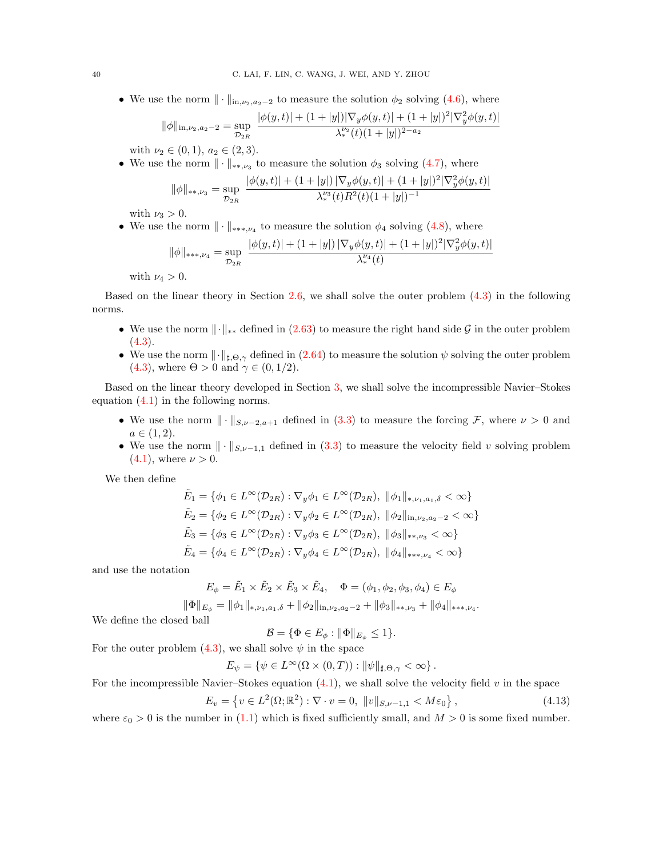• We use the norm  $\|\cdot\|_{\text{in},\nu_2,a_2-2}$  to measure the solution  $\phi_2$  solving [\(4.6\)](#page-38-2), where

$$
\|\phi\|_{\text{in},\nu_2,a_2-2} = \sup_{\mathcal{D}_{2R}} \frac{|\phi(y,t)| + (1+|y|)|\nabla_y \phi(y,t)| + (1+|y|)^2 |\nabla_y^2 \phi(y,t)|}{\lambda_*^{\nu_2}(t)(1+|y|)^{2-a_2}}
$$

with  $\nu_2 \in (0,1), a_2 \in (2,3)$ .

• We use the norm  $\|\cdot\|_{\ast\ast,\nu_3}$  to measure the solution  $\phi_3$  solving [\(4.7\)](#page-38-3), where

$$
\|\phi\|_{**,\nu_3} = \sup_{\mathcal{D}_{2R}} \frac{|\phi(y,t)| + (1+|y|) |\nabla_y \phi(y,t)| + (1+|y|)^2 |\nabla_y^2 \phi(y,t)|}{\lambda_*^{\nu_3}(t) R^2(t) (1+|y|)^{-1}}
$$

with  $\nu_3 > 0$ .

• We use the norm  $\|\cdot\|_{***,\nu_4}$  to measure the solution  $\phi_4$  solving [\(4.8\)](#page-38-1), where

$$
\|\phi\|_{***,\nu_4} = \sup_{\mathcal{D}_{2R}} \frac{|\phi(y,t)| + (1+|y|) |\nabla_y \phi(y,t)| + (1+|y|)^2 |\nabla_y^2 \phi(y,t)|}{\lambda_*^{\nu_4}(t)}
$$

with  $\nu_4 > 0$ .

Based on the linear theory in Section [2.6,](#page-24-0) we shall solve the outer problem [\(4.3\)](#page-37-0) in the following norms.

- We use the norm  $\|\cdot\|_{**}$  defined in [\(2.63\)](#page-25-5) to measure the right hand side G in the outer problem  $(4.3).$  $(4.3).$
- We use the norm  $\|\cdot\|_{\sharp,\Theta,\gamma}$  defined in  $(2.64)$  to measure the solution  $\psi$  solving the outer problem [\(4.3\)](#page-37-0), where  $\Theta > 0$  and  $\gamma \in (0, 1/2)$ .

Based on the linear theory developed in Section [3,](#page-27-0) we shall solve the incompressible Navier–Stokes equation  $(4.1)$  in the following norms.

- We use the norm  $\|\cdot\|_{S_{\nu-2,a+1}}$  defined in [\(3.3\)](#page-28-3) to measure the forcing F, where  $\nu > 0$  and  $a \in (1, 2).$
- We use the norm  $\|\cdot\|_{S,\nu-1,1}$  defined in [\(3.3\)](#page-28-3) to measure the velocity field v solving problem  $(4.1)$ , where  $\nu > 0$ .

We then define

$$
\tilde{E}_1 = \{ \phi_1 \in L^{\infty}(\mathcal{D}_{2R}) : \nabla_y \phi_1 \in L^{\infty}(\mathcal{D}_{2R}), \|\phi_1\|_{*, \nu_1, a_1, \delta} < \infty \}
$$
\n
$$
\tilde{E}_2 = \{ \phi_2 \in L^{\infty}(\mathcal{D}_{2R}) : \nabla_y \phi_2 \in L^{\infty}(\mathcal{D}_{2R}), \|\phi_2\|_{\text{in}, \nu_2, a_2 - 2} < \infty \}
$$
\n
$$
\tilde{E}_3 = \{ \phi_3 \in L^{\infty}(\mathcal{D}_{2R}) : \nabla_y \phi_3 \in L^{\infty}(\mathcal{D}_{2R}), \|\phi_3\|_{*, \nu_3} < \infty \}
$$
\n
$$
\tilde{E}_4 = \{ \phi_4 \in L^{\infty}(\mathcal{D}_{2R}) : \nabla_y \phi_4 \in L^{\infty}(\mathcal{D}_{2R}), \|\phi_4\|_{*, \nu_4} < \infty \}
$$

and use the notation

$$
E_{\phi} = \tilde{E}_1 \times \tilde{E}_2 \times \tilde{E}_3 \times \tilde{E}_4, \quad \Phi = (\phi_1, \phi_2, \phi_3, \phi_4) \in E_{\phi}
$$

 $\|\Phi\|_{E_{\phi}} = \|\phi_1\|_{*,\nu_1,a_1,\delta} + \|\phi_2\|_{\text{in},\nu_2,a_2-2} + \|\phi_3\|_{*,\nu_3} + \|\phi_4\|_{*,*,\nu_4}.$ 

We define the closed ball

$$
\mathcal{B} = \{ \Phi \in E_{\phi} : \|\Phi\|_{E_{\phi}} \le 1 \}.
$$

For the outer problem [\(4.3\)](#page-37-0), we shall solve  $\psi$  in the space

 $E_{\psi} = \{ \psi \in L^{\infty}(\Omega \times (0,T)) : ||\psi||_{\sharp, \Theta, \gamma} < \infty \}.$ 

For the incompressible Navier–Stokes equation  $(4.1)$ , we shall solve the velocity field v in the space

<span id="page-39-0"></span>
$$
E_v = \{ v \in L^2(\Omega; \mathbb{R}^2) : \nabla \cdot v = 0, \ \|v\|_{S, \nu - 1, 1} < M \varepsilon_0 \},\tag{4.13}
$$

where  $\varepsilon_0 > 0$  is the number in [\(1.1\)](#page-0-0) which is fixed sufficiently small, and  $M > 0$  is some fixed number.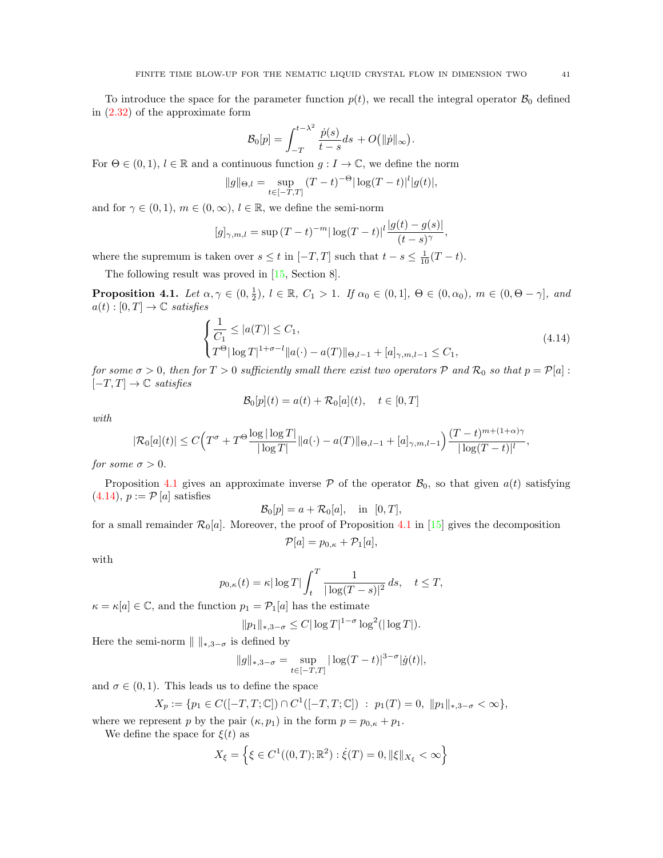To introduce the space for the parameter function  $p(t)$ , we recall the integral operator  $\mathcal{B}_0$  defined in [\(2.32\)](#page-14-2) of the approximate form

$$
\mathcal{B}_0[p] = \int_{-T}^{t - \lambda^2} \frac{\dot{p}(s)}{t - s} ds + O(|\|\dot{p}\|_{\infty})
$$

For  $\Theta \in (0,1)$ ,  $l \in \mathbb{R}$  and a continuous function  $g: I \to \mathbb{C}$ , we define the norm

$$
||g||_{\Theta,l} = \sup_{t \in [-T,T]} (T-t)^{-\Theta} |\log(T-t)|^{l} |g(t)|,
$$

and for  $\gamma \in (0,1)$ ,  $m \in (0,\infty)$ ,  $l \in \mathbb{R}$ , we define the semi-norm

$$
[g]_{\gamma,m,l} = \sup (T - t)^{-m} |\log(T - t)|^{l} \frac{|g(t) - g(s)|}{(t - s)^{\gamma}},
$$

where the supremum is taken over  $s \leq t$  in  $[-T, T]$  such that  $t - s \leq \frac{1}{10}(T - t)$ .

The following result was proved in [\[15,](#page-46-7) Section 8].

<span id="page-40-0"></span>**Proposition 4.1.** Let  $\alpha, \gamma \in (0, \frac{1}{2})$ ,  $l \in \mathbb{R}$ ,  $C_1 > 1$ . If  $\alpha_0 \in (0, 1]$ ,  $\Theta \in (0, \alpha_0)$ ,  $m \in (0, \Theta - \gamma]$ , and  $a(t):[0,T]\to\mathbb{C}$  satisfies

$$
\begin{cases} \frac{1}{C_1} \le |a(T)| \le C_1, \\ T^{\Theta} |\log T|^{1+\sigma-l} ||a(\cdot)-a(T)||_{\Theta,l-1} + [a]_{\gamma,m,l-1} \le C_1, \end{cases}
$$
\n(4.14)

<span id="page-40-1"></span>.

for some  $\sigma > 0$ , then for  $T > 0$  sufficiently small there exist two operators  $P$  and  $\mathcal{R}_0$  so that  $p = P[a]$ :  $[-T, T] \rightarrow \mathbb{C}$  satisfies

$$
\mathcal{B}_0[p](t) = a(t) + \mathcal{R}_0[a](t), \quad t \in [0, T]
$$

with

$$
|\mathcal{R}_0[a](t)| \le C \Big( T^{\sigma} + T^{\Theta} \frac{\log |\log T|}{|\log T|} ||a(\cdot) - a(T)||_{\Theta, l-1} + [a]_{\gamma, m, l-1} \Big) \frac{(T-t)^{m+(1+\alpha)\gamma}}{|\log (T-t)|^l},
$$

for some  $\sigma > 0$ .

Proposition [4.1](#page-40-0) gives an approximate inverse  $P$  of the operator  $B_0$ , so that given  $a(t)$  satisfying  $(4.14), p := \mathcal{P}[a]$  $(4.14), p := \mathcal{P}[a]$  satisfies

$$
\mathcal{B}_0[p] = a + \mathcal{R}_0[a], \quad \text{in} \quad [0, T],
$$

for a small remainder  $\mathcal{R}_0[a]$ . Moreover, the proof of Proposition [4.1](#page-40-0) in [\[15\]](#page-46-7) gives the decomposition  $\mathcal{P}[a] = p_{0,\kappa} + \mathcal{P}_1[a],$ 

with

$$
p_{0,\kappa}(t) = \kappa |\log T| \int_t^T \frac{1}{|\log(T-s)|^2} ds, \quad t \le T,
$$

 $\kappa = \kappa[a] \in \mathbb{C}$ , and the function  $p_1 = \mathcal{P}_1[a]$  has the estimate

$$
||p_1||_{*,3-\sigma} \leq C |\log T|^{1-\sigma} \log^2(|\log T|).
$$

Here the semi-norm  $|| \cdot ||_{*,3-\sigma}$  is defined by

$$
||g||_{*,3-\sigma} = \sup_{t \in [-T,T]} |\log(T-t)|^{3-\sigma} |\dot{g}(t)|,
$$

and  $\sigma \in (0, 1)$ . This leads us to define the space

$$
X_p := \{ p_1 \in C([-T, T; \mathbb{C}]) \cap C^1([-T, T; \mathbb{C}]) : p_1(T) = 0, ||p_1||_{*, 3-\sigma} < \infty \},
$$

where we represent p by the pair  $(\kappa, p_1)$  in the form  $p = p_{0,\kappa} + p_1$ .

We define the space for  $\xi(t)$  as

$$
X_{\xi} = \left\{ \xi \in C^{1}((0, T); \mathbb{R}^{2}) : \dot{\xi}(T) = 0, \|\xi\|_{X_{\xi}} < \infty \right\}
$$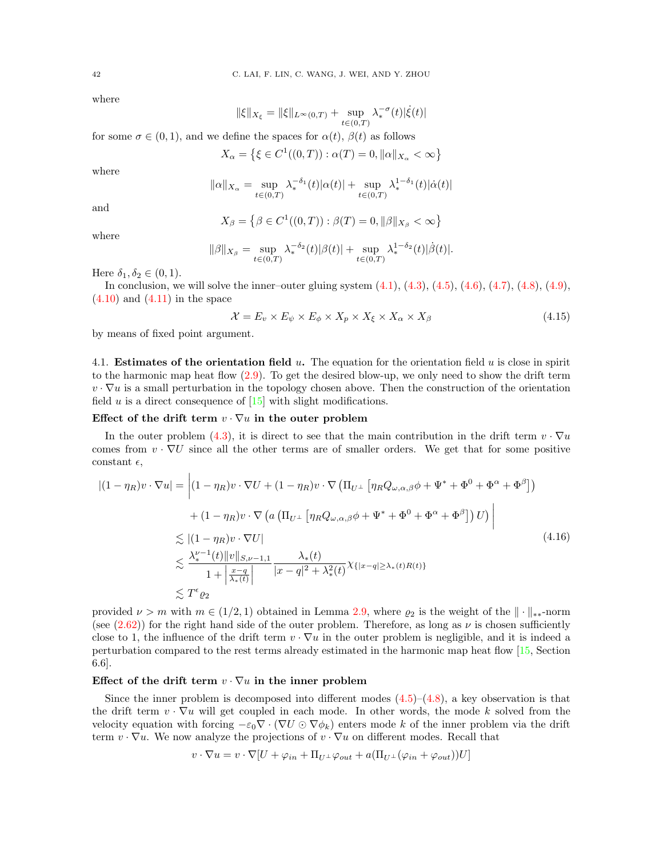where

$$
\|\xi\|_{X_\xi}=\|\xi\|_{L^\infty(0,T)}+\sup_{t\in(0,T)}\lambda_*^{-\sigma}(t)|\dot\xi(t)|
$$

for some  $\sigma \in (0,1)$ , and we define the spaces for  $\alpha(t)$ ,  $\beta(t)$  as follows

$$
X_{\alpha} = \{ \xi \in C^{1}((0, T)) : \alpha(T) = 0, ||\alpha||_{X_{\alpha}} < \infty \}
$$

where

$$
\|\alpha\|_{X_\alpha}=\sup_{t\in(0,T)}\lambda_*^{-\delta_1}(t)|\alpha(t)|+\sup_{t\in(0,T)}\lambda_*^{1-\delta_1}(t)|\dot\alpha(t)|
$$

and

where

$$
X_{\beta} = \{ \beta \in C^1((0, T)) : \beta(T) = 0, ||\beta||_{X_{\beta}} < \infty \}
$$

$$
\|\beta\|_{X_{\beta}} = \sup_{t \in (0,T)} \lambda_*^{-\delta_2}(t) |\beta(t)| + \sup_{t \in (0,T)} \lambda_*^{1-\delta_2}(t) |\dot{\beta}(t)|.
$$

Here  $\delta_1, \delta_2 \in (0, 1)$ .

In conclusion, we will solve the inner–outer gluing system  $(4.1)$ ,  $(4.3)$ ,  $(4.5)$ ,  $(4.6)$ ,  $(4.7)$ ,  $(4.8)$ ,  $(4.9)$ ,  $(4.10)$  and  $(4.11)$  in the space

<span id="page-41-0"></span>
$$
\mathcal{X} = E_v \times E_\psi \times E_\phi \times X_p \times X_\xi \times X_\alpha \times X_\beta \tag{4.15}
$$

by means of fixed point argument.

<span id="page-41-2"></span>4.1. **Estimates of the orientation field u.** The equation for the orientation field u is close in spirit to the harmonic map heat flow [\(2.9\)](#page-7-1). To get the desired blow-up, we only need to show the drift term  $v \cdot \nabla u$  is a small perturbation in the topology chosen above. Then the construction of the orientation field  $u$  is a direct consequence of  $[15]$  with slight modifications.

## Effect of the drift term  $v \cdot \nabla u$  in the outer problem

In the outer problem [\(4.3\)](#page-37-0), it is direct to see that the main contribution in the drift term  $v \cdot \nabla u$ comes from  $v \cdot \nabla U$  since all the other terms are of smaller orders. We get that for some positive constant  $\epsilon$ ,

<span id="page-41-1"></span>
$$
|(1 - \eta_R)v \cdot \nabla u| = \left| (1 - \eta_R)v \cdot \nabla U + (1 - \eta_R)v \cdot \nabla (\Pi_{U^{\perp}} [\eta_R Q_{\omega,\alpha,\beta} \phi + \Psi^* + \Phi^0 + \Phi^{\alpha} + \Phi^{\beta}]) \right|
$$
  
+ 
$$
(1 - \eta_R)v \cdot \nabla (a (\Pi_{U^{\perp}} [\eta_R Q_{\omega,\alpha,\beta} \phi + \Psi^* + \Phi^0 + \Phi^{\alpha} + \Phi^{\beta}]) U) \right|
$$
  

$$
\lesssim |(1 - \eta_R)v \cdot \nabla U|
$$
  

$$
\lesssim \frac{\lambda_*^{\nu - 1}(t) ||v||_{S,\nu - 1,1}}{1 + \left| \frac{x - q}{\lambda_*(t)} \right|} \frac{\lambda_*(t)}{|x - q|^2 + \lambda_*^2(t)} \chi_{\{|x - q| \ge \lambda_*(t)R(t)\}}
$$
  

$$
\lesssim T^{\epsilon} \varrho_2
$$
 (4.16)

provided  $\nu > m$  with  $m \in (1/2, 1)$  obtained in Lemma [2.9,](#page-26-0) where  $\varrho_2$  is the weight of the  $\|\cdot\|_{**}$ -norm (see [\(2.62\)](#page-24-2)) for the right hand side of the outer problem. Therefore, as long as  $\nu$  is chosen sufficiently close to 1, the influence of the drift term  $v \cdot \nabla u$  in the outer problem is negligible, and it is indeed a perturbation compared to the rest terms already estimated in the harmonic map heat flow [\[15,](#page-46-7) Section 6.6].

## Effect of the drift term  $v \cdot \nabla u$  in the inner problem

Since the inner problem is decomposed into different modes  $(4.5)$ – $(4.8)$ , a key observation is that the drift term  $v \cdot \nabla u$  will get coupled in each mode. In other words, the mode k solved from the velocity equation with forcing  $-\varepsilon_0 \nabla \cdot (\nabla U \odot \nabla \phi_k)$  enters mode k of the inner problem via the drift term  $v \cdot \nabla u$ . We now analyze the projections of  $v \cdot \nabla u$  on different modes. Recall that

$$
v \cdot \nabla u = v \cdot \nabla [U + \varphi_{in} + \Pi_{U^{\perp}} \varphi_{out} + a(\Pi_{U^{\perp}}(\varphi_{in} + \varphi_{out}))U]
$$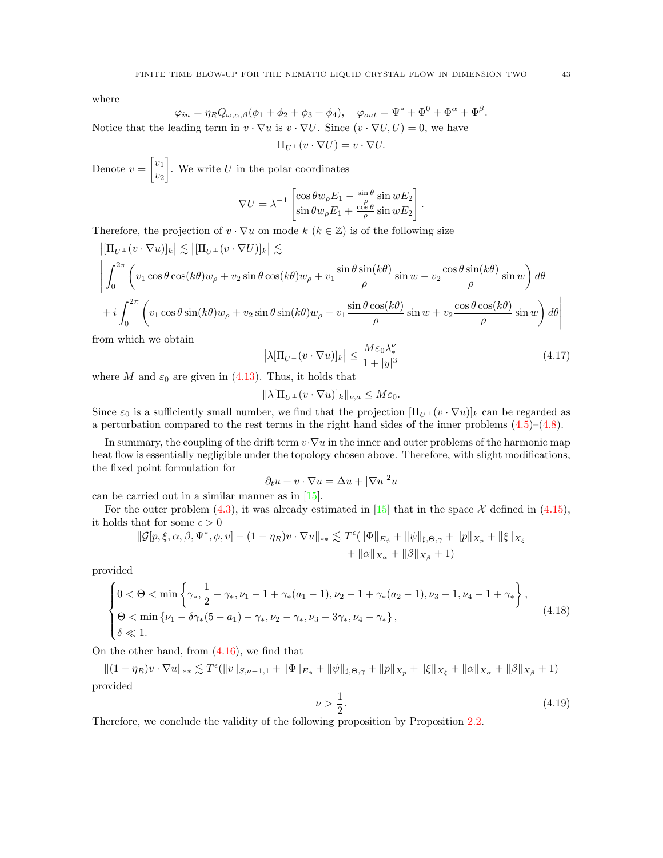where

$$
\varphi_{in} = \eta_R Q_{\omega,\alpha,\beta}(\phi_1 + \phi_2 + \phi_3 + \phi_4), \quad \varphi_{out} = \Psi^* + \Phi^0 + \Phi^\alpha + \Phi^\beta
$$

Notice that the leading term in  $v \cdot \nabla u$  is  $v \cdot \nabla U$ . Since  $(v \cdot \nabla U, U) = 0$ , we have

$$
\Pi_{U^{\perp}}(v \cdot \nabla U) = v \cdot \nabla U.
$$

Denote  $v = \begin{bmatrix} v_1 \\ v_2 \end{bmatrix}$  $v_2$ . We write  $U$  in the polar coordinates

$$
\nabla U = \lambda^{-1} \begin{bmatrix} \cos \theta w_{\rho} E_1 - \frac{\sin \theta}{\rho} \sin w E_2 \\ \sin \theta w_{\rho} E_1 + \frac{\cos \theta}{\rho} \sin w E_2 \end{bmatrix}.
$$

Therefore, the projection of  $v \cdot \nabla u$  on mode  $k \ (k \in \mathbb{Z})$  is of the following size

$$
\left| \left[\Pi_{U^{\perp}}(v \cdot \nabla u)\right]_{k} \right| \lesssim \left| \left[\Pi_{U^{\perp}}(v \cdot \nabla U)\right]_{k} \right| \lesssim
$$
\n
$$
\left| \int_{0}^{2\pi} \left( v_{1} \cos \theta \cos(k\theta) w_{\rho} + v_{2} \sin \theta \cos(k\theta) w_{\rho} + v_{1} \frac{\sin \theta \sin(k\theta)}{\rho} \sin w - v_{2} \frac{\cos \theta \sin(k\theta)}{\rho} \sin w \right) d\theta \right|
$$
\n
$$
+ i \int_{0}^{2\pi} \left( v_{1} \cos \theta \sin(k\theta) w_{\rho} + v_{2} \sin \theta \sin(k\theta) w_{\rho} - v_{1} \frac{\sin \theta \cos(k\theta)}{\rho} \sin w + v_{2} \frac{\cos \theta \cos(k\theta)}{\rho} \sin w \right) d\theta \right|
$$

from which we obtain

<span id="page-42-2"></span>
$$
\left|\lambda[\Pi_{U^{\perp}}(v\cdot\nabla u)]_{k}\right| \leq \frac{M\varepsilon_0\lambda_*^{\nu}}{1+|y|^3} \tag{4.17}
$$

where M and  $\varepsilon_0$  are given in [\(4.13\)](#page-39-0). Thus, it holds that

$$
\|\lambda[\Pi_{U^{\perp}}(v\cdot\nabla u)]_k\|_{\nu,a}\leq M\varepsilon_0.
$$

Since  $\varepsilon_0$  is a sufficiently small number, we find that the projection  $[\Pi_{U^{\perp}}(v \cdot \nabla u)]_k$  can be regarded as a perturbation compared to the rest terms in the right hand sides of the inner problems [\(4.5\)](#page-38-0)–[\(4.8\)](#page-38-1).

In summary, the coupling of the drift term  $v \cdot \nabla u$  in the inner and outer problems of the harmonic map heat flow is essentially negligible under the topology chosen above. Therefore, with slight modifications, the fixed point formulation for

$$
\partial_t u + v \cdot \nabla u = \Delta u + |\nabla u|^2 u
$$

can be carried out in a similar manner as in [\[15\]](#page-46-7).

For the outer problem [\(4.3\)](#page-37-0), it was already estimated in [\[15\]](#page-46-7) that in the space  $\mathcal X$  defined in [\(4.15\)](#page-41-0), it holds that for some  $\epsilon > 0$ 

$$
\begin{aligned} \|\mathcal{G}[p,\xi,\alpha,\beta,\Psi^*,\phi,v] - (1-\eta_R)v\cdot \nabla u\|_{**} &\lesssim T^\epsilon(\|\Phi\|_{E_\phi} + \|\psi\|_{\sharp,\Theta,\gamma} + \|p\|_{X_p} + \|\xi\|_{X_\xi} \\ &+ \|\alpha\|_{X_\alpha} + \|\beta\|_{X_\beta} + 1) \end{aligned}
$$

provided

<span id="page-42-0"></span>
$$
\begin{cases} 0 < \Theta < \min\left\{ \gamma_{*}, \frac{1}{2} - \gamma_{*}, \nu_{1} - 1 + \gamma_{*}(a_{1} - 1), \nu_{2} - 1 + \gamma_{*}(a_{2} - 1), \nu_{3} - 1, \nu_{4} - 1 + \gamma_{*} \right\}, \\ \Theta < \min\left\{ \nu_{1} - \delta\gamma_{*}(5 - a_{1}) - \gamma_{*}, \nu_{2} - \gamma_{*}, \nu_{3} - 3\gamma_{*}, \nu_{4} - \gamma_{*} \right\}, \\ \delta < 1. \end{cases} \tag{4.18}
$$

On the other hand, from [\(4.16\)](#page-41-1), we find that

 $||(1 - \eta_R)v \cdot \nabla u||_{**} \lesssim T^{\epsilon}(||v||_{S,\nu-1,1} + ||\Phi||_{E_{\phi}} + ||\psi||_{\sharp,\Theta,\gamma} + ||p||_{X_p} + ||\xi||_{X_{\xi}} + ||\alpha||_{X_{\alpha}} + ||\beta||_{X_{\beta}} + 1)$ provided

<span id="page-42-1"></span>
$$
\nu > \frac{1}{2}.\tag{4.19}
$$

Therefore, we conclude the validity of the following proposition by Proposition [2.2.](#page-25-3)

.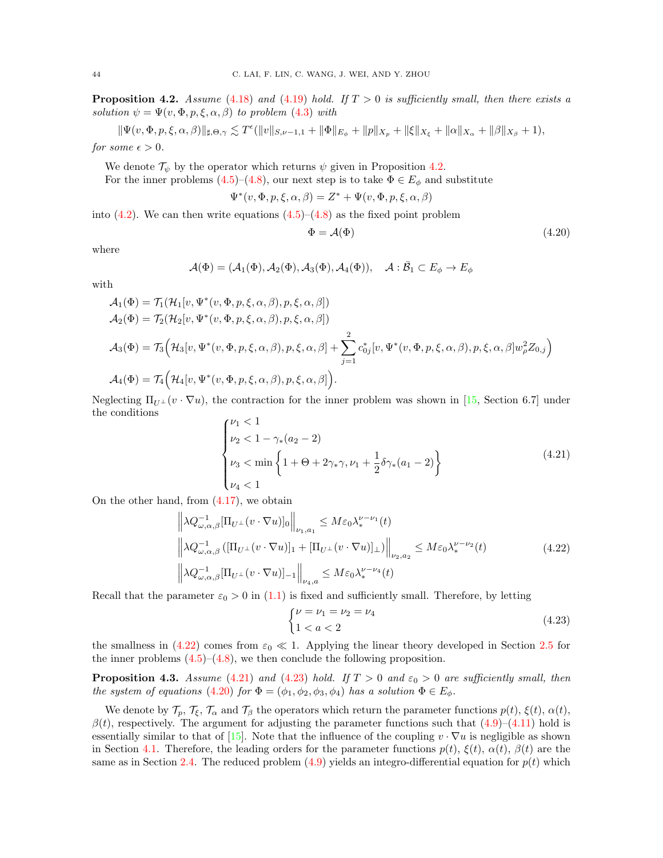<span id="page-43-0"></span>**Proposition 4.2.** Assume [\(4.18\)](#page-42-0) and [\(4.19\)](#page-42-1) hold. If  $T > 0$  is sufficiently small, then there exists a solution  $\psi = \Psi(v, \Phi, p, \xi, \alpha, \beta)$  to problem [\(4.3\)](#page-37-0) with

$$
\|\Psi(v,\Phi,p,\xi,\alpha,\beta)\|_{\sharp,\Theta,\gamma} \lesssim T^{\epsilon}(\|v\|_{S,\nu-1,1} + \|\Phi\|_{E_{\phi}} + \|p\|_{X_p} + \|\xi\|_{X_{\xi}} + \|\alpha\|_{X_{\alpha}} + \|\beta\|_{X_{\beta}} + 1),
$$

for some  $\epsilon > 0$ .

We denote  $\mathcal{T}_{\psi}$  by the operator which returns  $\psi$  given in Proposition [4.2.](#page-43-0) For the inner problems [\(4.5\)](#page-38-0)–[\(4.8\)](#page-38-1), our next step is to take  $\Phi \in E_{\phi}$  and substitute

$$
\Psi^*(v, \Phi, p, \xi, \alpha, \beta) = Z^* + \Psi(v, \Phi, p, \xi, \alpha, \beta)
$$

into  $(4.2)$ . We can then write equations  $(4.5)-(4.8)$  $(4.5)-(4.8)$  as the fixed point problem

<span id="page-43-4"></span>
$$
\Phi = \mathcal{A}(\Phi) \tag{4.20}
$$

where

$$
\mathcal{A}(\Phi) = (\mathcal{A}_1(\Phi), \mathcal{A}_2(\Phi), \mathcal{A}_3(\Phi), \mathcal{A}_4(\Phi)), \quad \mathcal{A} : \bar{\mathcal{B}}_1 \subset E_{\phi} \to E_{\phi}
$$

with

$$
\mathcal{A}_1(\Phi) = \mathcal{T}_1(\mathcal{H}_1[v, \Psi^*(v, \Phi, p, \xi, \alpha, \beta), p, \xi, \alpha, \beta])
$$
  
\n
$$
\mathcal{A}_2(\Phi) = \mathcal{T}_2(\mathcal{H}_2[v, \Psi^*(v, \Phi, p, \xi, \alpha, \beta), p, \xi, \alpha, \beta])
$$
  
\n
$$
\mathcal{A}_3(\Phi) = \mathcal{T}_3(\mathcal{H}_3[v, \Psi^*(v, \Phi, p, \xi, \alpha, \beta), p, \xi, \alpha, \beta] + \sum_{j=1}^2 c_{0j}^*[v, \Psi^*(v, \Phi, p, \xi, \alpha, \beta), p, \xi, \alpha, \beta]w_{\rho}^2 Z_{0,j})
$$
  
\n
$$
\mathcal{A}_4(\Phi) = \mathcal{T}_4(\mathcal{H}_4[v, \Psi^*(v, \Phi, p, \xi, \alpha, \beta), p, \xi, \alpha, \beta]).
$$

Neglecting  $\Pi_{U^{\perp}}(v \cdot \nabla u)$ , the contraction for the inner problem was shown in [\[15,](#page-46-7) Section 6.7] under the conditions

<span id="page-43-2"></span>
$$
\begin{cases} \nu_1 < 1 \\ \nu_2 < 1 - \gamma_*(a_2 - 2) \\ \nu_3 < \min \left\{ 1 + \Theta + 2\gamma_* \gamma, \nu_1 + \frac{1}{2} \delta \gamma_*(a_1 - 2) \right\} \\ \nu_4 < 1 \end{cases} \tag{4.21}
$$

On the other hand, from [\(4.17\)](#page-42-2), we obtain

<span id="page-43-1"></span>
$$
\left\| \lambda Q_{\omega,\alpha,\beta}^{-1} [\Pi_{U^{\perp}}(v \cdot \nabla u)]_0 \right\|_{\nu_1,a_1} \le M \varepsilon_0 \lambda_*^{\nu-\nu_1}(t)
$$
  

$$
\left\| \lambda Q_{\omega,\alpha,\beta}^{-1} ([\Pi_{U^{\perp}}(v \cdot \nabla u)]_1 + [\Pi_{U^{\perp}}(v \cdot \nabla u)]_\perp) \right\|_{\nu_2,a_2} \le M \varepsilon_0 \lambda_*^{\nu-\nu_2}(t)
$$
  

$$
\left\| \lambda Q_{\omega,\alpha,\beta}^{-1} [\Pi_{U^{\perp}}(v \cdot \nabla u)]_{-1} \right\|_{\nu_4,a} \le M \varepsilon_0 \lambda_*^{\nu-\nu_4}(t)
$$
 (4.22)

Recall that the parameter  $\varepsilon_0 > 0$  in [\(1.1\)](#page-0-0) is fixed and sufficiently small. Therefore, by letting

<span id="page-43-3"></span>
$$
\begin{cases} \nu = \nu_1 = \nu_2 = \nu_4 \\ 1 < a < 2 \end{cases} \tag{4.23}
$$

the smallness in [\(4.22\)](#page-43-1) comes from  $\varepsilon_0 \ll 1$ . Applying the linear theory developed in Section [2.5](#page-17-0) for the inner problems  $(4.5)$ – $(4.8)$ , we then conclude the following proposition.

<span id="page-43-5"></span>**Proposition 4.3.** Assume [\(4.21\)](#page-43-2) and [\(4.23\)](#page-43-3) hold. If  $T > 0$  and  $\varepsilon_0 > 0$  are sufficiently small, then the system of equations [\(4.20\)](#page-43-4) for  $\Phi = (\phi_1, \phi_2, \phi_3, \phi_4)$  has a solution  $\Phi \in E_{\phi}$ .

We denote by  $\mathcal{T}_p$ ,  $\mathcal{T}_\xi$ ,  $\mathcal{T}_\alpha$  and  $\mathcal{T}_\beta$  the operators which return the parameter functions  $p(t)$ ,  $\xi(t)$ ,  $\alpha(t)$ ,  $\beta(t)$ , respectively. The argument for adjusting the parameter functions such that  $(4.9)-(4.11)$  $(4.9)-(4.11)$  hold is essentially similar to that of [\[15\]](#page-46-7). Note that the influence of the coupling  $v \cdot \nabla u$  is negligible as shown in Section [4.1.](#page-41-2) Therefore, the leading orders for the parameter functions  $p(t)$ ,  $\xi(t)$ ,  $\alpha(t)$ ,  $\beta(t)$  are the same as in Section [2.4.](#page-13-0) The reduced problem  $(4.9)$  yields an integro-differential equation for  $p(t)$  which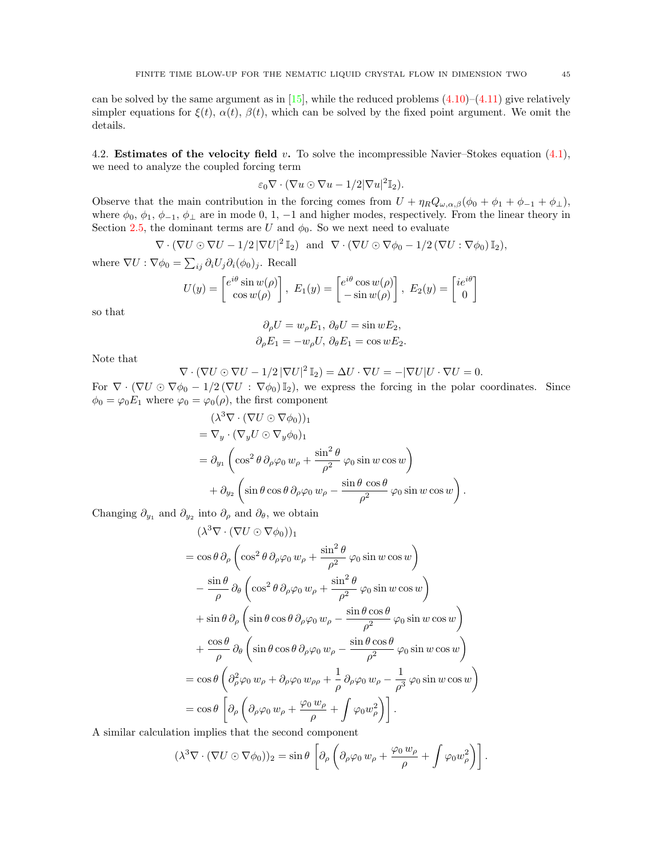can be solved by the same argument as in [\[15\]](#page-46-7), while the reduced problems  $(4.10)$ – $(4.11)$  give relatively simpler equations for  $\xi(t)$ ,  $\alpha(t)$ ,  $\beta(t)$ , which can be solved by the fixed point argument. We omit the details.

<span id="page-44-0"></span>4.2. **Estimates of the velocity field** v. To solve the incompressible Navier–Stokes equation  $(4.1)$ , we need to analyze the coupled forcing term

$$
\varepsilon_0 \nabla \cdot (\nabla u \odot \nabla u - 1/2 |\nabla u|^2 \mathbb{I}_2).
$$

Observe that the main contribution in the forcing comes from  $U + \eta_R Q_{\omega,\alpha,\beta}(\phi_0 + \phi_1 + \phi_{-1} + \phi_{\perp}),$ where  $\phi_0$ ,  $\phi_1$ ,  $\phi_{-1}$ ,  $\phi_{\perp}$  are in mode 0, 1, -1 and higher modes, respectively. From the linear theory in Section [2.5,](#page-17-0) the dominant terms are U and  $\phi_0$ . So we next need to evaluate

$$
\nabla \cdot (\nabla U \odot \nabla U - 1/2 |\nabla U|^2 \mathbb{I}_2) \text{ and } \nabla \cdot (\nabla U \odot \nabla \phi_0 - 1/2 (\nabla U : \nabla \phi_0) \mathbb{I}_2),
$$

where  $\nabla U : \nabla \phi_0 = \sum_{ij} \partial_i U_j \partial_i (\phi_0)_j$ . Recall

$$
U(y) = \begin{bmatrix} e^{i\theta} \sin w(\rho) \\ \cos w(\rho) \end{bmatrix}, E_1(y) = \begin{bmatrix} e^{i\theta} \cos w(\rho) \\ -\sin w(\rho) \end{bmatrix}, E_2(y) = \begin{bmatrix} ie^{i\theta} \\ 0 \end{bmatrix}
$$

so that

$$
\partial_{\rho}U = w_{\rho}E_1, \ \partial_{\theta}U = \sin wE_2,
$$
  

$$
\partial_{\rho}E_1 = -w_{\rho}U, \ \partial_{\theta}E_1 = \cos wE_2.
$$

Note that

$$
\nabla \cdot (\nabla U \odot \nabla U - 1/2 |\nabla U|^2 \mathbb{I}_2) = \Delta U \cdot \nabla U = -|\nabla U| U \cdot \nabla U = 0.
$$

For  $\nabla \cdot (\nabla U \odot \nabla \phi_0 - 1/2 (\nabla U : \nabla \phi_0) \mathbb{I}_2)$ , we express the forcing in the polar coordinates. Since  $\phi_0 = \varphi_0 E_1$  where  $\varphi_0 = \varphi_0(\rho)$ , the first component

$$
(\lambda^3 \nabla \cdot (\nabla U \odot \nabla \phi_0))_1
$$
  
=  $\nabla_y \cdot (\nabla_y U \odot \nabla_y \phi_0)_1$   
=  $\partial_{y_1} \left( \cos^2 \theta \, \partial_\rho \varphi_0 w_\rho + \frac{\sin^2 \theta}{\rho^2} \varphi_0 \sin w \cos w \right)$   
+  $\partial_{y_2} \left( \sin \theta \cos \theta \, \partial_\rho \varphi_0 w_\rho - \frac{\sin \theta \cos \theta}{\rho^2} \varphi_0 \sin w \cos w \right).$ 

Changing  $\partial_{y_1}$  and  $\partial_{y_2}$  into  $\partial_{\rho}$  and  $\partial_{\theta}$ , we obtain

$$
(\lambda^{3}\nabla \cdot (\nabla U \odot \nabla \phi_{0}))_{1}
$$
  
=  $\cos \theta \, \partial_{\rho} \left( \cos^{2} \theta \, \partial_{\rho} \varphi_{0} w_{\rho} + \frac{\sin^{2} \theta}{\rho^{2}} \varphi_{0} \sin w \cos w \right)$   

$$
- \frac{\sin \theta}{\rho} \, \partial_{\theta} \left( \cos^{2} \theta \, \partial_{\rho} \varphi_{0} w_{\rho} + \frac{\sin^{2} \theta}{\rho^{2}} \varphi_{0} \sin w \cos w \right)
$$
  
+  $\sin \theta \, \partial_{\rho} \left( \sin \theta \cos \theta \, \partial_{\rho} \varphi_{0} w_{\rho} - \frac{\sin \theta \cos \theta}{\rho^{2}} \varphi_{0} \sin w \cos w \right)$   
+  $\frac{\cos \theta}{\rho} \, \partial_{\theta} \left( \sin \theta \cos \theta \, \partial_{\rho} \varphi_{0} w_{\rho} - \frac{\sin \theta \cos \theta}{\rho^{2}} \varphi_{0} \sin w \cos w \right)$   
=  $\cos \theta \left( \partial_{\rho}^{2} \varphi_{0} w_{\rho} + \partial_{\rho} \varphi_{0} w_{\rho \rho} + \frac{1}{\rho} \partial_{\rho} \varphi_{0} w_{\rho} - \frac{1}{\rho^{3}} \varphi_{0} \sin w \cos w \right)$   
=  $\cos \theta \left[ \partial_{\rho} \left( \partial_{\rho} \varphi_{0} w_{\rho} + \frac{\varphi_{0} w_{\rho}}{\rho} + \int \varphi_{0} w_{\rho}^{2} \right) \right].$ 

A similar calculation implies that the second component

$$
(\lambda^3 \nabla \cdot (\nabla U \odot \nabla \phi_0))_2 = \sin \theta \left[ \partial_\rho \left( \partial_\rho \varphi_0 w_\rho + \frac{\varphi_0 w_\rho}{\rho} + \int \varphi_0 w_\rho^2 \right) \right].
$$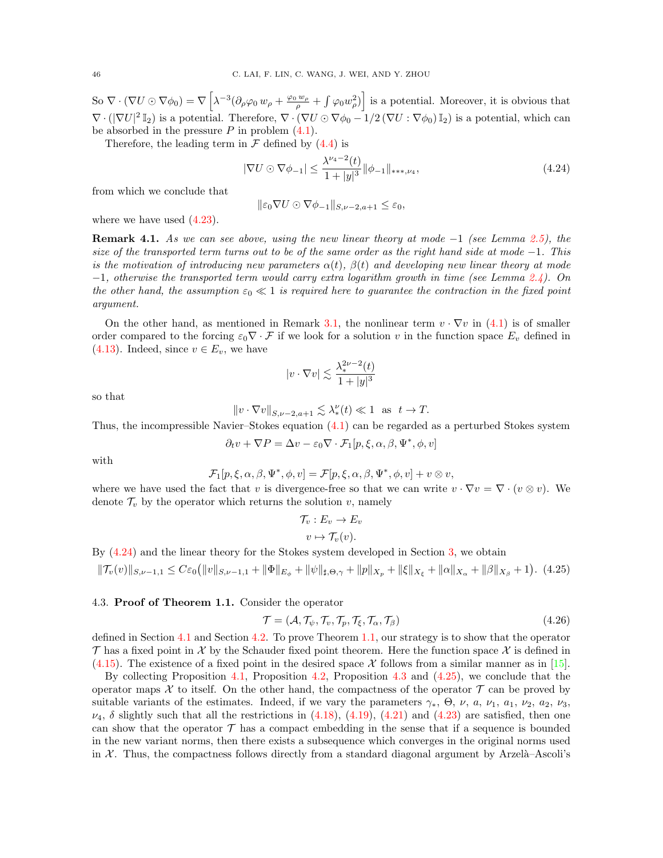So  $\nabla \cdot (\nabla U \odot \nabla \phi_0) = \nabla \left[ \lambda^{-3} (\partial_\rho \varphi_0 w_\rho + \frac{\varphi_0 w_\rho}{\rho} + \int \varphi_0 w_\rho^2) \right]$  is a potential. Moreover, it is obvious that  $\nabla \cdot (|\nabla U|^2 \mathbb{I}_2)$  is a potential. Therefore,  $\nabla \cdot (\nabla U \odot \nabla \phi_0 - 1/2 (\nabla U : \nabla \phi_0) \mathbb{I}_2)$  is a potential, which can be absorbed in the pressure  $P$  in problem  $(4.1)$ .

Therefore, the leading term in  $\mathcal F$  defined by [\(4.4\)](#page-37-2) is

<span id="page-45-0"></span>
$$
|\nabla U \odot \nabla \phi_{-1}| \le \frac{\lambda^{\nu_4 - 2}(t)}{1 + |y|^3} ||\phi_{-1}||_{\ast \ast, \nu_4},\tag{4.24}
$$

from which we conclude that

$$
\|\varepsilon_0 \nabla U \odot \nabla \phi_{-1}\|_{S,\nu-2,a+1} \le \varepsilon_0,
$$

where we have used  $(4.23)$ .

**Remark 4.1.** As we can see above, using the new linear theory at mode  $-1$  (see Lemma [2.5\)](#page-21-5), the size of the transported term turns out to be of the same order as the right hand side at mode  $-1$ . This is the motivation of introducing new parameters  $\alpha(t)$ ,  $\beta(t)$  and developing new linear theory at mode  $-1$ , otherwise the transported term would carry extra logarithm growth in time (see Lemma [2.4\)](#page-21-1). On the other hand, the assumption  $\varepsilon_0 \ll 1$  is required here to guarantee the contraction in the fixed point argument.

On the other hand, as mentioned in Remark [3.1,](#page-35-4) the nonlinear term  $v \cdot \nabla v$  in [\(4.1\)](#page-36-2) is of smaller order compared to the forcing  $\varepsilon_0 \nabla \cdot \mathcal{F}$  if we look for a solution v in the function space  $E_v$  defined in [\(4.13\)](#page-39-0). Indeed, since  $v \in E_v$ , we have

$$
|v \cdot \nabla v| \lesssim \frac{\lambda_*^{2\nu - 2}(t)}{1 + |y|^3}
$$

so that

$$
||v \cdot \nabla v||_{S, \nu-2, a+1} \lesssim \lambda_*^{\nu}(t) \ll 1 \text{ as } t \to T.
$$

Thus, the incompressible Navier–Stokes equation [\(4.1\)](#page-36-2) can be regarded as a perturbed Stokes system

$$
\partial_t v + \nabla P = \Delta v - \varepsilon_0 \nabla \cdot \mathcal{F}_1[p, \xi, \alpha, \beta, \Psi^*, \phi, v]
$$

with

$$
\mathcal{F}_1[p,\xi,\alpha,\beta,\Psi^*,\phi,v] = \mathcal{F}[p,\xi,\alpha,\beta,\Psi^*,\phi,v] + v \otimes v,
$$

where we have used the fact that v is divergence-free so that we can write  $v \cdot \nabla v = \nabla \cdot (v \otimes v)$ . We denote  $\mathcal{T}_v$  by the operator which returns the solution v, namely

$$
\mathcal{T}_v : E_v \to E_v
$$

$$
v \mapsto \mathcal{T}_v(v).
$$

By [\(4.24\)](#page-45-0) and the linear theory for the Stokes system developed in Section [3,](#page-27-0) we obtain

<span id="page-45-1"></span>
$$
\|\mathcal{T}_{v}(v)\|_{S,\nu-1,1} \leq C\varepsilon_{0}\big(\|v\|_{S,\nu-1,1} + \|\Phi\|_{E_{\phi}} + \|\psi\|_{\sharp,\Theta,\gamma} + \|p\|_{X_{p}} + \|\xi\|_{X_{\xi}} + \|\alpha\|_{X_{\alpha}} + \|\beta\|_{X_{\beta}} + 1\big). \tag{4.25}
$$

### 4.3. Proof of Theorem 1.1. Consider the operator

$$
\mathcal{T} = (\mathcal{A}, \mathcal{T}_{\psi}, \mathcal{T}_{v}, \mathcal{T}_{p}, \mathcal{T}_{\xi}, \mathcal{T}_{\alpha}, \mathcal{T}_{\beta})
$$
\n(4.26)

defined in Section [4.1](#page-41-2) and Section [4.2.](#page-44-0) To prove Theorem [1.1,](#page-2-0) our strategy is to show that the operator  $\mathcal T$  has a fixed point in X by the Schauder fixed point theorem. Here the function space X is defined in  $(4.15)$ . The existence of a fixed point in the desired space X follows from a similar manner as in [\[15\]](#page-46-7).

By collecting Proposition [4.1,](#page-40-0) Proposition [4.2,](#page-43-0) Proposition [4.3](#page-43-5) and [\(4.25\)](#page-45-1), we conclude that the operator maps X to itself. On the other hand, the compactness of the operator  $\mathcal T$  can be proved by suitable variants of the estimates. Indeed, if we vary the parameters  $\gamma_*, \Theta, \nu, a, \nu_1, a_1, \nu_2, a_2, \nu_3$  $\nu_4$ ,  $\delta$  slightly such that all the restrictions in [\(4.18\)](#page-42-0), [\(4.19\)](#page-42-1), [\(4.21\)](#page-43-2) and [\(4.23\)](#page-43-3) are satisfied, then one can show that the operator  $\mathcal T$  has a compact embedding in the sense that if a sequence is bounded in the new variant norms, then there exists a subsequence which converges in the original norms used in X. Thus, the compactness follows directly from a standard diagonal argument by Arzelà–Ascoli's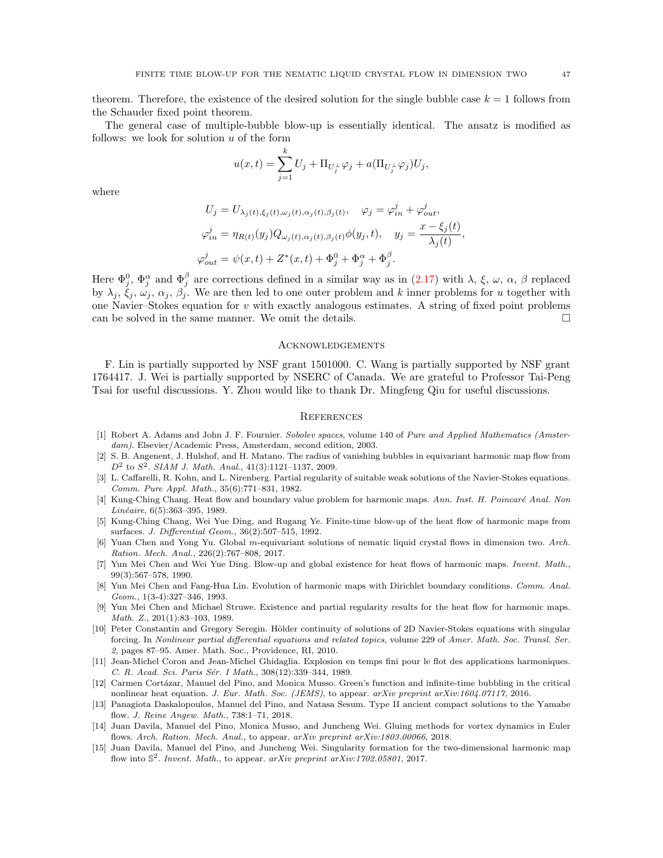theorem. Therefore, the existence of the desired solution for the single bubble case  $k = 1$  follows from the Schauder fixed point theorem.

The general case of multiple-bubble blow-up is essentially identical. The ansatz is modified as follows: we look for solution  $u$  of the form

$$
u(x,t) = \sum_{j=1}^{k} U_j + \Pi_{U_j^{\perp}} \varphi_j + a(\Pi_{U_j^{\perp}} \varphi_j) U_j,
$$

where

$$
U_j = U_{\lambda_j(t), \xi_j(t), \omega_j(t), \alpha_j(t), \beta_j(t)}, \quad \varphi_j = \varphi_{in}^j + \varphi_{out}^j,
$$
  

$$
\varphi_{in}^j = \eta_{R(t)}(y_j)Q_{\omega_j(t), \alpha_j(t), \beta_j(t)}\phi(y_j, t), \quad y_j = \frac{x - \xi_j(t)}{\lambda_j(t)},
$$
  

$$
\varphi_{out}^j = \psi(x, t) + Z^*(x, t) + \Phi_j^0 + \Phi_j^\alpha + \Phi_j^\beta.
$$

Here  $\Phi_j^0$ ,  $\Phi_j^{\alpha}$  and  $\Phi_j^{\beta}$  are corrections defined in a similar way as in [\(2.17\)](#page-10-0) with  $\lambda$ ,  $\xi$ ,  $\omega$ ,  $\alpha$ ,  $\beta$  replaced by  $\lambda_j, \xi_j, \omega_j, \alpha_j, \beta_j$ . We are then led to one outer problem and k inner problems for u together with one Navier–Stokes equation for v with exactly analogous estimates. A string of fixed point problems can be solved in the same manner. We omit the details.  $\Box$ 

#### Acknowledgements

F. Lin is partially supported by NSF grant 1501000. C. Wang is partially supported by NSF grant 1764417. J. Wei is partially supported by NSERC of Canada. We are grateful to Professor Tai-Peng Tsai for useful discussions. Y. Zhou would like to thank Dr. Mingfeng Qiu for useful discussions.

#### **REFERENCES**

- <span id="page-46-14"></span>[1] Robert A. Adams and John J. F. Fournier. Sobolev spaces, volume 140 of Pure and Applied Mathematics (Amsterdam). Elsevier/Academic Press, Amsterdam, second edition, 2003.
- <span id="page-46-6"></span>[2] S. B. Angenent, J. Hulshof, and H. Matano. The radius of vanishing bubbles in equivariant harmonic map flow from  $D^2$  to  $S^2$ . SIAM J. Math. Anal., 41(3):1121-1137, 2009.
- <span id="page-46-8"></span>[3] L. Caffarelli, R. Kohn, and L. Nirenberg. Partial regularity of suitable weak solutions of the Navier-Stokes equations. Comm. Pure Appl. Math., 35(6):771–831, 1982.
- <span id="page-46-0"></span>[4] Kung-Ching Chang. Heat flow and boundary value problem for harmonic maps. Ann. Inst. H. Poincaré Anal. Non Linéaire, 6(5):363-395, 1989.
- <span id="page-46-5"></span>[5] Kung-Ching Chang, Wei Yue Ding, and Rugang Ye. Finite-time blow-up of the heat flow of harmonic maps from surfaces. J. Differential Geom., 36(2):507–515, 1992.
- <span id="page-46-9"></span>[6] Yuan Chen and Yong Yu. Global m-equivariant solutions of nematic liquid crystal flows in dimension two. Arch. Ration. Mech. Anal., 226(2):767–808, 2017.
- <span id="page-46-4"></span>[7] Yun Mei Chen and Wei Yue Ding. Blow-up and global existence for heat flows of harmonic maps. Invent. Math., 99(3):567–578, 1990.
- <span id="page-46-2"></span>[8] Yun Mei Chen and Fang-Hua Lin. Evolution of harmonic maps with Dirichlet boundary conditions. Comm. Anal. Geom., 1(3-4):327–346, 1993.
- <span id="page-46-1"></span>[9] Yun Mei Chen and Michael Struwe. Existence and partial regularity results for the heat flow for harmonic maps. Math. Z., 201(1):83–103, 1989.
- <span id="page-46-10"></span>[10] Peter Constantin and Gregory Seregin. Hölder continuity of solutions of 2D Navier-Stokes equations with singular forcing. In Nonlinear partial differential equations and related topics, volume 229 of Amer. Math. Soc. Transl. Ser. 2, pages 87–95. Amer. Math. Soc., Providence, RI, 2010.
- <span id="page-46-3"></span>[11] Jean-Michel Coron and Jean-Michel Ghidaglia. Explosion en temps fini pour le flot des applications harmoniques. C. R. Acad. Sci. Paris Sér. I Math., 308(12):339-344, 1989.
- <span id="page-46-11"></span>[12] Carmen Cortázar, Manuel del Pino, and Monica Musso. Green's function and infinite-time bubbling in the critical nonlinear heat equation. J. Eur. Math. Soc. (JEMS), to appear. arXiv preprint arXiv:1604.07117, 2016.
- <span id="page-46-13"></span>[13] Panagiota Daskalopoulos, Manuel del Pino, and Natasa Sesum. Type II ancient compact solutions to the Yamabe flow. J. Reine Angew. Math., 738:1–71, 2018.
- <span id="page-46-12"></span>[14] Juan Davila, Manuel del Pino, Monica Musso, and Juncheng Wei. Gluing methods for vortex dynamics in Euler flows. Arch. Ration. Mech. Anal., to appear. arXiv preprint arXiv:1803.00066, 2018.
- <span id="page-46-7"></span>[15] Juan Davila, Manuel del Pino, and Juncheng Wei. Singularity formation for the two-dimensional harmonic map flow into  $\mathbb{S}^2$ . Invent. Math., to appear. arXiv preprint arXiv:1702.05801, 2017.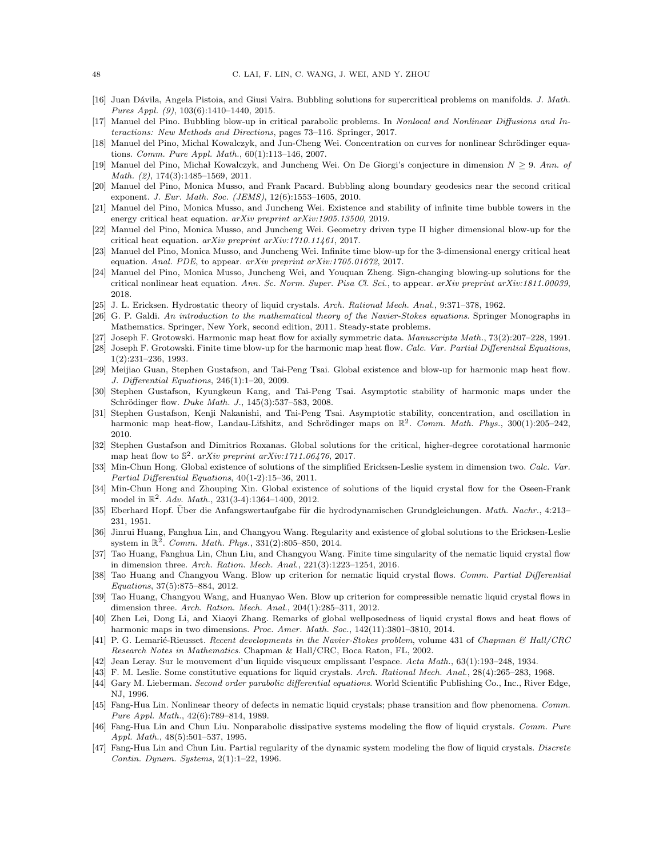- <span id="page-47-19"></span>[16] Juan Dávila, Angela Pistoia, and Giusi Vaira. Bubbling solutions for supercritical problems on manifolds. J. Math. Pures Appl. (9), 103(6):1410–1440, 2015.
- <span id="page-47-24"></span>[17] Manuel del Pino. Bubbling blow-up in critical parabolic problems. In Nonlocal and Nonlinear Diffusions and Interactions: New Methods and Directions, pages 73–116. Springer, 2017.
- <span id="page-47-20"></span>[18] Manuel del Pino, Michal Kowalczyk, and Jun-Cheng Wei. Concentration on curves for nonlinear Schrödinger equations. Comm. Pure Appl. Math., 60(1):113–146, 2007.
- [19] Manuel del Pino, Michał Kowalczyk, and Juncheng Wei. On De Giorgi's conjecture in dimension  $N \ge 9$ . Ann. of Math. (2), 174(3):1485–1569, 2011.
- <span id="page-47-21"></span>[20] Manuel del Pino, Monica Musso, and Frank Pacard. Bubbling along boundary geodesics near the second critical exponent. J. Eur. Math. Soc. (JEMS), 12(6):1553–1605, 2010.
- <span id="page-47-22"></span>[21] Manuel del Pino, Monica Musso, and Juncheng Wei. Existence and stability of infinite time bubble towers in the energy critical heat equation. arXiv preprint arXiv:1905.13500, 2019.
- [22] Manuel del Pino, Monica Musso, and Juncheng Wei. Geometry driven type II higher dimensional blow-up for the critical heat equation. arXiv preprint arXiv:1710.11461, 2017.
- [23] Manuel del Pino, Monica Musso, and Juncheng Wei. Infinite time blow-up for the 3-dimensional energy critical heat equation. Anal. PDE, to appear.  $arXiv$  preprint  $arXiv:1705.01672$ , 2017.
- <span id="page-47-23"></span>[24] Manuel del Pino, Monica Musso, Juncheng Wei, and Youquan Zheng. Sign-changing blowing-up solutions for the critical nonlinear heat equation. Ann. Sc. Norm. Super. Pisa Cl. Sci., to appear. arXiv preprint arXiv:1811.00039, 2018.
- <span id="page-47-9"></span>[25] J. L. Ericksen. Hydrostatic theory of liquid crystals. Arch. Rational Mech. Anal., 9:371-378, 1962.
- <span id="page-47-3"></span>[26] G. P. Galdi. An introduction to the mathematical theory of the Navier-Stokes equations. Springer Monographs in Mathematics. Springer, New York, second edition, 2011. Steady-state problems.
- <span id="page-47-4"></span>[27] Joseph F. Grotowski. Harmonic map heat flow for axially symmetric data. Manuscripta Math., 73(2):207–228, 1991.
- <span id="page-47-5"></span>[28] Joseph F. Grotowski. Finite time blow-up for the harmonic map heat flow. Calc. Var. Partial Differential Equations, 1(2):231–236, 1993.
- <span id="page-47-6"></span>[29] Meijiao Guan, Stephen Gustafson, and Tai-Peng Tsai. Global existence and blow-up for harmonic map heat flow. J. Differential Equations, 246(1):1–20, 2009.
- [30] Stephen Gustafson, Kyungkeun Kang, and Tai-Peng Tsai. Asymptotic stability of harmonic maps under the Schrödinger flow. *Duke Math. J.*, 145(3):537–583, 2008.
- [31] Stephen Gustafson, Kenji Nakanishi, and Tai-Peng Tsai. Asymptotic stability, concentration, and oscillation in harmonic map heat-flow, Landau-Lifshitz, and Schrödinger maps on  $\mathbb{R}^2$ . Comm. Math. Phys., 300(1):205–242, 2010.
- <span id="page-47-7"></span>[32] Stephen Gustafson and Dimitrios Roxanas. Global solutions for the critical, higher-degree corotational harmonic map heat flow to  $\mathbb{S}^2$ . arXiv preprint arXiv:1711.06476, 2017.
- <span id="page-47-13"></span>[33] Min-Chun Hong. Global existence of solutions of the simplified Ericksen-Leslie system in dimension two. Calc. Var. Partial Differential Equations, 40(1-2):15–36, 2011.
- <span id="page-47-14"></span>[34] Min-Chun Hong and Zhouping Xin. Global existence of solutions of the liquid crystal flow for the Oseen-Frank model in  $\mathbb{R}^2$ . Adv. Math., 231(3-4):1364-1400, 2012.
- <span id="page-47-1"></span>[35] Eberhard Hopf. Über die Anfangswertaufgabe für die hydrodynamischen Grundgleichungen. Math. Nachr., 4:213– 231, 1951.
- <span id="page-47-15"></span>[36] Jinrui Huang, Fanghua Lin, and Changyou Wang. Regularity and existence of global solutions to the Ericksen-Leslie system in  $\mathbb{R}^2$ . Comm. Math. Phys., 331(2):805-850, 2014.
- <span id="page-47-18"></span>[37] Tao Huang, Fanghua Lin, Chun Liu, and Changyou Wang. Finite time singularity of the nematic liquid crystal flow in dimension three. Arch. Ration. Mech. Anal., 221(3):1223–1254, 2016.
- <span id="page-47-17"></span>[38] Tao Huang and Changyou Wang. Blow up criterion for nematic liquid crystal flows. Comm. Partial Differential Equations, 37(5):875–884, 2012.
- [39] Tao Huang, Changyou Wang, and Huanyao Wen. Blow up criterion for compressible nematic liquid crystal flows in dimension three. Arch. Ration. Mech. Anal., 204(1):285–311, 2012.
- <span id="page-47-16"></span>[40] Zhen Lei, Dong Li, and Xiaoyi Zhang. Remarks of global wellposedness of liquid crystal flows and heat flows of harmonic maps in two dimensions. Proc. Amer. Math. Soc., 142(11):3801-3810, 2014.
- <span id="page-47-2"></span>[41] P. G. Lemarié-Rieusset. Recent developments in the Navier-Stokes problem, volume 431 of Chapman & Hall/CRC Research Notes in Mathematics. Chapman & Hall/CRC, Boca Raton, FL, 2002.
- <span id="page-47-0"></span>[42] Jean Leray. Sur le mouvement d'un liquide visqueux emplissant l'espace. Acta Math., 63(1):193–248, 1934.
- <span id="page-47-10"></span>[43] F. M. Leslie. Some constitutive equations for liquid crystals. Arch. Rational Mech. Anal., 28(4):265–283, 1968.
- <span id="page-47-25"></span>[44] Gary M. Lieberman. Second order parabolic differential equations. World Scientific Publishing Co., Inc., River Edge, NJ, 1996.
- <span id="page-47-8"></span>[45] Fang-Hua Lin. Nonlinear theory of defects in nematic liquid crystals; phase transition and flow phenomena. Comm. Pure Appl. Math., 42(6):789–814, 1989.
- <span id="page-47-11"></span>[46] Fang-Hua Lin and Chun Liu. Nonparabolic dissipative systems modeling the flow of liquid crystals. Comm. Pure Appl. Math., 48(5):501–537, 1995.
- <span id="page-47-12"></span>[47] Fang-Hua Lin and Chun Liu. Partial regularity of the dynamic system modeling the flow of liquid crystals. Discrete Contin. Dynam. Systems, 2(1):1–22, 1996.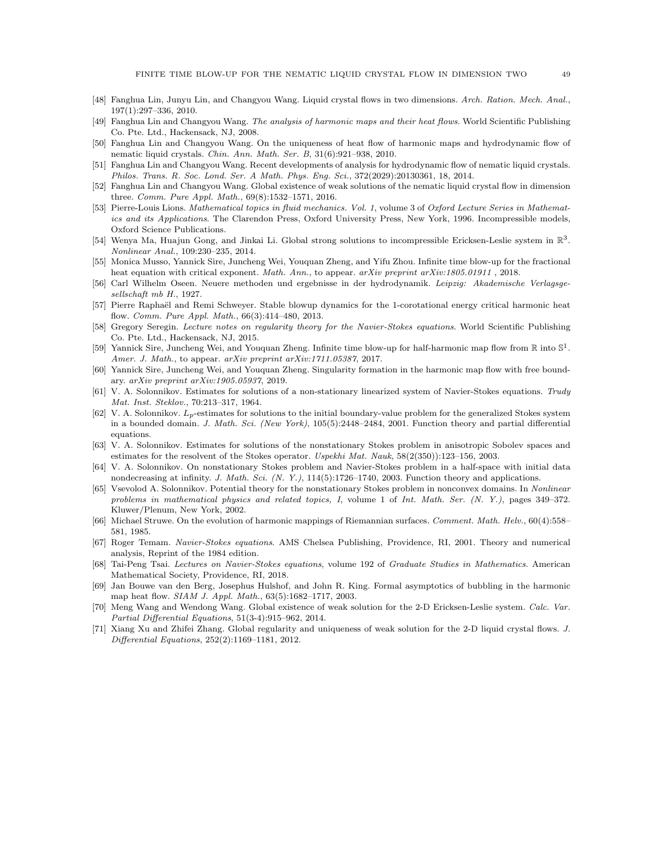- <span id="page-48-12"></span>[48] Fanghua Lin, Junyu Lin, and Changyou Wang. Liquid crystal flows in two dimensions. Arch. Ration. Mech. Anal., 197(1):297–336, 2010.
- <span id="page-48-11"></span>[49] Fanghua Lin and Changyou Wang. The analysis of harmonic maps and their heat flows. World Scientific Publishing Co. Pte. Ltd., Hackensack, NJ, 2008.
- <span id="page-48-15"></span>[50] Fanghua Lin and Changyou Wang. On the uniqueness of heat flow of harmonic maps and hydrodynamic flow of nematic liquid crystals. Chin. Ann. Math. Ser. B, 31(6):921–938, 2010.
- <span id="page-48-17"></span>[51] Fanghua Lin and Changyou Wang. Recent developments of analysis for hydrodynamic flow of nematic liquid crystals. Philos. Trans. R. Soc. Lond. Ser. A Math. Phys. Eng. Sci., 372(2029):20130361, 18, 2014.
- <span id="page-48-16"></span>[52] Fanghua Lin and Changyou Wang. Global existence of weak solutions of the nematic liquid crystal flow in dimension three. Comm. Pure Appl. Math., 69(8):1532–1571, 2016.
- <span id="page-48-1"></span>[53] Pierre-Louis Lions. Mathematical topics in fluid mechanics. Vol. 1, volume 3 of Oxford Lecture Series in Mathematics and its Applications. The Clarendon Press, Oxford University Press, New York, 1996. Incompressible models, Oxford Science Publications.
- [54] Wenya Ma, Huajun Gong, and Jinkai Li. Global strong solutions to incompressible Ericksen-Leslie system in  $\mathbb{R}^3$ . Nonlinear Anal., 109:230–235, 2014.
- <span id="page-48-18"></span>[55] Monica Musso, Yannick Sire, Juncheng Wei, Youquan Zheng, and Yifu Zhou. Infinite time blow-up for the fractional heat equation with critical exponent. Math. Ann., to appear. arXiv preprint arXiv:1805.01911, 2018.
- <span id="page-48-21"></span>[56] Carl Wilhelm Oseen. Neuere methoden und ergebnisse in der hydrodynamik. Leipzig: Akademische Verlagsgesellschaft mb H., 1927.
- <span id="page-48-10"></span>[57] Pierre Raphaël and Remi Schweyer. Stable blowup dynamics for the 1-corotational energy critical harmonic heat flow. Comm. Pure Appl. Math., 66(3):414–480, 2013.
- <span id="page-48-2"></span>[58] Gregory Seregin. Lecture notes on regularity theory for the Navier-Stokes equations. World Scientific Publishing Co. Pte. Ltd., Hackensack, NJ, 2015.
- <span id="page-48-19"></span>[59] Yannick Sire, Juncheng Wei, and Youquan Zheng. Infinite time blow-up for half-harmonic map flow from  $\mathbb R$  into  $\mathbb S^1$ . Amer. J. Math., to appear. arXiv preprint arXiv:1711.05387, 2017.
- <span id="page-48-20"></span>[60] Yannick Sire, Juncheng Wei, and Youquan Zheng. Singularity formation in the harmonic map flow with free boundary. arXiv preprint arXiv:1905.05937, 2019.
- <span id="page-48-4"></span>[61] V. A. Solonnikov. Estimates for solutions of a non-stationary linearized system of Navier-Stokes equations. Trudy Mat. Inst. Steklov., 70:213–317, 1964.
- <span id="page-48-5"></span>[62] V. A. Solonnikov.  $L_p$ -estimates for solutions to the initial boundary-value problem for the generalized Stokes system in a bounded domain. J. Math. Sci. (New York), 105(5):2448-2484, 2001. Function theory and partial differential equations.
- <span id="page-48-22"></span>[63] V. A. Solonnikov. Estimates for solutions of the nonstationary Stokes problem in anisotropic Sobolev spaces and estimates for the resolvent of the Stokes operator. Uspekhi Mat. Nauk,  $58(2(350))$ :123-156, 2003.
- <span id="page-48-6"></span>[64] V. A. Solonnikov. On nonstationary Stokes problem and Navier-Stokes problem in a half-space with initial data nondecreasing at infinity. J. Math. Sci. (N. Y.), 114(5):1726–1740, 2003. Function theory and applications.
- <span id="page-48-7"></span>[65] Vsevolod A. Solonnikov. Potential theory for the nonstationary Stokes problem in nonconvex domains. In Nonlinear problems in mathematical physics and related topics, I, volume 1 of Int. Math. Ser. (N. Y.), pages 349–372. Kluwer/Plenum, New York, 2002.
- <span id="page-48-8"></span>[66] Michael Struwe. On the evolution of harmonic mappings of Riemannian surfaces. Comment. Math. Helv., 60(4):558– 581, 1985.
- <span id="page-48-0"></span>[67] Roger Temam. Navier-Stokes equations. AMS Chelsea Publishing, Providence, RI, 2001. Theory and numerical analysis, Reprint of the 1984 edition.
- <span id="page-48-3"></span>[68] Tai-Peng Tsai. Lectures on Navier-Stokes equations, volume 192 of Graduate Studies in Mathematics. American Mathematical Society, Providence, RI, 2018.
- <span id="page-48-9"></span>[69] Jan Bouwe van den Berg, Josephus Hulshof, and John R. King. Formal asymptotics of bubbling in the harmonic map heat flow. SIAM J. Appl. Math., 63(5):1682–1717, 2003.
- <span id="page-48-14"></span>[70] Meng Wang and Wendong Wang. Global existence of weak solution for the 2-D Ericksen-Leslie system. Calc. Var. Partial Differential Equations, 51(3-4):915–962, 2014.
- <span id="page-48-13"></span>[71] Xiang Xu and Zhifei Zhang. Global regularity and uniqueness of weak solution for the 2-D liquid crystal flows. J. Differential Equations, 252(2):1169–1181, 2012.